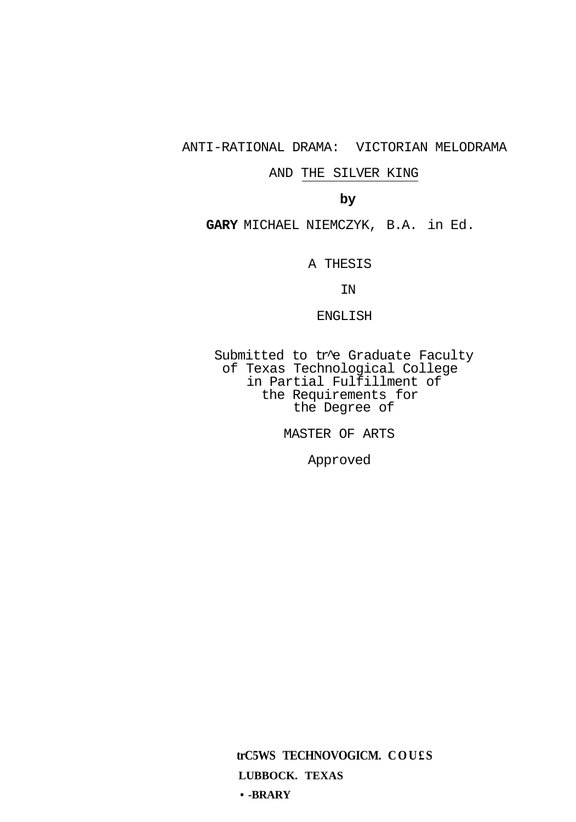## ANTI-RATIONAL DRAMA: VICTORIAN MELODRAMA

## AND THE SILVER KING

### **by**

**GARY** MICHAEL NIEMCZYK, B.A. in Ed.

A THESIS

IN

ENGLISH

Submitted to tre Graduate Faculty of Texas Technological College in Partial Fulfillment of the Requirements for the Degree of

MASTER OF ARTS

Approved

**trC5WS TECHNOVOGICM. COU£ S LUBBOCK. TEXAS • -BRARY**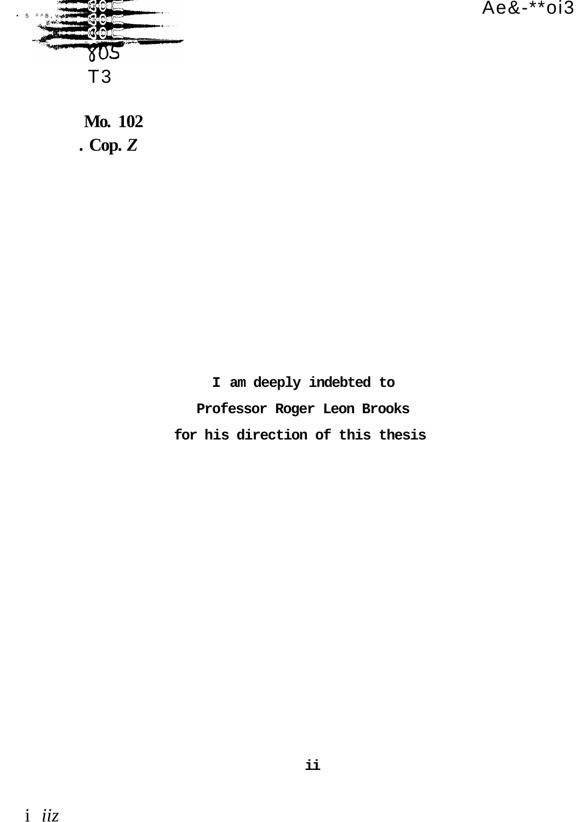

Ae&-\*\*oi3

**Mo. 102 . Cop.** *Z* 

> **I am deeply indebted to Professor Roger Leon Brooks for his direction of this thesis**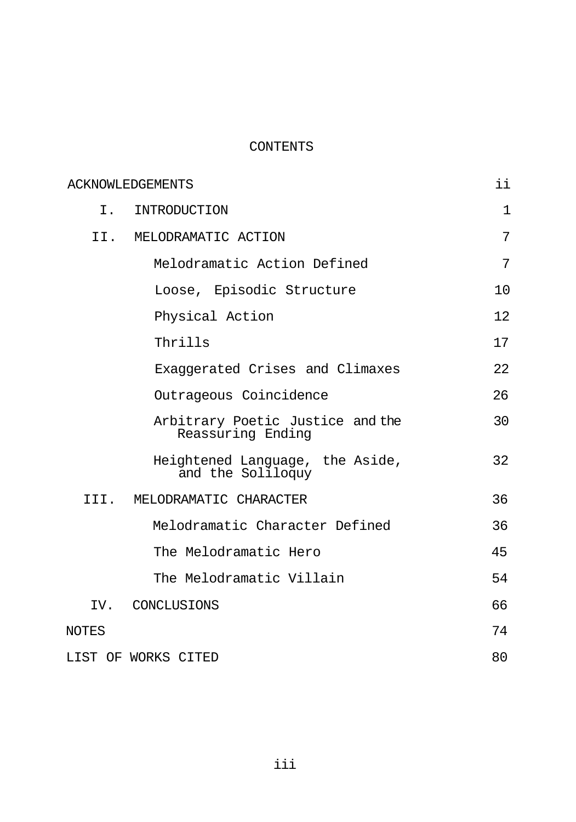## CONTENTS

| <b>ACKNOWLEDGEMENTS</b> |                                                       | ii          |
|-------------------------|-------------------------------------------------------|-------------|
|                         | I. INTRODUCTION                                       | $\mathbf 1$ |
|                         | II. MELODRAMATIC ACTION                               | 7           |
|                         | Melodramatic Action Defined                           | 7           |
|                         | Loose, Episodic Structure                             | 10          |
|                         | Physical Action                                       | 12          |
|                         | Thrills                                               | 17          |
|                         | Exaggerated Crises and Climaxes                       | 22          |
|                         | Outrageous Coincidence                                | 26          |
|                         | Arbitrary Poetic Justice and the<br>Reassuring Ending | 30          |
|                         | Heightened Language, the Aside,<br>and the Soliloquy  | 32          |
|                         | III. MELODRAMATIC CHARACTER                           | 36          |
|                         | Melodramatic Character Defined                        | 36          |
|                         | The Melodramatic Hero                                 | 45          |
|                         | The Melodramatic Villain                              | 54          |
| IV.                     | CONCLUSIONS                                           | 66          |
| <b>NOTES</b>            |                                                       | 74          |
| LIST OF WORKS CITED     |                                                       | 80          |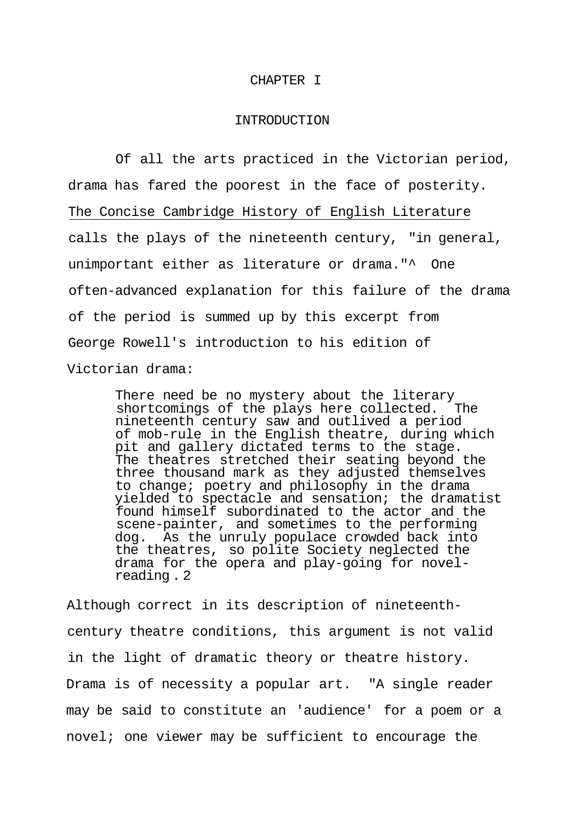### CHAPTER I

### INTRODUCTION

Of all the arts practiced in the Victorian period, drama has fared the poorest in the face of posterity. The Concise Cambridge History of English Literature calls the plays of the nineteenth century, "in general, unimportant either as literature or drama."^ One often-advanced explanation for this failure of the drama of the period is summed up by this excerpt from George Rowell's introduction to his edition of Victorian drama:

> There need be no mystery about the literary shortcomings of the plays here collected. The nineteenth century saw and outlived a period of mob-rule in the English theatre, during which pit and gallery dictated terms to the stage. The theatres stretched their seating beyond the three thousand mark as they adjusted themselves to change; poetry and philosophy in the drama yielded to spectacle and sensation; the dramatist found himself subordinated to the actor and the scene-painter, and sometimes to the performing dog. As the unruly populace crowded back into the theatres, so polite Society neglected the drama for the opera and play-going for novelreading . 2

Although correct in its description of nineteenthcentury theatre conditions, this argument is not valid in the light of dramatic theory or theatre history. Drama is of necessity a popular art. "A single reader may be said to constitute an 'audience' for a poem or a novel; one viewer may be sufficient to encourage the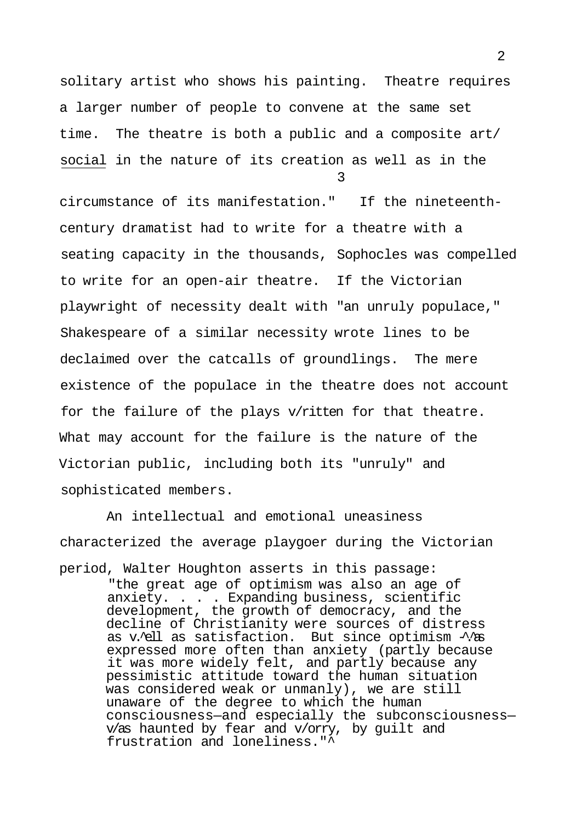solitary artist who shows his painting. Theatre requires a larger number of people to convene at the same set time. The theatre is both a public and a composite art/ social in the nature of its creation as well as in the 3

circumstance of its manifestation." If the nineteenthcentury dramatist had to write for a theatre with a seating capacity in the thousands, Sophocles was compelled to write for an open-air theatre. If the Victorian playwright of necessity dealt with "an unruly populace," Shakespeare of a similar necessity wrote lines to be declaimed over the catcalls of groundlings. The mere existence of the populace in the theatre does not account for the failure of the plays v/ritten for that theatre. What may account for the failure is the nature of the Victorian public, including both its "unruly" and sophisticated members.

An intellectual and emotional uneasiness characterized the average playgoer during the Victorian period, Walter Houghton asserts in this passage: "the great age of optimism was also an age of anxiety. . . . Expanding business, scientific development, the growth of democracy, and the decline of Christianity were sources of distress as v.^ell as satisfaction. But since optimism  $-\hat{a}$ s expressed more often than anxiety (partly because it was more widely felt, and partly because any pessimistic attitude toward the human situation was considered weak or unmanly), we are still unaware of the degree to which the human consciousness—and especially the subconsciousness v/as haunted by fear and v/orry, by guilt and frustration and loneliness."^

2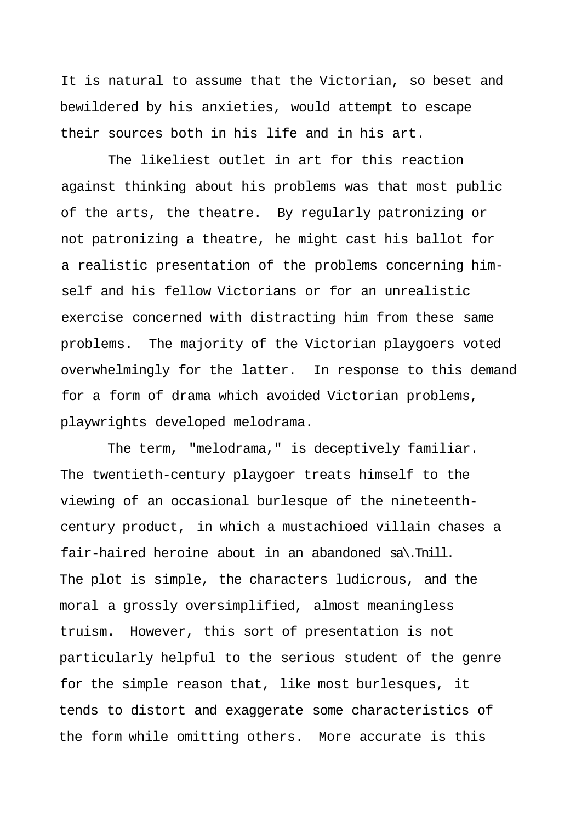It is natural to assume that the Victorian, so beset and bewildered by his anxieties, would attempt to escape their sources both in his life and in his art.

The likeliest outlet in art for this reaction against thinking about his problems was that most public of the arts, the theatre. By regularly patronizing or not patronizing a theatre, he might cast his ballot for a realistic presentation of the problems concerning himself and his fellow Victorians or for an unrealistic exercise concerned with distracting him from these same problems. The majority of the Victorian playgoers voted overwhelmingly for the latter. In response to this demand for a form of drama which avoided Victorian problems, playwrights developed melodrama.

The term, "melodrama," is deceptively familiar. The twentieth-century playgoer treats himself to the viewing of an occasional burlesque of the nineteenthcentury product, in which a mustachioed villain chases a fair-haired heroine about in an abandoned sa\.Tnill. The plot is simple, the characters ludicrous, and the moral a grossly oversimplified, almost meaningless truism. However, this sort of presentation is not particularly helpful to the serious student of the genre for the simple reason that, like most burlesques, it tends to distort and exaggerate some characteristics of the form while omitting others. More accurate is this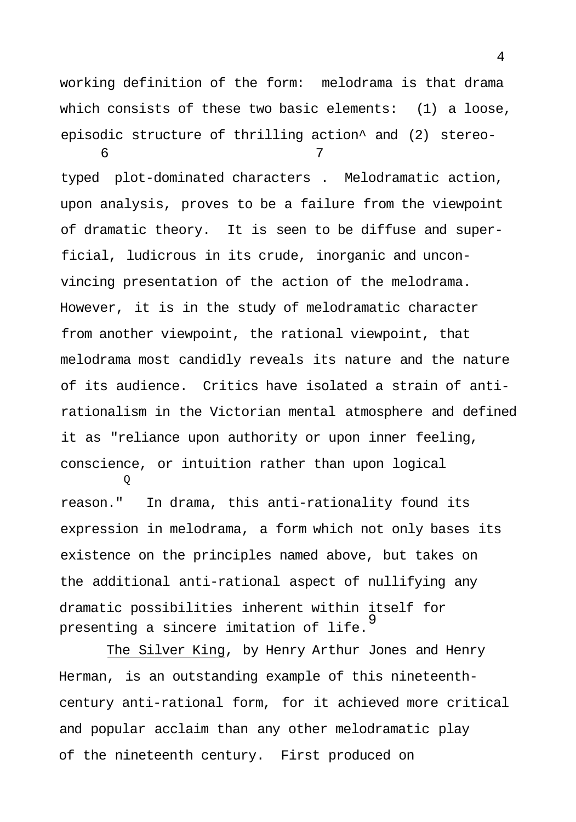working definition of the form: melodrama is that drama which consists of these two basic elements: (1) a loose, episodic structure of thrilling action^ and (2) stereo-6 7

typed plot-dominated characters . Melodramatic action, upon analysis, proves to be a failure from the viewpoint of dramatic theory. It is seen to be diffuse and superficial, ludicrous in its crude, inorganic and unconvincing presentation of the action of the melodrama. However, it is in the study of melodramatic character from another viewpoint, the rational viewpoint, that melodrama most candidly reveals its nature and the nature of its audience. Critics have isolated a strain of antirationalism in the Victorian mental atmosphere and defined it as "reliance upon authority or upon inner feeling, conscience, or intuition rather than upon logical

reason." In drama, this anti-rationality found its expression in melodrama, a form which not only bases its existence on the principles named above, but takes on the additional anti-rational aspect of nullifying any dramatic possibilities inherent within itself for presenting a sincere imitation of life.

Q

The Silver King, by Henry Arthur Jones and Henry Herman, is an outstanding example of this nineteenthcentury anti-rational form, for it achieved more critical and popular acclaim than any other melodramatic play of the nineteenth century. First produced on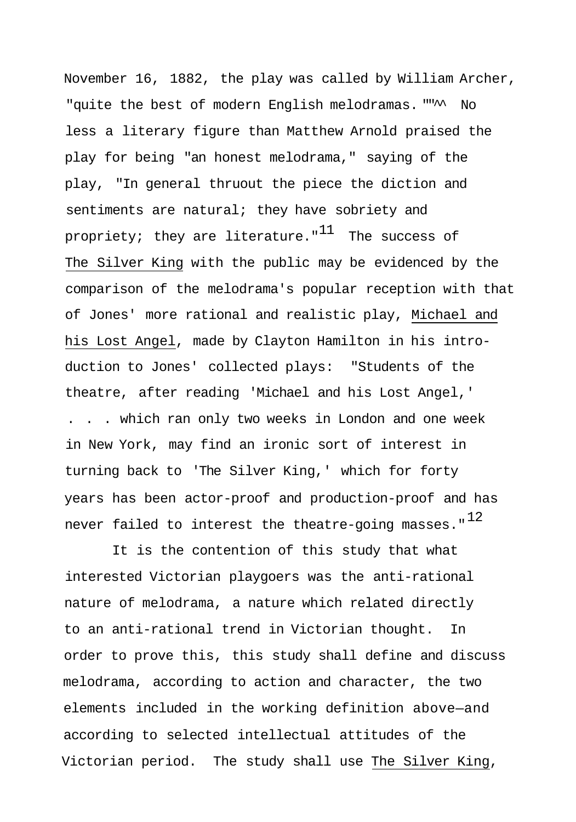November 16, 1882, the play was called by William Archer, "quite the best of modern English melodramas. ""^^ No less a literary figure than Matthew Arnold praised the play for being "an honest melodrama," saying of the play, "In general thruout the piece the diction and sentiments are natural; they have sobriety and propriety; they are literature." $11$  The success of The Silver King with the public may be evidenced by the comparison of the melodrama's popular reception with that of Jones' more rational and realistic play, Michael and his Lost Angel, made by Clayton Hamilton in his introduction to Jones' collected plays: "Students of the theatre, after reading 'Michael and his Lost Angel,' . . . which ran only two weeks in London and one week in New York, may find an ironic sort of interest in turning back to 'The Silver King,' which for forty years has been actor-proof and production-proof and has 12 never failed to interest the theatre-going masses."  $^\text{-}$ 

It is the contention of this study that what interested Victorian playgoers was the anti-rational nature of melodrama, a nature which related directly to an anti-rational trend in Victorian thought. In order to prove this, this study shall define and discuss melodrama, according to action and character, the two elements included in the working definition above—and according to selected intellectual attitudes of the Victorian period. The study shall use The Silver King,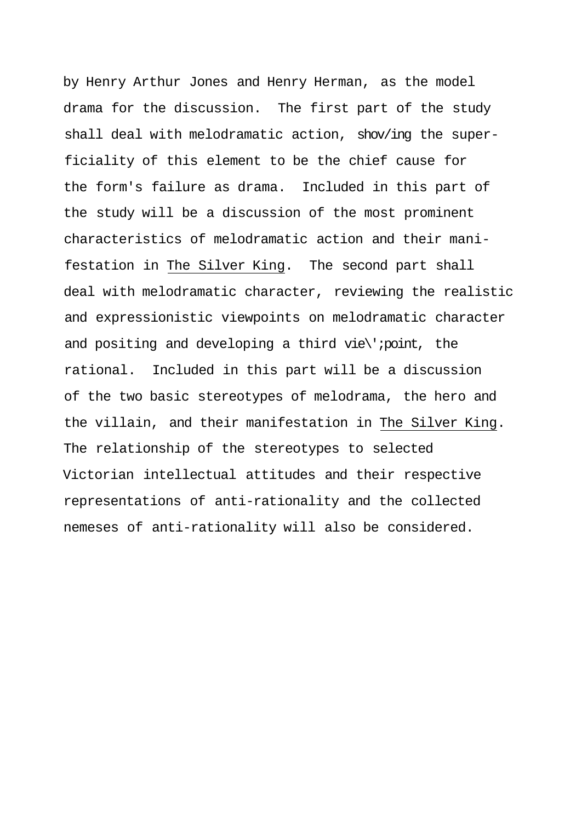by Henry Arthur Jones and Henry Herman, as the model drama for the discussion. The first part of the study shall deal with melodramatic action, shov/ing the superficiality of this element to be the chief cause for the form's failure as drama. Included in this part of the study will be a discussion of the most prominent characteristics of melodramatic action and their manifestation in The Silver King. The second part shall deal with melodramatic character, reviewing the realistic and expressionistic viewpoints on melodramatic character and positing and developing a third vie\';point, the rational. Included in this part will be a discussion of the two basic stereotypes of melodrama, the hero and the villain, and their manifestation in The Silver King. The relationship of the stereotypes to selected Victorian intellectual attitudes and their respective representations of anti-rationality and the collected nemeses of anti-rationality will also be considered.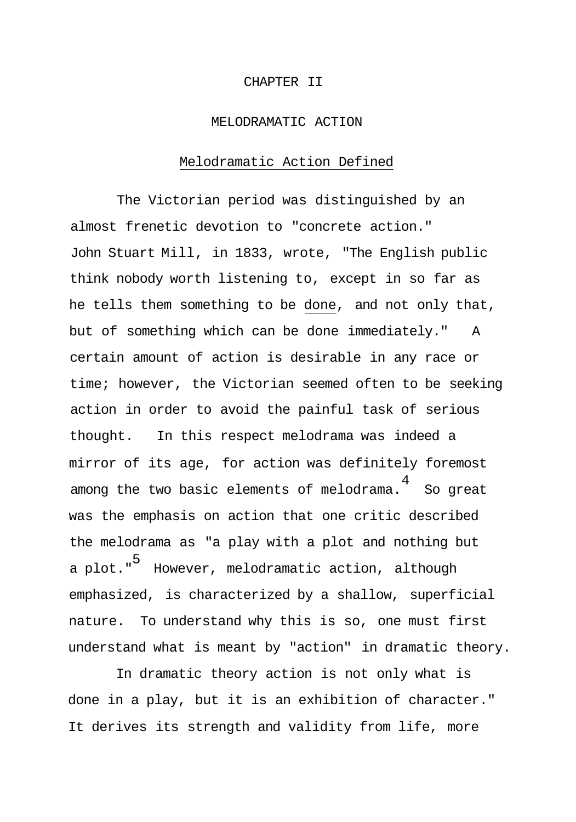## CHAPTER II

#### MELODRAMATIC ACTION

### Melodramatic Action Defined

The Victorian period was distinguished by an almost frenetic devotion to "concrete action." John Stuart Mill, in 1833, wrote, "The English public think nobody worth listening to, except in so far as he tells them something to be done, and not only that, but of something which can be done immediately." A certain amount of action is desirable in any race or time; however, the Victorian seemed often to be seeking action in order to avoid the painful task of serious thought. In this respect melodrama was indeed a mirror of its age, for action was definitely foremost 4 among the two basic elements of melodrama. So great was the emphasis on action that one critic described the melodrama as "a play with a plot and nothing but 5 a plot." However, melodramatic action, although emphasized, is characterized by a shallow, superficial nature. To understand why this is so, one must first understand what is meant by "action" in dramatic theory.

In dramatic theory action is not only what is done in a play, but it is an exhibition of character." It derives its strength and validity from life, more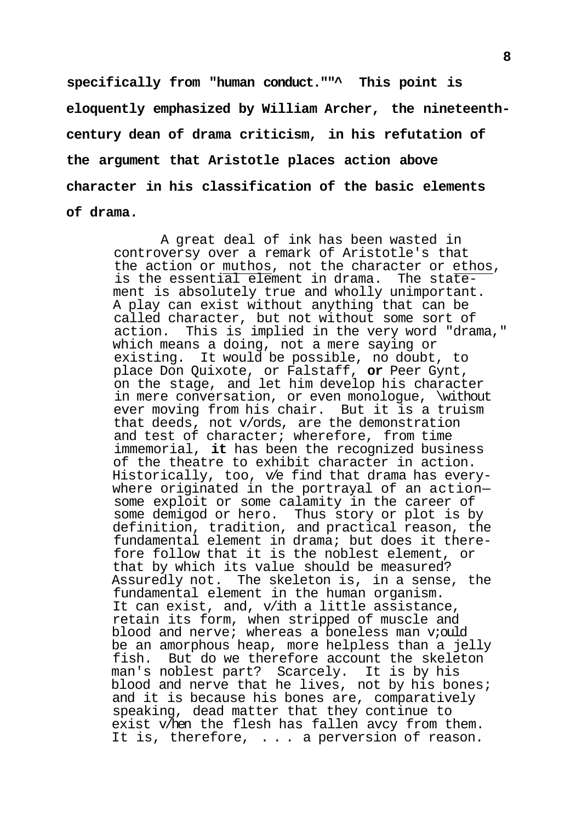**specifically from "human conduct.""^ This point is eloquently emphasized by William Archer, the nineteenthcentury dean of drama criticism, in his refutation of the argument that Aristotle places action above character in his classification of the basic elements of drama.** 

A great deal of ink has been wasted in controversy over a remark of Aristotle's that the action or muthos, not the character or ethos, is the essential element in drama. The statement is absolutely true and wholly unimportant. A play can exist without anything that can be called character, but not without some sort of action. This is implied in the very word "drama," which means a doing, not a mere saying or existing. It would be possible, no doubt, to place Don Quixote, or Falstaff, **or** Peer Gynt, on the stage, and let him develop his character in mere conversation, or even monologue, \without ever moving from his chair. But it is a truism that deeds, not v/ords, are the demonstration and test of character; wherefore, from time immemorial, **it** has been the recognized business of the theatre to exhibit character in action. Historically, too, v/e find that drama has everywhere originated in the portrayal of an action some exploit or some calamity in the career of some demigod or hero. Thus story or plot is by definition, tradition, and practical reason, the fundamental element in drama; but does it therefore follow that it is the noblest element, or that by which its value should be measured? Assuredly not. The skeleton is, in a sense, the fundamental element in the human organism. It can exist, and, v/ith a little assistance, retain its form, when stripped of muscle and blood and nerve; whereas a boneless man v;ould be an amorphous heap, more helpless than a jelly<br>fish. But do we therefore account the skeleton But do we therefore account the skeleton man's noblest part? Scarcely. It is by his blood and nerve that he lives, not by his bones; and it is because his bones are, comparatively speaking, dead matter that they continue to exist v/hen the flesh has fallen avcy from them. It is, therefore, ... a perversion of reason.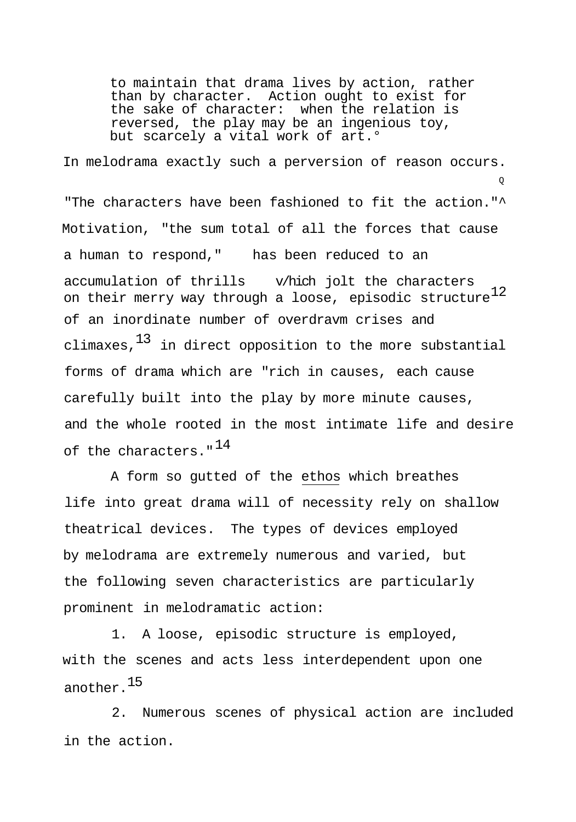to maintain that drama lives by action, rather than by character. Action ought to exist for the sake of character: when the relation is reversed, the play may be an ingenious toy, but scarcely a vital work of art.<sup>o</sup>

In melodrama exactly such a perversion of reason occurs.  $\Omega$ "The characters have been fashioned to fit the action."^ Motivation, "the sum total of all the forces that cause a human to respond," has been reduced to an accumulation of thrills v/hich jolt the characters on their merry way through a loose, episodic structure<sup>12</sup> of an inordinate number of overdravm crises and climaxes,  $13$  in direct opposition to the more substantial forms of drama which are "rich in causes, each cause carefully built into the play by more minute causes, and the whole rooted in the most intimate life and desire of the characters."<sup>14</sup>

A form so gutted of the ethos which breathes life into great drama will of necessity rely on shallow theatrical devices. The types of devices employed by melodrama are extremely numerous and varied, but the following seven characteristics are particularly prominent in melodramatic action:

1. A loose, episodic structure is employed, with the scenes and acts less interdependent upon one another.<sup>15</sup>

2. Numerous scenes of physical action are included in the action.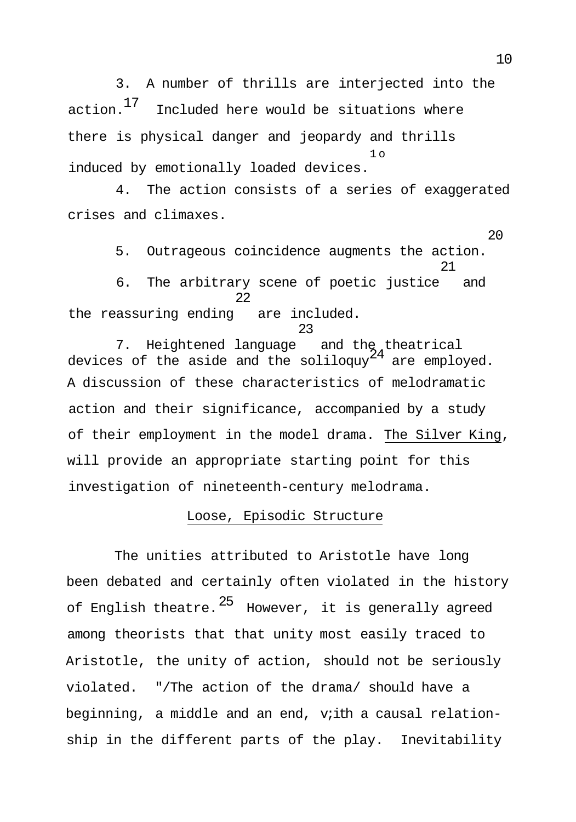3. A number of thrills are interjected into the  $\text{action.}$ <sup> $\perp$ </sup> Included here would be situations where there is physical danger and jeopardy and thrills 1 o induced by emotionally loaded devices.

4. The action consists of a series of exaggerated crises and climaxes.

20 5. Outrageous coincidence augments the action. 21 6. The arbitrary scene of poetic justice and つつ the reassuring ending are included.

#### 23

7. Heightened language and the theatrical devices of the aside and the soliloquy<sup>24</sup> are employed. A discussion of these characteristics of melodramatic action and their significance, accompanied by a study of their employment in the model drama. The Silver King, will provide an appropriate starting point for this investigation of nineteenth-century melodrama.

## Loose, Episodic Structure

The unities attributed to Aristotle have long been debated and certainly often violated in the history 25 of English theatre.<sup>23</sup> However, it is generally agreed among theorists that that unity most easily traced to Aristotle, the unity of action, should not be seriously violated. "/The action of the drama/ should have a beginning, a middle and an end, v;ith a causal relationship in the different parts of the play. Inevitability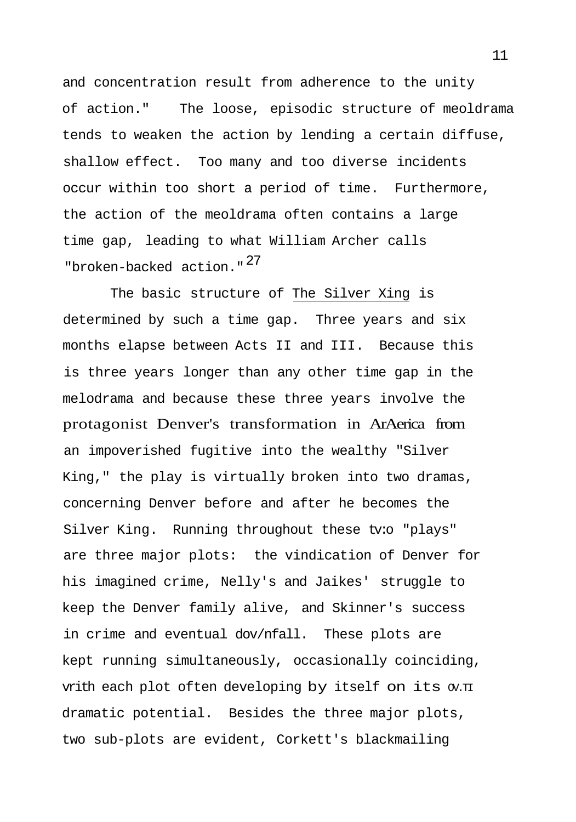and concentration result from adherence to the unity of action." The loose, episodic structure of meoldrama tends to weaken the action by lending a certain diffuse, shallow effect. Too many and too diverse incidents occur within too short a period of time. Furthermore, the action of the meoldrama often contains a large time gap, leading to what William Archer calls "broken-backed action."<sup>27</sup>

The basic structure of The Silver Xing is determined by such a time gap. Three years and six months elapse between Acts II and III. Because this is three years longer than any other time gap in the melodrama and because these three years involve the protagonist Denver's transformation in ArAerica from an impoverished fugitive into the wealthy "Silver King," the play is virtually broken into two dramas, concerning Denver before and after he becomes the Silver King. Running throughout these tv: o "plays" are three major plots: the vindication of Denver for his imagined crime, Nelly's and Jaikes' struggle to keep the Denver family alive, and Skinner's success in crime and eventual dov/nfall. These plots are kept running simultaneously, occasionally coinciding, vrith each plot often developing by itself on its  $W$ .TI dramatic potential. Besides the three major plots, two sub-plots are evident, Corkett's blackmailing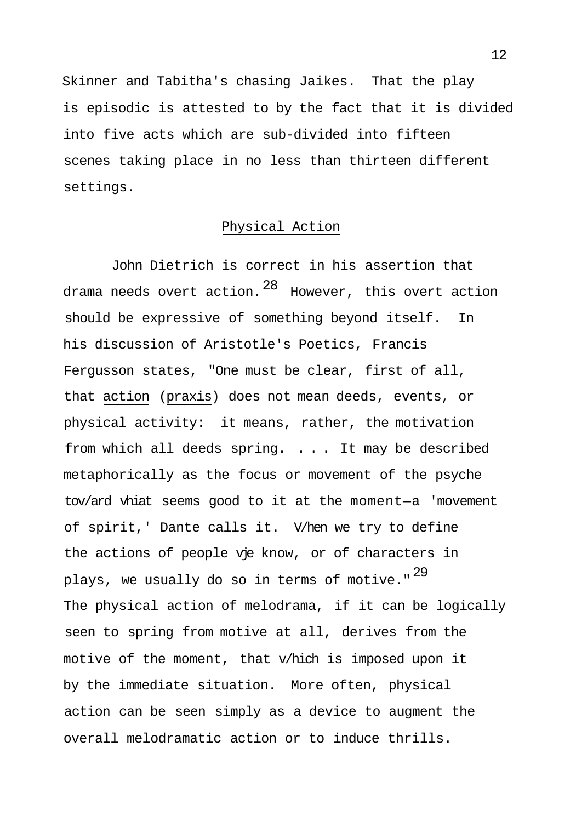Skinner and Tabitha's chasing Jaikes. That the play is episodic is attested to by the fact that it is divided into five acts which are sub-divided into fifteen scenes taking place in no less than thirteen different settings.

## Physical Action

John Dietrich is correct in his assertion that drama needs overt action.  $28$  However, this overt action should be expressive of something beyond itself. In his discussion of Aristotle's Poetics, Francis Fergusson states, "One must be clear, first of all, that action (praxis) does not mean deeds, events, or physical activity: it means, rather, the motivation from which all deeds spring. .. . It may be described metaphorically as the focus or movement of the psyche tov/ard vhiat seems good to it at the moment—a 'movement of spirit,' Dante calls it. V/hen we try to define the actions of people vje know, or of characters in plays, we usually do so in terms of motive."<sup>29</sup> The physical action of melodrama, if it can be logically seen to spring from motive at all, derives from the motive of the moment, that v/hich is imposed upon it by the immediate situation. More often, physical action can be seen simply as a device to augment the overall melodramatic action or to induce thrills.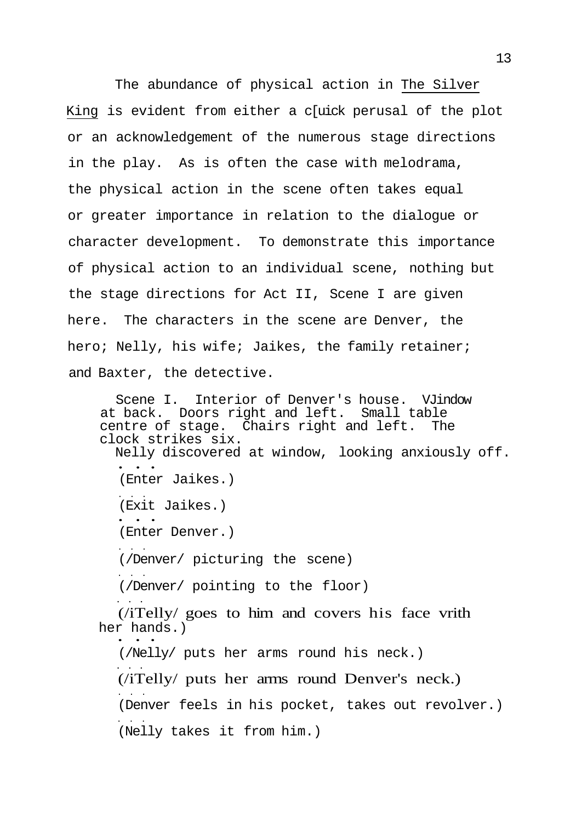The abundance of physical action in The Silver King is evident from either a c[uick perusal of the plot or an acknowledgement of the numerous stage directions in the play. As is often the case with melodrama, the physical action in the scene often takes equal or greater importance in relation to the dialogue or character development. To demonstrate this importance of physical action to an individual scene, nothing but the stage directions for Act II, Scene I are given here. The characters in the scene are Denver, the hero; Nelly, his wife; Jaikes, the family retainer; and Baxter, the detective.

Scene I. Interior of Denver's house. VJindow at back. Doors right and left. Small table centre of stage. Chairs right and left. The clock strikes six. Nelly discovered at window, looking anxiously off. • • • (Enter Jaikes.) . . . (Exit Jaikes.) • • • (Enter Denver.) . . . (/Denver/ picturing the scene) . . . (/Denver/ pointing to the floor) **. . .**  (/iTelly/ goes to him and covers his face vrith her hands.)

• • • (/Nelly/ puts her arms round his neck.) **. . .**  (/iTelly/ puts her arms round Denver's neck.) . . . (Denver feels in his pocket, takes out revolver.) . . . (Nelly takes it from him.)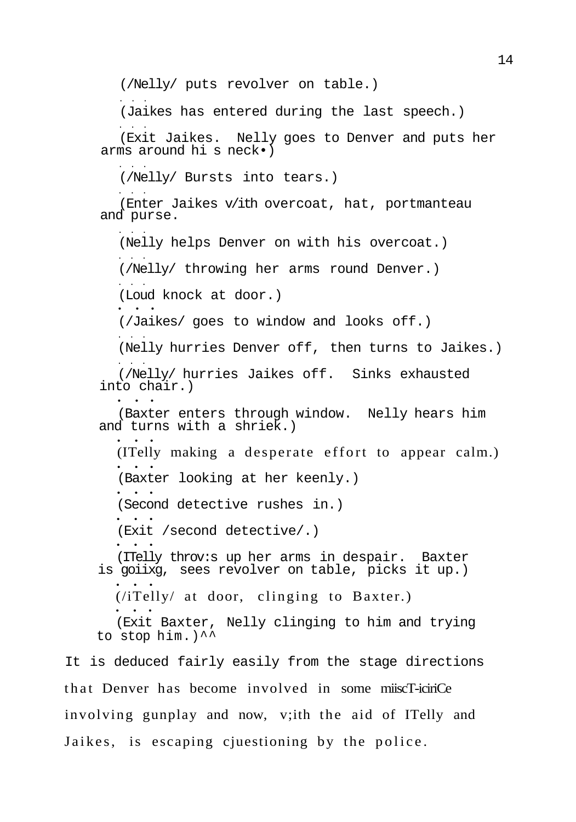(/Nelly/ puts revolver on table.)

(Jaikes has entered during the last speech.)

(Exit Jaikes. Nelly goes to Denver and puts her arms around hi s neck•)

(/Nelly/ Bursts into tears.)

. . . (Enter Jaikes v/ith overcoat, hat, portmanteau and purse.

. . . (Nelly helps Denver on with his overcoat.)

. . . (/Nelly/ throwing her arms round Denver.)

. . . (Loud knock at door.)

• • •

. . .

. . .

. . .

. . .

(/Jaikes/ goes to window and looks off.)

(Nelly hurries Denver off, then turns to Jaikes.)

. . . (/Nelly/ hurries Jaikes off. Sinks exhausted into chair.)

• • • (Baxter enters through window. Nelly hears him and turns with a shriek.)

• • • (ITelly making a desperate effort to appear calm.) • • • (Baxter looking at her keenly.)

• • •

(Second detective rushes in.)

• • • (Exit /second detective/.)

• • • (ITelly throv:s up her arms in despair. Baxter is goiixg, sees revolver on table, picks it up.) • • • (/iTelly/ at door, clinging to Baxter.)

• • • (Exit Baxter, Nelly clinging to him and trying to stop him.)^^

It is deduced fairly easily from the stage directions tha t Denver has become involved in some miiscT-iciriCe involving gunplay and now, v;ith the aid of ITelly and Jaikes, is escaping cjuestioning by the police .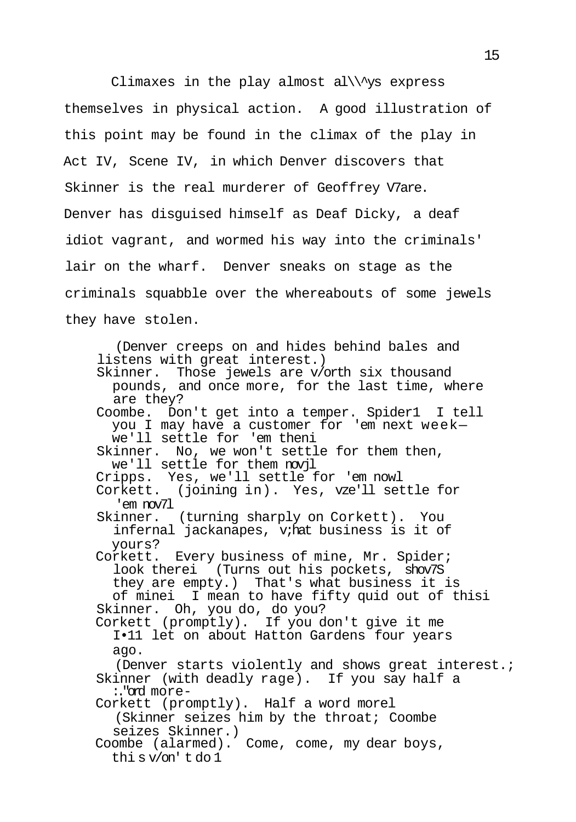Climaxes in the play almost al $\sqrt{\gamma}$ s express themselves in physical action. A good illustration of this point may be found in the climax of the play in Act IV, Scene IV, in which Denver discovers that Skinner is the real murderer of Geoffrey V7are. Denver has disguised himself as Deaf Dicky, a deaf idiot vagrant, and wormed his way into the criminals' lair on the wharf. Denver sneaks on stage as the criminals squabble over the whereabouts of some jewels they have stolen.

(Denver creeps on and hides behind bales and listens with great interest.) Skinner. Those jewels are v/orth six thousand pounds, and once more, for the last time, where are they? Coombe. Don't get into a temper. Spider1 I tell you I may have a customer for 'em next week we'll settle for 'em theni Skinner. No, we won't settle for them then, we'll settle for them novjl Cripps. Yes, we'll settle for 'em nowl Corkett. (joining in). Yes, vze'll settle for 'em nov7l Skinner. (turning sharply on Corkett). You infernal jackanapes, v;hat business is it of yours? Corkett. Every business of mine, Mr. Spider; look therei (Turns out his pockets, shov7S they are empty.) That's what business it is of minei I mean to have fifty quid out of thisi Skinner. Oh, you do, do you? Corkett (promptly). If you don't give it me I•11 let on about Hatton Gardens four years ago. (Denver starts violently and shows great interest.; Skinner (with deadly rage). If you say half a :."ord more-Corkett (promptly). Half a word morel (Skinner seizes him by the throat; Coombe seizes Skinner.) Coombe (alarmed). Come, come, my dear boys, thi s v/on' t do 1

<sup>15</sup>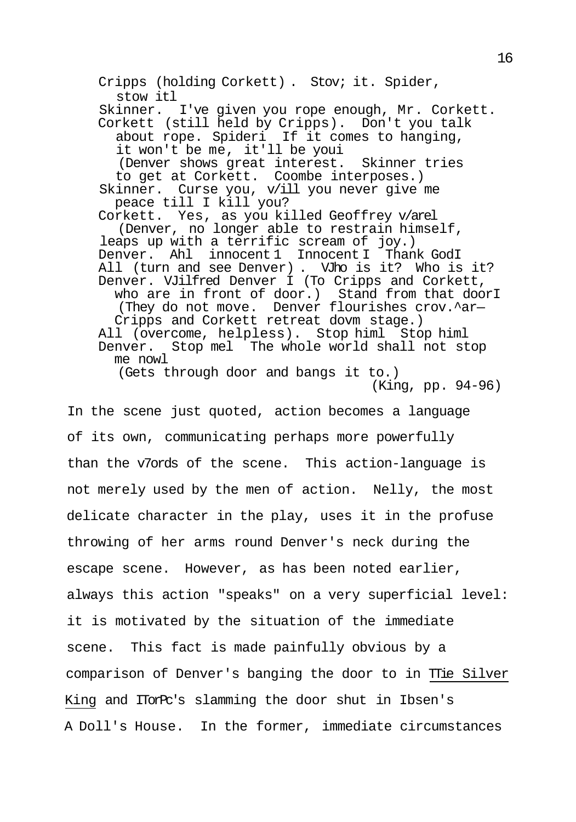Cripps (holding Corkett) . Stov; it. Spider, stow itl Skinner. I've given you rope enough, Mr. Corkett. Corkett (still held by Cripps). Don't you talk about rope. Spideri If it comes to hanging, it won't be me, it'll be youi (Denver shows great interest. Skinner tries to get at Corkett. Coombe interposes.) Skinner. Curse you, v/ill you never give me peace till I kill you? Corkett. Yes, as you killed Geoffrey v/arel (Denver, no longer able to restrain himself, leaps up with a terrific scream of joy.) Denver. Ahl innocent 1 Innocent I Thank GodI All (turn and see Denver) . VJho is it? Who is it? Denver. VJilfred Denver I (To Cripps and Corkett, who are in front of door.) Stand from that doorI (They do not move. Denver flourishes crov.^ar— Cripps and Corkett retreat dovm stage.) All (overcome, helpless). Stop himl Stop himl Denver. Stop mel The whole world shall not stop me nowl

(Gets through door and bangs it to.)

In the scene just quoted, action becomes a language of its own, communicating perhaps more powerfully than the v7ords of the scene. This action-language is not merely used by the men of action. Nelly, the most delicate character in the play, uses it in the profuse throwing of her arms round Denver's neck during the escape scene. However, as has been noted earlier, always this action "speaks" on a very superficial level: it is motivated by the situation of the immediate scene. This fact is made painfully obvious by a comparison of Denver's banging the door to in TTie Silver King and ITorPc's slamming the door shut in Ibsen's A Doll's House. In the former, immediate circumstances

<sup>(</sup>King, pp. 94-96)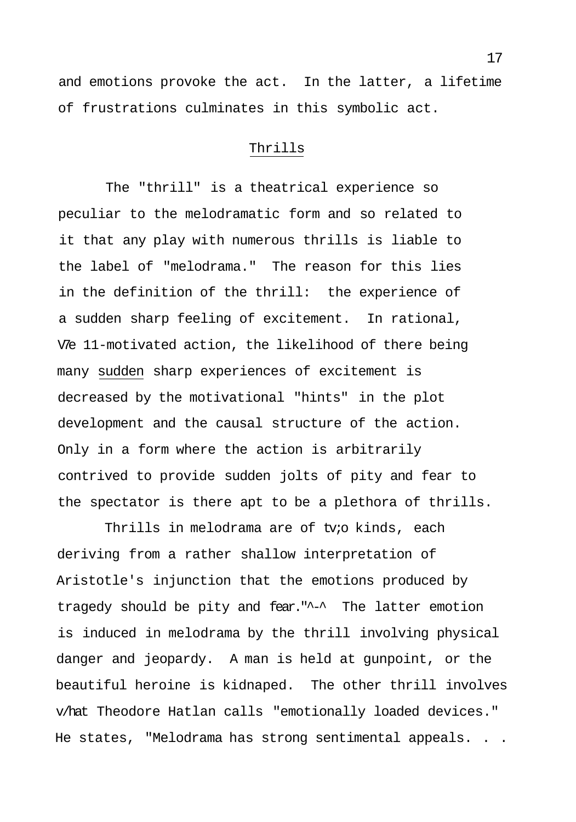and emotions provoke the act. In the latter, a lifetime of frustrations culminates in this symbolic act.

## Thrills

The "thrill" is a theatrical experience so peculiar to the melodramatic form and so related to it that any play with numerous thrills is liable to the label of "melodrama." The reason for this lies in the definition of the thrill: the experience of a sudden sharp feeling of excitement. In rational, V/e 11-motivated action, the likelihood of there being many sudden sharp experiences of excitement is decreased by the motivational "hints" in the plot development and the causal structure of the action. Only in a form where the action is arbitrarily contrived to provide sudden jolts of pity and fear to the spectator is there apt to be a plethora of thrills.

Thrills in melodrama are of tv;o kinds, each deriving from a rather shallow interpretation of Aristotle's injunction that the emotions produced by tragedy should be pity and fear."^-^ The latter emotion is induced in melodrama by the thrill involving physical danger and jeopardy. A man is held at gunpoint, or the beautiful heroine is kidnaped. The other thrill involves v/hat Theodore Hatlan calls "emotionally loaded devices." He states, "Melodrama has strong sentimental appeals. . .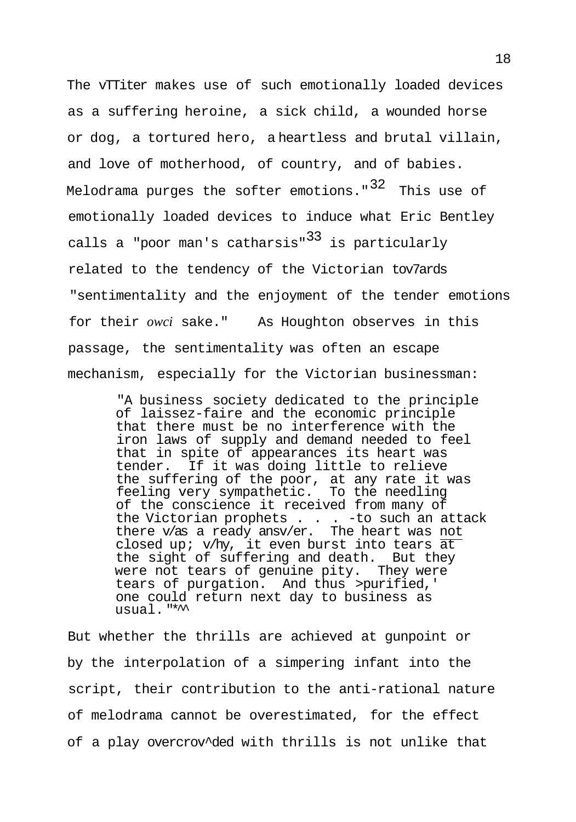The vTTiter makes use of such emotionally loaded devices as a suffering heroine, a sick child, a wounded horse or dog, a tortured hero, a heartless and brutal villain, and love of motherhood, of country, and of babies. Melodrama purges the softer emotions."<sup>32</sup> This use of emotionally loaded devices to induce what Eric Bentley calls a "poor man's catharsis" 33 is particularly related to the tendency of the Victorian tov7ards "sentimentality and the enjoyment of the tender emotions for their *owci* sake." As Houghton observes in this passage, the sentimentality was often an escape mechanism, especially for the Victorian businessman:

> "A business society dedicated to the principle of laissez-faire and the economic principle that there must be no interference with the iron laws of supply and demand needed to feel that in spite of appearances its heart was tender. If it was doing little to relieve the suffering of the poor, at any rate it was feeling very sympathetic. To the needling of the conscience it received from many of the Victorian prophets . . . -to such an attack there v/as a ready ansv/er. The heart was not closed up;  $v/hy$ , it even burst into tears  $\overline{at}$ the sight of suffering and death. But they were not tears of genuine pity. They were tears of purgation. And thus >purified,' one could return next day to business as usual.  $"^{**}$

But whether the thrills are achieved at gunpoint or by the interpolation of a simpering infant into the script, their contribution to the anti-rational nature of melodrama cannot be overestimated, for the effect of a play overcrov^ded with thrills is not unlike that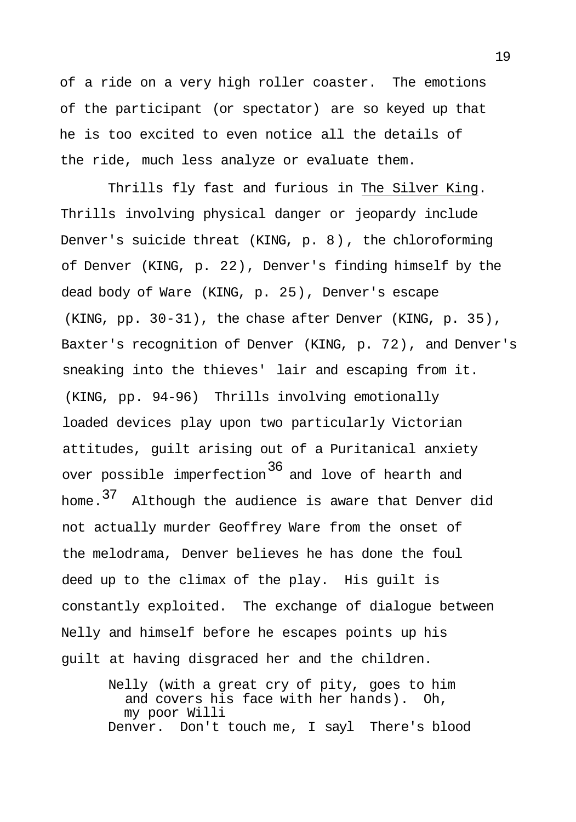of a ride on a very high roller coaster. The emotions of the participant (or spectator) are so keyed up that he is too excited to even notice all the details of the ride, much less analyze or evaluate them.

Thrills fly fast and furious in The Silver King. Thrills involving physical danger or jeopardy include Denver's suicide threat (KING, p. 8), the chloroforming of Denver (KING, p. 22), Denver's finding himself by the dead body of Ware (KING, p. 25), Denver's escape (KING, pp. 30-31), the chase after Denver (KING, p. 35), Baxter's recognition of Denver (KING, p. 72), and Denver's sneaking into the thieves' lair and escaping from it. (KING, pp. 94-96) Thrills involving emotionally loaded devices play upon two particularly Victorian attitudes, guilt arising out of a Puritanical anxiety 36 over possible imperfection and love of hearth and home.<sup>37</sup> Although the audience is aware that Denver did not actually murder Geoffrey Ware from the onset of the melodrama, Denver believes he has done the foul deed up to the climax of the play. His guilt is constantly exploited. The exchange of dialogue between Nelly and himself before he escapes points up his guilt at having disgraced her and the children.

> Nelly (with a great cry of pity, goes to him and covers his face with her hands). Oh, my poor Willi Denver. Don't touch me, I sayl There's blood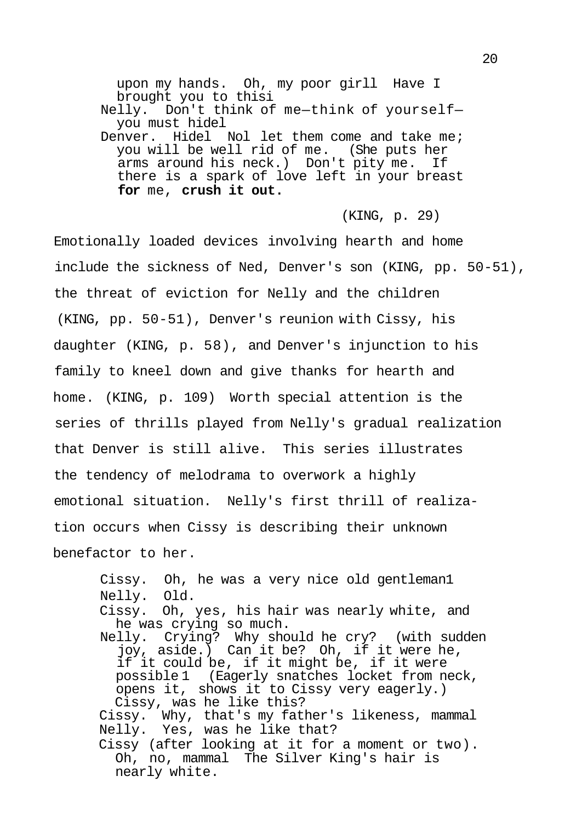upon my hands. Oh, my poor girll Have I brought you to thisi Nelly. Don't think of me—think of yourself you must hidel Denver. Hidel Nol let them come and take me; you will be well rid of me. (She puts her arms around his neck.) Don't pity me. If there is a spark of love left in your breast **for** me, **crush it out.** 

(KING, p. 29)

Emotionally loaded devices involving hearth and home include the sickness of Ned, Denver's son (KING, pp. 50-51), the threat of eviction for Nelly and the children (KING, pp. 50-51), Denver's reunion with Cissy, his daughter (KING, p. 58), and Denver's injunction to his family to kneel down and give thanks for hearth and home. (KING, p. 109) Worth special attention is the series of thrills played from Nelly's gradual realization that Denver is still alive. This series illustrates the tendency of melodrama to overwork a highly emotional situation. Nelly's first thrill of realization occurs when Cissy is describing their unknown benefactor to her.

Cissy. Oh, he was a very nice old gentleman1 Nelly. Old. Cissy. Oh, yes, his hair was nearly white, and he was crying so much. Nelly. Crying? Why should he cry? (with sudden joy, aside.) Can it be? Oh, if it were he, if it could be, if it might be, if it were possible 1 (Eagerly snatches locket from neck, opens it, shows it to Cissy very eagerly.) Cissy, was he like this? Cissy. Why, that's my father's likeness, mammal Nelly. Yes, was he like that? Cissy (after looking at it for a moment or two). Oh, no, mammal The Silver King's hair is nearly white.

20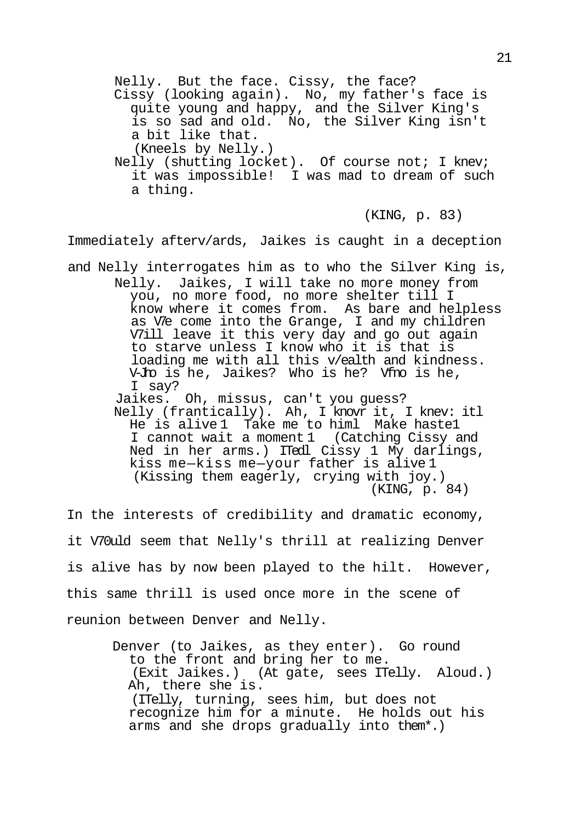Nelly. But the face. Cissy, the face? Cissy (looking again). No, my father's face is quite young and happy, and the Silver King's is so sad and old. No, the Silver King isn't a bit like that. (Kneels by Nelly.) Nelly (shutting locket). Of course not; I knev;

it was impossible! I was mad to dream of such a thing.

(KING, p. 83)

Immediately afterv/ards, Jaikes is caught in a deception

and Nelly interrogates him as to who the Silver King is, Nelly. Jaikes, I will take no more money from you, no more food, no more shelter till I know where it comes from. As bare and helpless as V7e come into the Grange, I and my children V7ill leave it this very day and go out again to starve unless I know who it is that is loading me with all this v/ealth and kindness. V-Jho is he, Jaikes? Who is he? Vfno is he, I say? Jaikes. Oh, missus, can't you guess? Nelly (frantically). Ah, I knovr it, I knev: itl He is alive 1 Take me to himl Make haste1 I cannot wait a moment 1 (Catching Cissy and Ned in her arms.) ITedl Cissy 1 My darlings, kiss me—kiss me—your father is alive 1 (Kissing them eagerly, crying with joy.) (KING, p. 84)

In the interests of credibility and dramatic economy, it V70uld seem that Nelly's thrill at realizing Denver is alive has by now been played to the hilt. However, this same thrill is used once more in the scene of reunion between Denver and Nelly.

> Denver (to Jaikes, as they enter). Go round to the front and bring her to me. (Exit Jaikes.) (At gate, sees ITelly. Aloud.) Ah, there she is. (ITelly, turning, sees him, but does not recognize him for a minute. He holds out his arms and she drops gradually into them\*.)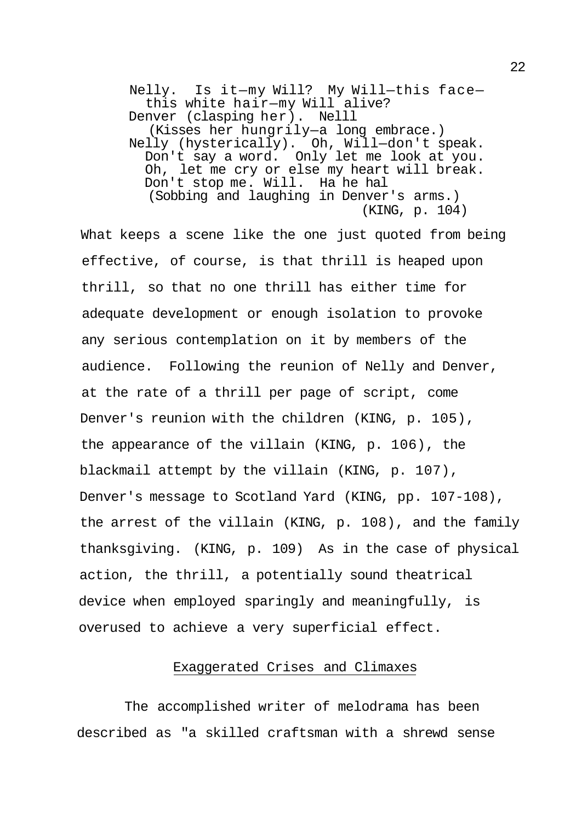Nelly. Is it—my Will? My Will—this face this white hair—my Will alive? Denver (clasping her). Nelll (Kisses her hungrily—a long embrace.) Nelly (hysterically). Oh, Will—don't speak. Don't say a word. Only let me look at you. Oh, let me cry or else my heart will break. Don't stop me. Will. Ha he hal (Sobbing and laughing in Denver's arms.) (KING, p. 104)

What keeps a scene like the one just quoted from being effective, of course, is that thrill is heaped upon thrill, so that no one thrill has either time for adequate development or enough isolation to provoke any serious contemplation on it by members of the audience. Following the reunion of Nelly and Denver, at the rate of a thrill per page of script, come Denver's reunion with the children (KING, p. 105), the appearance of the villain (KING, p. 106), the blackmail attempt by the villain (KING, p. 107), Denver's message to Scotland Yard (KING, pp. 107-108), the arrest of the villain (KING, p. 108), and the family thanksgiving. (KING, p. 109) As in the case of physical action, the thrill, a potentially sound theatrical device when employed sparingly and meaningfully, is overused to achieve a very superficial effect.

### Exaggerated Crises and Climaxes

The accomplished writer of melodrama has been described as "a skilled craftsman with a shrewd sense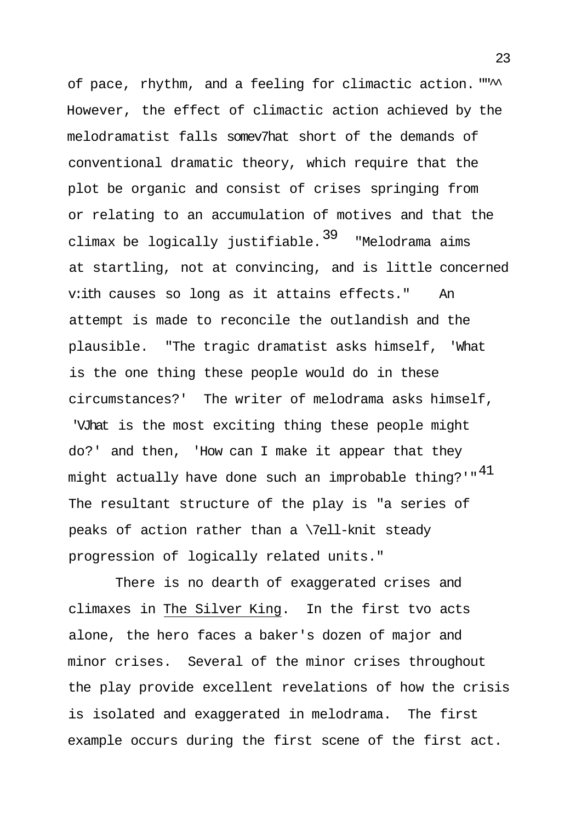of pace, rhythm, and a feeling for climactic action. ""^^ However, the effect of climactic action achieved by the melodramatist falls somev7hat short of the demands of conventional dramatic theory, which require that the plot be organic and consist of crises springing from or relating to an accumulation of motives and that the climax be logically justifiable.<sup>39</sup> "Melodrama aims at startling, not at convincing, and is little concerned v:ith causes so long as it attains effects." An attempt is made to reconcile the outlandish and the plausible. "The tragic dramatist asks himself, 'What is the one thing these people would do in these circumstances?' The writer of melodrama asks himself, 'VJhat is the most exciting thing these people might do?' and then, 'How can I make it appear that they might actually have done such an improbable thing?'"<sup>41</sup> The resultant structure of the play is "a series of peaks of action rather than a [\7ell-knit](file:///7ell-knit) steady progression of logically related units."

There is no dearth of exaggerated crises and climaxes in The Silver King. In the first tvo acts alone, the hero faces a baker's dozen of major and minor crises. Several of the minor crises throughout the play provide excellent revelations of how the crisis is isolated and exaggerated in melodrama. The first example occurs during the first scene of the first act.

23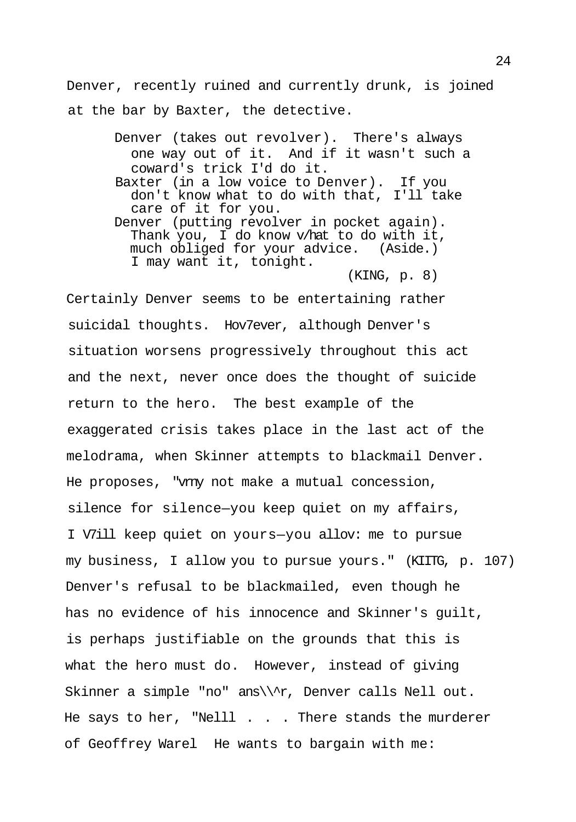Denver, recently ruined and currently drunk, is joined at the bar by Baxter, the detective.

> Denver (takes out revolver). There's always one way out of it. And if it wasn't such a coward's trick I'd do it. Baxter (in a low voice to Denver). If you don't know what to do with that, I'll take care of it for you. Denver (putting revolver in pocket again). Thank you, I do know v/hat to do with it, much obliged for your advice. (Aside.) I may want it, tonight. (KING, p. 8)

Certainly Denver seems to be entertaining rather suicidal thoughts. Hov7ever, although Denver's situation worsens progressively throughout this act and the next, never once does the thought of suicide return to the hero. The best example of the exaggerated crisis takes place in the last act of the melodrama, when Skinner attempts to blackmail Denver. He proposes, "vny not make a mutual concession, silence for silence—you keep quiet on my affairs, I V7ill keep quiet on yours—you allov: me to pursue my business, I allow you to pursue yours." (KIITG, p. 107) Denver's refusal to be blackmailed, even though he has no evidence of his innocence and Skinner's guilt, is perhaps justifiable on the grounds that this is what the hero must do. However, instead of giving Skinner a simple "no" ans $\Upsilon$ 'r, Denver calls Nell out. He says to her, "Nelll . . . There stands the murderer of Geoffrey Warel He wants to bargain with me: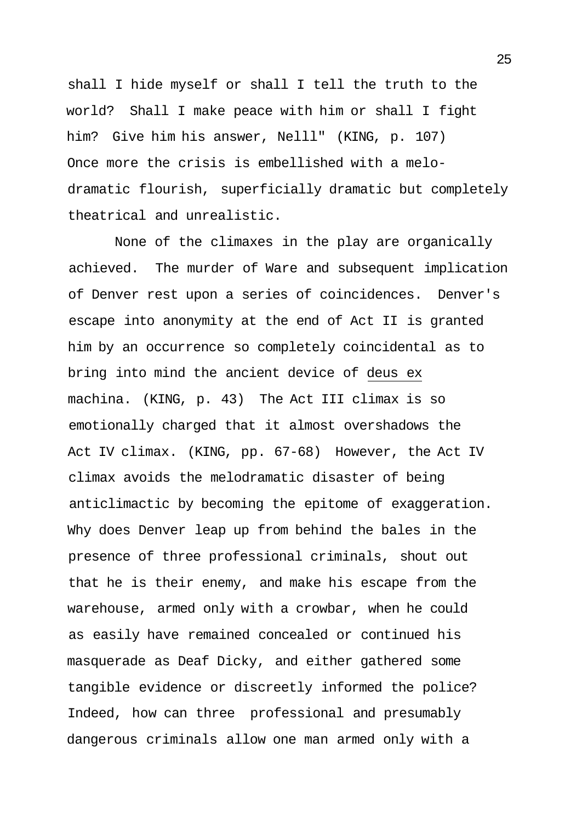shall I hide myself or shall I tell the truth to the world? Shall I make peace with him or shall I fight him? Give him his answer, Nelll" (KING, p. 107) Once more the crisis is embellished with a melodramatic flourish, superficially dramatic but completely theatrical and unrealistic.

None of the climaxes in the play are organically achieved. The murder of Ware and subsequent implication of Denver rest upon a series of coincidences. Denver's escape into anonymity at the end of Act II is granted him by an occurrence so completely coincidental as to bring into mind the ancient device of deus ex machina. (KING, p. 43) The Act III climax is so emotionally charged that it almost overshadows the Act IV climax. (KING, pp. 67-68) However, the Act IV climax avoids the melodramatic disaster of being anticlimactic by becoming the epitome of exaggeration. Why does Denver leap up from behind the bales in the presence of three professional criminals, shout out that he is their enemy, and make his escape from the warehouse, armed only with a crowbar, when he could as easily have remained concealed or continued his masquerade as Deaf Dicky, and either gathered some tangible evidence or discreetly informed the police? Indeed, how can three professional and presumably dangerous criminals allow one man armed only with a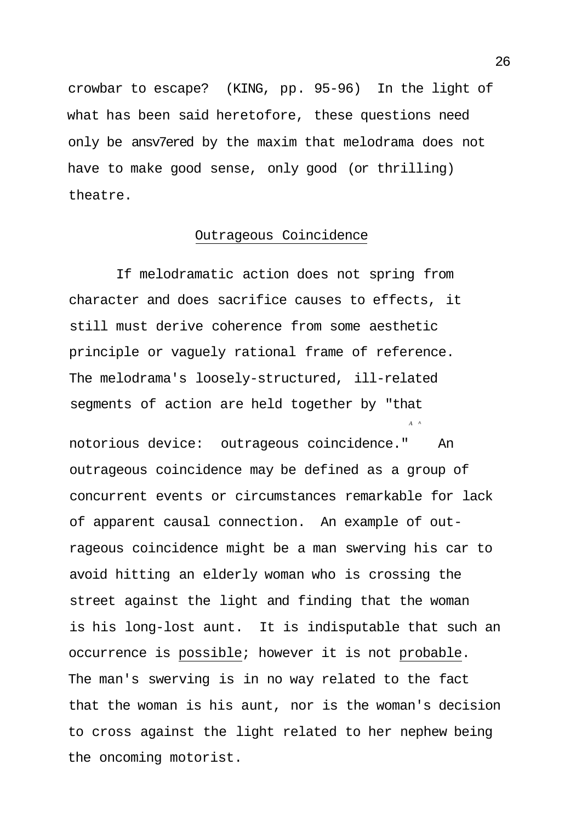crowbar to escape? (KING, pp. 95-96) In the light of what has been said heretofore, these questions need only be ansv7ered by the maxim that melodrama does not have to make good sense, only good (or thrilling) theatre.

# Outrageous Coincidence

If melodramatic action does not spring from character and does sacrifice causes to effects, it still must derive coherence from some aesthetic principle or vaguely rational frame of reference. The melodrama's loosely-structured, ill-related segments of action are held together by "that

notorious device: outrageous coincidence." An outrageous coincidence may be defined as a group of concurrent events or circumstances remarkable for lack of apparent causal connection. An example of outrageous coincidence might be a man swerving his car to avoid hitting an elderly woman who is crossing the street against the light and finding that the woman is his long-lost aunt. It is indisputable that such an occurrence is possible; however it is not probable. The man's swerving is in no way related to the fact that the woman is his aunt, nor is the woman's decision to cross against the light related to her nephew being the oncoming motorist.

*A* ^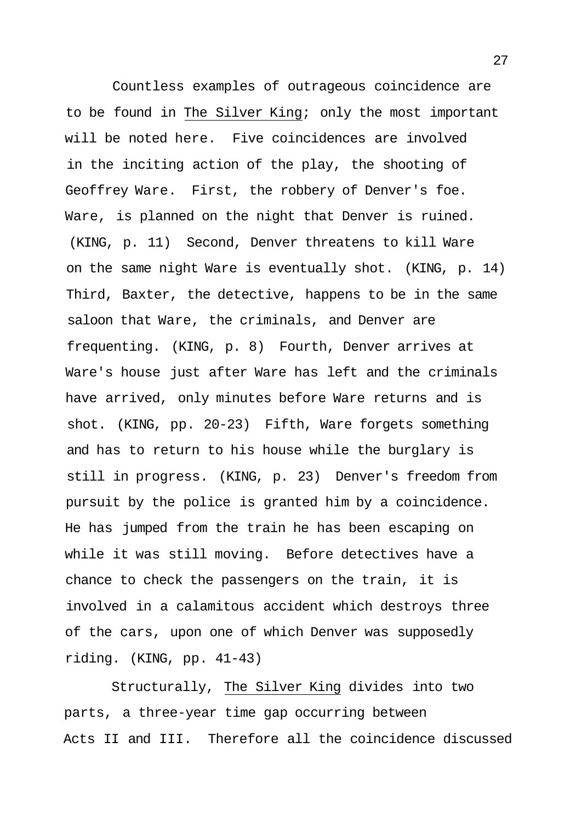Countless examples of outrageous coincidence are to be found in The Silver King; only the most important will be noted here. Five coincidences are involved in the inciting action of the play, the shooting of Geoffrey Ware. First, the robbery of Denver's foe. Ware, is planned on the night that Denver is ruined. (KING, p. 11) Second, Denver threatens to kill Ware on the same night Ware is eventually shot. (KING, p. 14) Third, Baxter, the detective, happens to be in the same saloon that Ware, the criminals, and Denver are frequenting. (KING, p. 8) Fourth, Denver arrives at Ware's house just after Ware has left and the criminals have arrived, only minutes before Ware returns and is shot. (KING, pp. 20-23) Fifth, Ware forgets something and has to return to his house while the burglary is still in progress. (KING, p. 23) Denver's freedom from pursuit by the police is granted him by a coincidence. He has jumped from the train he has been escaping on while it was still moving. Before detectives have a chance to check the passengers on the train, it is involved in a calamitous accident which destroys three of the cars, upon one of which Denver was supposedly riding. (KING, pp. 41-43)

Structurally, The Silver King divides into two parts, a three-year time gap occurring between Acts II and III. Therefore all the coincidence discussed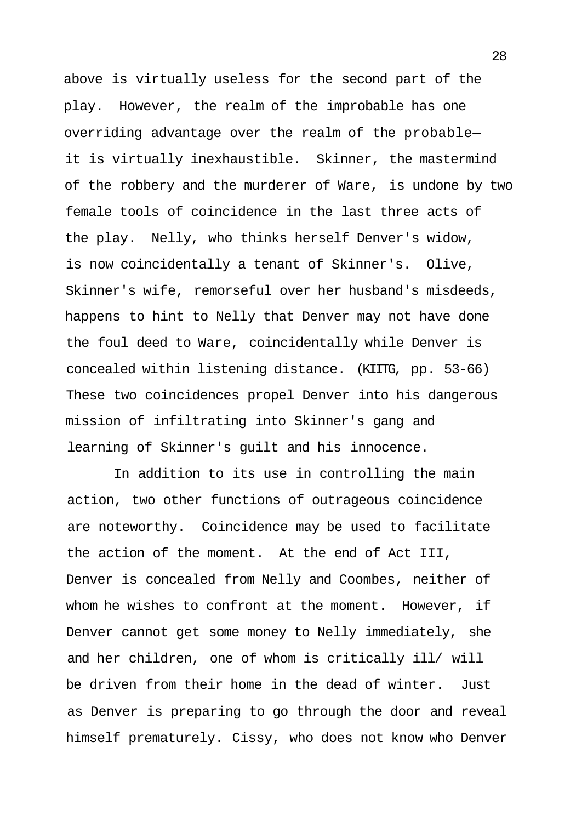above is virtually useless for the second part of the play. However, the realm of the improbable has one overriding advantage over the realm of the probable it is virtually inexhaustible. Skinner, the mastermind of the robbery and the murderer of Ware, is undone by two female tools of coincidence in the last three acts of the play. Nelly, who thinks herself Denver's widow, is now coincidentally a tenant of Skinner's. Olive, Skinner's wife, remorseful over her husband's misdeeds, happens to hint to Nelly that Denver may not have done the foul deed to Ware, coincidentally while Denver is concealed within listening distance. (KIITG, pp. 53-66) These two coincidences propel Denver into his dangerous mission of infiltrating into Skinner's gang and learning of Skinner's guilt and his innocence.

In addition to its use in controlling the main action, two other functions of outrageous coincidence are noteworthy. Coincidence may be used to facilitate the action of the moment. At the end of Act III, Denver is concealed from Nelly and Coombes, neither of whom he wishes to confront at the moment. However, if Denver cannot get some money to Nelly immediately, she and her children, one of whom is critically ill/ will be driven from their home in the dead of winter. Just as Denver is preparing to go through the door and reveal himself prematurely. Cissy, who does not know who Denver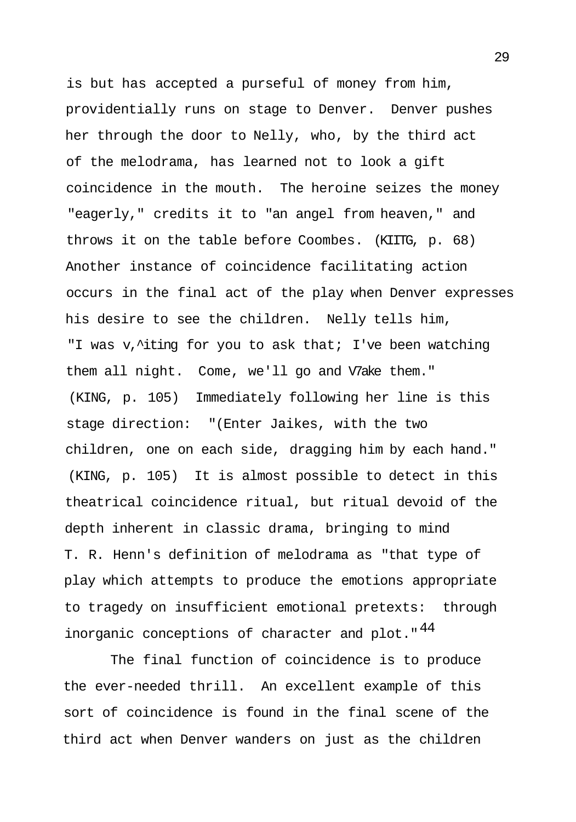is but has accepted a purseful of money from him, providentially runs on stage to Denver. Denver pushes her through the door to Nelly, who, by the third act of the melodrama, has learned not to look a gift coincidence in the mouth. The heroine seizes the money "eagerly," credits it to "an angel from heaven," and throws it on the table before Coombes. (KIITG, p. 68) Another instance of coincidence facilitating action occurs in the final act of the play when Denver expresses his desire to see the children. Nelly tells him, "I was v, ting for you to ask that; I've been watching them all night. Come, we'll go and V7ake them." (KING, p. 105) Immediately following her line is this stage direction: "(Enter Jaikes, with the two children, one on each side, dragging him by each hand." (KING, p. 105) It is almost possible to detect in this theatrical coincidence ritual, but ritual devoid of the depth inherent in classic drama, bringing to mind T. R. Henn's definition of melodrama as "that type of play which attempts to produce the emotions appropriate to tragedy on insufficient emotional pretexts: through inorganic conceptions of character and plot."<sup>44</sup>

The final function of coincidence is to produce the ever-needed thrill. An excellent example of this sort of coincidence is found in the final scene of the third act when Denver wanders on just as the children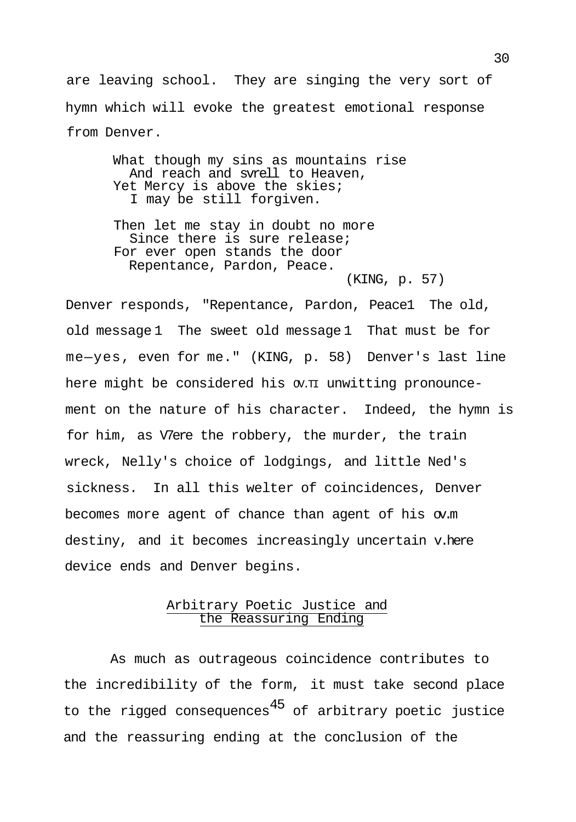are leaving school. They are singing the very sort of hymn which will evoke the greatest emotional response from Denver.

> What though my sins as mountains rise And reach and svrell to Heaven, Yet Mercy is above the skies; I may be still forgiven.

Then let me stay in doubt no more Since there is sure release; For ever open stands the door Repentance, Pardon, Peace. (KING, p. 57)

Denver responds, "Repentance, Pardon, Peace1 The old, old message 1 The sweet old message 1 That must be for me—yes, even for me." (KING, p. 58) Denver's last line here might be considered his  $\alpha$ . In unwitting pronouncement on the nature of his character. Indeed, the hymn is for him, as V7ere the robbery, the murder, the train wreck, Nelly's choice of lodgings, and little Ned's sickness. In all this welter of coincidences, Denver becomes more agent of chance than agent of his ov.m destiny, and it becomes increasingly uncertain v.here device ends and Denver begins.

## Arbitrary Poetic Justice and the Reassuring Ending

As much as outrageous coincidence contributes to the incredibility of the form, it must take second place to the rigged consequences $^{45}$  of arbitrary poetic justice and the reassuring ending at the conclusion of the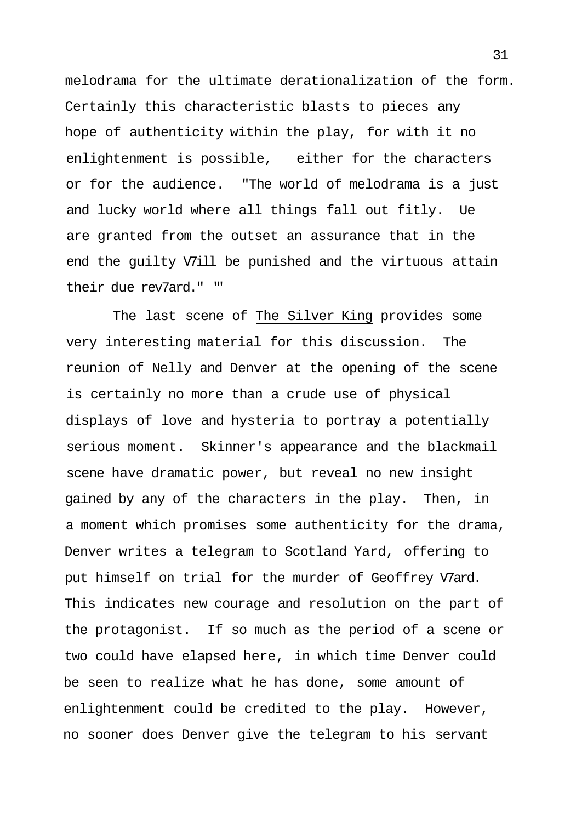melodrama for the ultimate derationalization of the form. Certainly this characteristic blasts to pieces any hope of authenticity within the play, for with it no enlightenment is possible, either for the characters or for the audience. "The world of melodrama is a just and lucky world where all things fall out fitly. Ue are granted from the outset an assurance that in the end the guilty V7ill be punished and the virtuous attain their due rev7ard." '''

The last scene of The Silver King provides some very interesting material for this discussion. The reunion of Nelly and Denver at the opening of the scene is certainly no more than a crude use of physical displays of love and hysteria to portray a potentially serious moment. Skinner's appearance and the blackmail scene have dramatic power, but reveal no new insight gained by any of the characters in the play. Then, in a moment which promises some authenticity for the drama, Denver writes a telegram to Scotland Yard, offering to put himself on trial for the murder of Geoffrey V7ard. This indicates new courage and resolution on the part of the protagonist. If so much as the period of a scene or two could have elapsed here, in which time Denver could be seen to realize what he has done, some amount of enlightenment could be credited to the play. However, no sooner does Denver give the telegram to his servant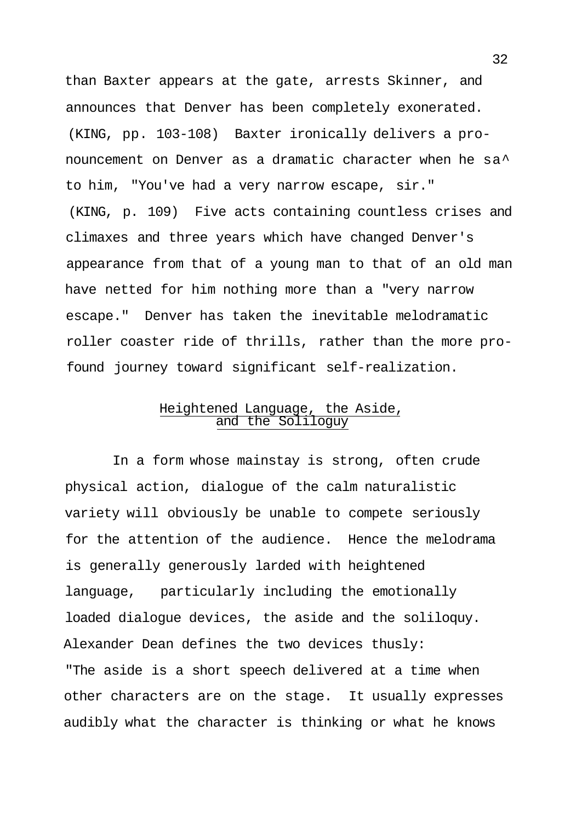than Baxter appears at the gate, arrests Skinner, and announces that Denver has been completely exonerated. (KING, pp. 103-108) Baxter ironically delivers a pronouncement on Denver as a dramatic character when he sa^ to him, "You've had a very narrow escape, sir." (KING, p. 109) Five acts containing countless crises and climaxes and three years which have changed Denver's appearance from that of a young man to that of an old man have netted for him nothing more than a "very narrow escape." Denver has taken the inevitable melodramatic roller coaster ride of thrills, rather than the more profound journey toward significant self-realization.

## Heightened Language, the Aside, and the Soliloguy

In a form whose mainstay is strong, often crude physical action, dialogue of the calm naturalistic variety will obviously be unable to compete seriously for the attention of the audience. Hence the melodrama is generally generously larded with heightened language, particularly including the emotionally loaded dialogue devices, the aside and the soliloquy. Alexander Dean defines the two devices thusly: "The aside is a short speech delivered at a time when other characters are on the stage. It usually expresses audibly what the character is thinking or what he knows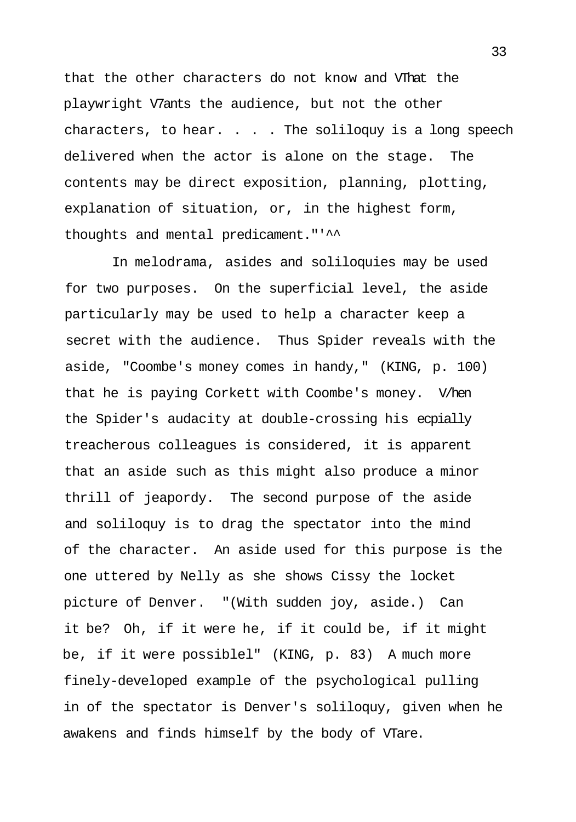that the other characters do not know and VThat the playwright V7ants the audience, but not the other characters, to hear.  $\ldots$  . The soliloquy is a long speech delivered when the actor is alone on the stage. The contents may be direct exposition, planning, plotting, explanation of situation, or, in the highest form, thoughts and mental predicament."'<sup>^^</sup>

In melodrama, asides and soliloquies may be used for two purposes. On the superficial level, the aside particularly may be used to help a character keep a secret with the audience. Thus Spider reveals with the aside, "Coombe's money comes in handy," (KING, p. 100) that he is paying Corkett with Coombe's money. V/hen the Spider's audacity at double-crossing his ecpially treacherous colleagues is considered, it is apparent that an aside such as this might also produce a minor thrill of jeapordy. The second purpose of the aside and soliloquy is to drag the spectator into the mind of the character. An aside used for this purpose is the one uttered by Nelly as she shows Cissy the locket picture of Denver. "(With sudden joy, aside.) Can it be? Oh, if it were he, if it could be, if it might be, if it were possiblel" (KING, p. 83) A much more finely-developed example of the psychological pulling in of the spectator is Denver's soliloquy, given when he awakens and finds himself by the body of VTare.

33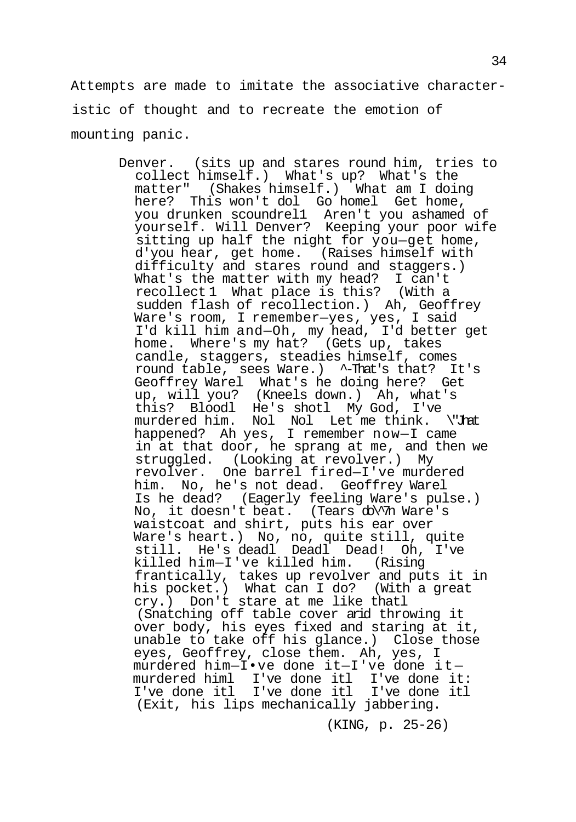Attempts are made to imitate the associative characteristic of thought and to recreate the emotion of mounting panic.

> Denver. (sits up and stares round him, tries to collect himself.) What's up? What's the matter" (Shakes himself.) What am I doing here? This won't dol Go homel Get home, you drunken scoundrel1 Aren't you ashamed of yourself. Will Denver? Keeping your poor wife sitting up half the night for you—get home, d'you hear, get home. (Raises himself with difficulty and stares round and staggers.) What's the matter with my head? I can't recollect 1 What place is this? (With a sudden flash of recollection.) Ah, Geoffrey Ware's room, I remember—yes, yes, I said I'd kill him and—Oh, my head, I'd better get home. Where's my hat? (Gets up, takes candle, staggers, steadies himself, comes round table, sees Ware.) ^-That's that? It's Geoffrey Warel What's he doing here? Get up, will you? (Kneels down.) Ah, what's this? Bloodl He's shotl My-God, I've<br>murdered.him. Nol Nol Let-me-think. \"Jhat murdered him. Nol Nol Let me think. happened? Ah yes, I remember now—I came in at that door, he sprang at me, and then we struggled. (Looking at revolver.) My revolver. One barrel fired—I've murdered him. No, he's not dead. Geoffrey Warel Is he dead? (Eagerly feeling Ware's pulse.) No, it doesn't beat. (Tears do\^7n Ware's waistcoat and shirt, puts his ear over Ware's heart.) No, no, quite still, quite still. He's deadl Deadl Dead! Oh, I've killed him—I've killed him. (Rising frantically, takes up revolver and puts it in his pocket.) What can I do? (With a great cry.) Don't stare at me like thatl (Snatching off table cover arid throwing it over body, his eyes fixed and staring at it, unable to take off his glance.) Close those eyes, Geoffrey, close them. Ah, yes, I murdered him—I•ve done it—I've done it murdered himl I've done itl I've done it:<br>I've done itl I've done itl I've done itl I've done itl I've done itl (Exit, his lips mechanically jabbering.

> > (KING, p. 25-26)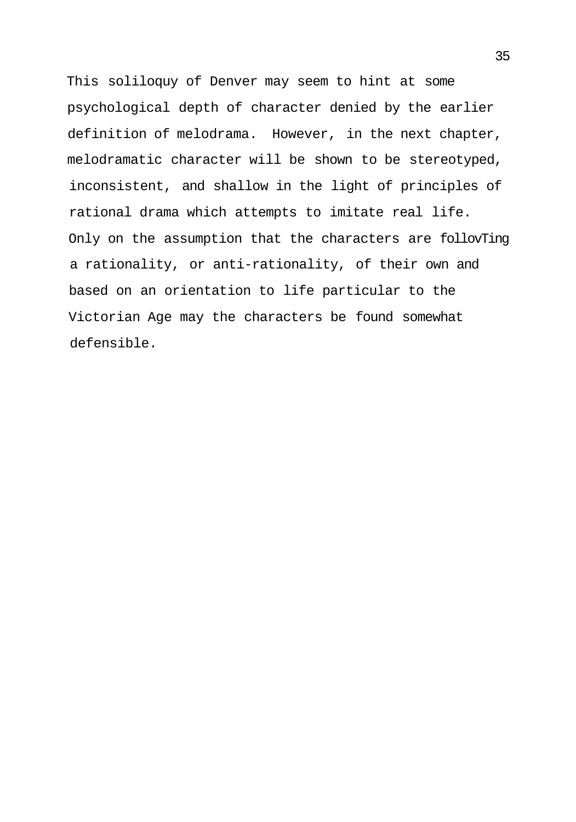This soliloquy of Denver may seem to hint at some psychological depth of character denied by the earlier definition of melodrama. However, in the next chapter, melodramatic character will be shown to be stereotyped, inconsistent, and shallow in the light of principles of rational drama which attempts to imitate real life. Only on the assumption that the characters are follovTing a rationality, or anti-rationality, of their own and based on an orientation to life particular to the Victorian Age may the characters be found somewhat defensible.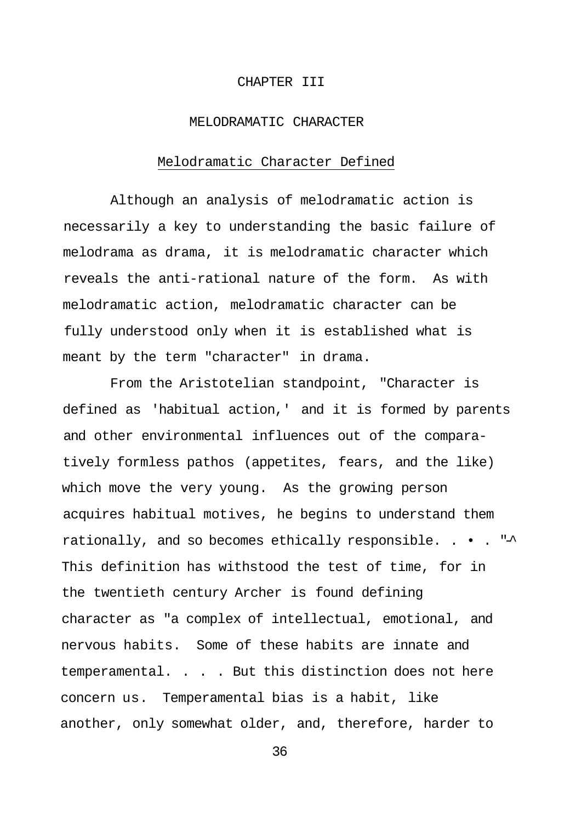## CHAPTER III

### MELODRAMATIC CHARACTER

## Melodramatic Character Defined

Although an analysis of melodramatic action is necessarily a key to understanding the basic failure of melodrama as drama, it is melodramatic character which reveals the anti-rational nature of the form. As with melodramatic action, melodramatic character can be fully understood only when it is established what is meant by the term "character" in drama.

From the Aristotelian standpoint, "Character is defined as 'habitual action,' and it is formed by parents and other environmental influences out of the comparatively formless pathos (appetites, fears, and the like) which move the very young. As the growing person acquires habitual motives, he begins to understand them rationally, and so becomes ethically responsible. . . " This definition has withstood the test of time, for in the twentieth century Archer is found defining character as "a complex of intellectual, emotional, and nervous habits. Some of these habits are innate and temperamental. . . . But this distinction does not here concern us. Temperamental bias is a habit, like another, only somewhat older, and, therefore, harder to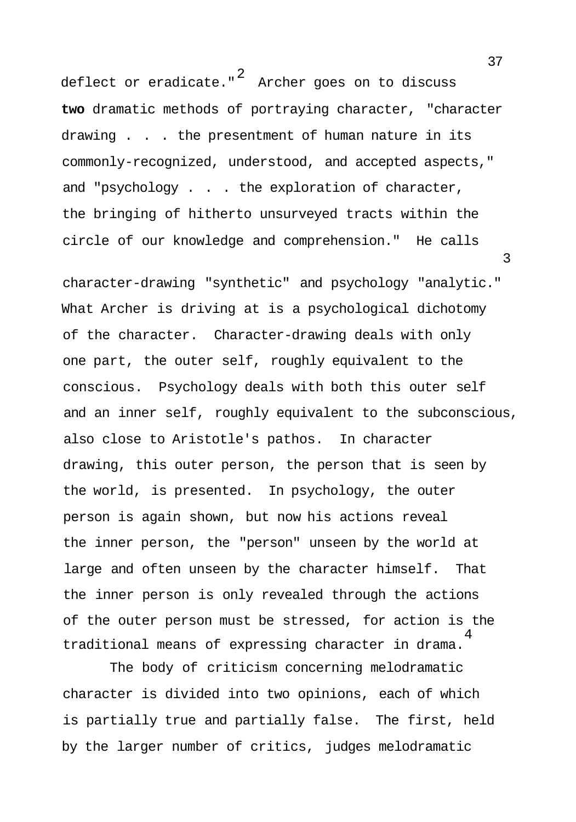2 deflect or eradicate." Archer goes on to discuss **two** dramatic methods of portraying character, "character drawing . . . the presentment of human nature in its commonly-recognized, understood, and accepted aspects," and "psychology . . . the exploration of character, the bringing of hitherto unsurveyed tracts within the circle of our knowledge and comprehension." He calls 3

character-drawing "synthetic" and psychology "analytic." What Archer is driving at is a psychological dichotomy of the character. Character-drawing deals with only one part, the outer self, roughly equivalent to the conscious. Psychology deals with both this outer self and an inner self, roughly equivalent to the subconscious, also close to Aristotle's pathos. In character drawing, this outer person, the person that is seen by the world, is presented. In psychology, the outer person is again shown, but now his actions reveal the inner person, the "person" unseen by the world at large and often unseen by the character himself. That the inner person is only revealed through the actions of the outer person must be stressed, for action is the 4 traditional means of expressing character in drama.

The body of criticism concerning melodramatic character is divided into two opinions, each of which is partially true and partially false. The first, held by the larger number of critics, judges melodramatic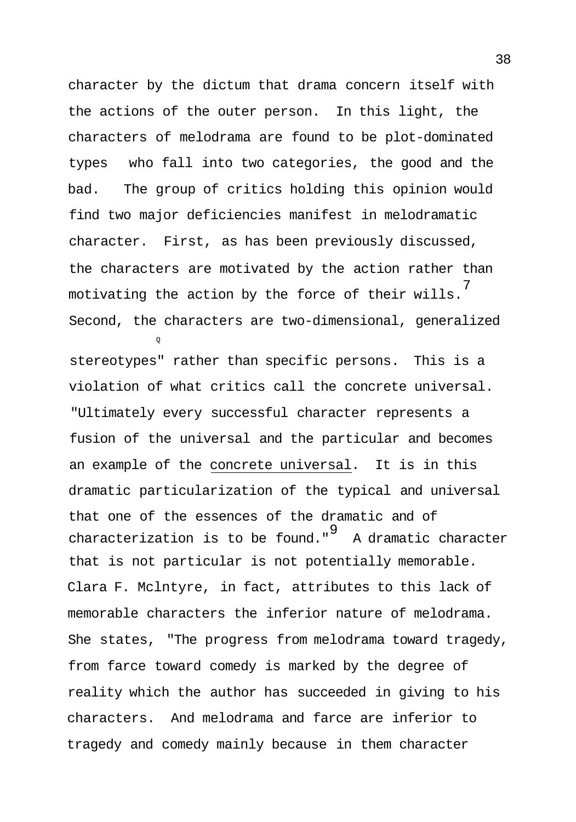character by the dictum that drama concern itself with the actions of the outer person. In this light, the characters of melodrama are found to be plot-dominated types who fall into two categories, the good and the bad. The group of critics holding this opinion would find two major deficiencies manifest in melodramatic character. First, as has been previously discussed, the characters are motivated by the action rather than 7 motivating the action by the force of their wills.  $\dot{\phantom{a}}$ Second, the characters are two-dimensional, generalized

Q

stereotypes" rather than specific persons. This is a violation of what critics call the concrete universal. "Ultimately every successful character represents a fusion of the universal and the particular and becomes an example of the concrete universal. It is in this dramatic particularization of the typical and universal that one of the essences of the dramatic and of 9 characterization is to be found." A dramatic character that is not particular is not potentially memorable. Clara F. Mclntyre, in fact, attributes to this lack of memorable characters the inferior nature of melodrama. She states, "The progress from melodrama toward tragedy, from farce toward comedy is marked by the degree of reality which the author has succeeded in giving to his characters. And melodrama and farce are inferior to tragedy and comedy mainly because in them character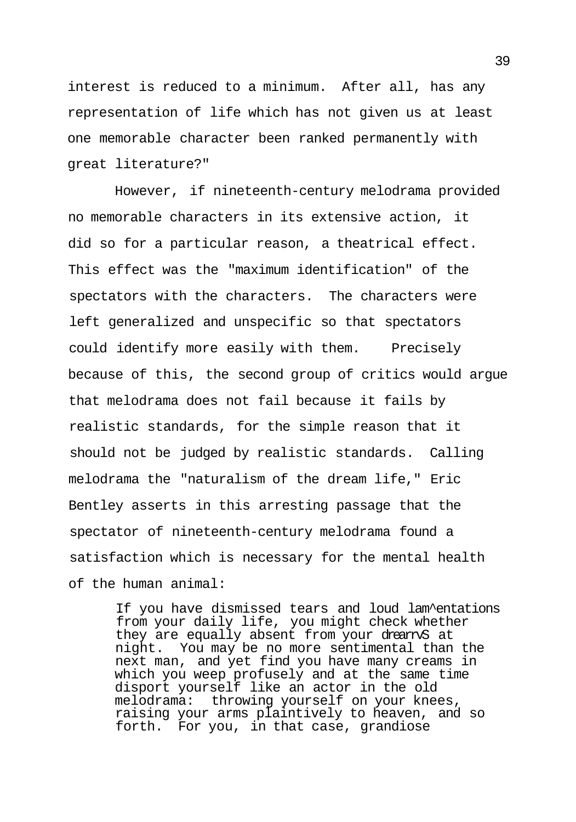interest is reduced to a minimum. After all, has any representation of life which has not given us at least one memorable character been ranked permanently with great literature?"

However, if nineteenth-century melodrama provided no memorable characters in its extensive action, it did so for a particular reason, a theatrical effect. This effect was the "maximum identification" of the spectators with the characters. The characters were left generalized and unspecific so that spectators could identify more easily with them. Precisely because of this, the second group of critics would argue that melodrama does not fail because it fails by realistic standards, for the simple reason that it should not be judged by realistic standards. Calling melodrama the "naturalism of the dream life," Eric Bentley asserts in this arresting passage that the spectator of nineteenth-century melodrama found a satisfaction which is necessary for the mental health of the human animal:

> If you have dismissed tears and loud lam^entations from your daily life, you might check whether they are equally absent from your drearryS at night. You may be no more sentimental than the next man, and yet find you have many creams in which you weep profusely and at the same time disport yourself like an actor in the old melodrama: throwing yourself on your knees, raising your arms plaintively to heaven, and so forth. For you, in that case, grandiose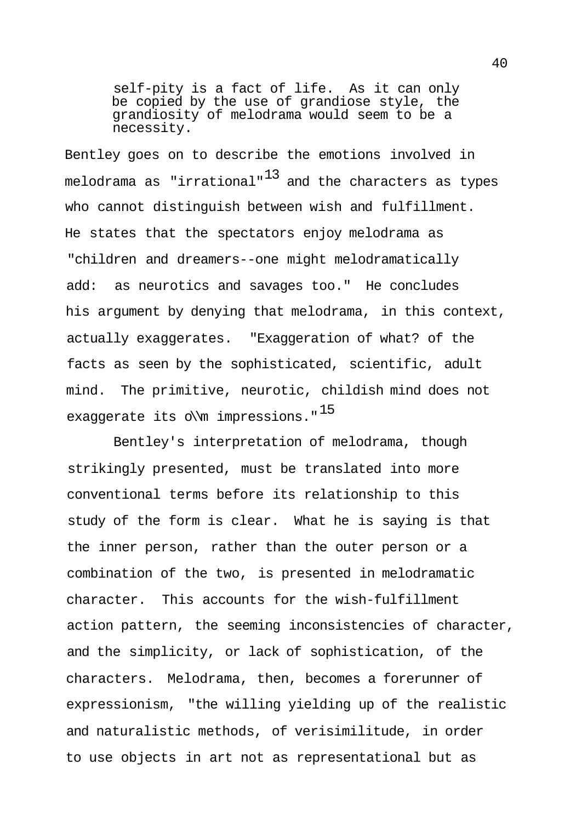self-pity is a fact of life. As it can only be copied by the use of grandiose style, the grandiosity of melodrama would seem to be a necessity.

Bentley goes on to describe the emotions involved in  $melodrama$  as "irrational" $13$  and the characters as types who cannot distinguish between wish and fulfillment. He states that the spectators enjoy melodrama as "children and dreamers--one might melodramatically add: as neurotics and savages too." He concludes his argument by denying that melodrama, in this context, actually exaggerates. "Exaggeration of what? of the facts as seen by the sophisticated, scientific, adult mind. The primitive, neurotic, childish mind does not exaggerate its  $o\$ m impressions."<sup>15</sup>

Bentley's interpretation of melodrama, though strikingly presented, must be translated into more conventional terms before its relationship to this study of the form is clear. What he is saying is that the inner person, rather than the outer person or a combination of the two, is presented in melodramatic character. This accounts for the wish-fulfillment action pattern, the seeming inconsistencies of character, and the simplicity, or lack of sophistication, of the characters. Melodrama, then, becomes a forerunner of expressionism, "the willing yielding up of the realistic and naturalistic methods, of verisimilitude, in order to use objects in art not as representational but as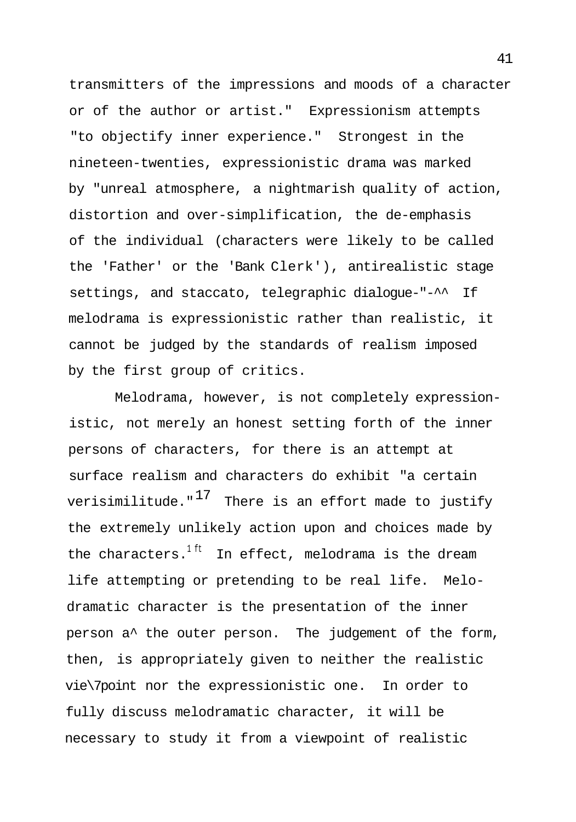transmitters of the impressions and moods of a character or of the author or artist." Expressionism attempts "to objectify inner experience." Strongest in the nineteen-twenties, expressionistic drama was marked by "unreal atmosphere, a nightmarish quality of action, distortion and over-simplification, the de-emphasis of the individual (characters were likely to be called the 'Father' or the 'Bank Clerk'), antirealistic stage settings, and staccato, telegraphic dialoque-"-^^ If melodrama is expressionistic rather than realistic, it cannot be judged by the standards of realism imposed by the first group of critics.

Melodrama, however, is not completely expressionistic, not merely an honest setting forth of the inner persons of characters, for there is an attempt at surface realism and characters do exhibit "a certain verisimilitude." $17$  There is an effort made to justify the extremely unlikely action upon and choices made by the characters. $1^{\text{ft}}$  In effect, melodrama is the dream life attempting or pretending to be real life. Melodramatic character is the presentation of the inner person a^ the outer person. The judgement of the form, then, is appropriately given to neither the realistic vie\7point nor the expressionistic one. In order to fully discuss melodramatic character, it will be necessary to study it from a viewpoint of realistic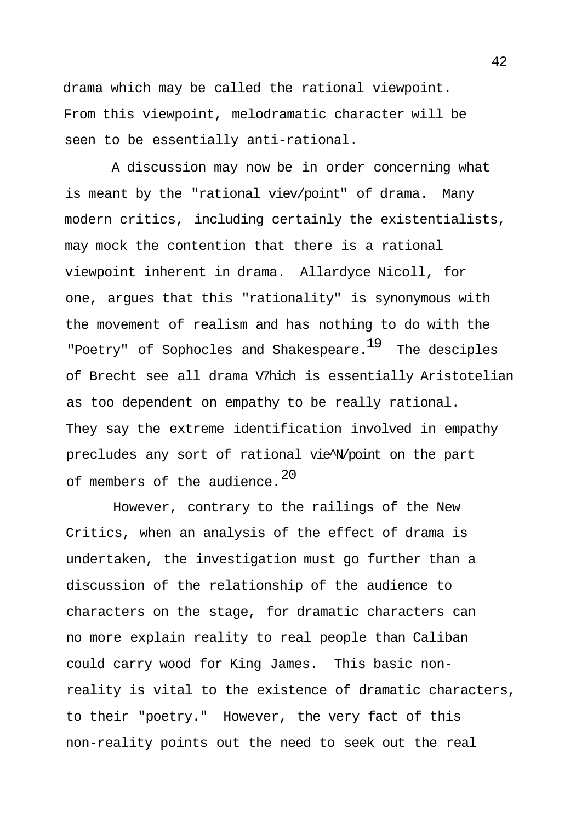drama which may be called the rational viewpoint. From this viewpoint, melodramatic character will be seen to be essentially anti-rational.

A discussion may now be in order concerning what is meant by the "rational viev/point" of drama. Many modern critics, including certainly the existentialists, may mock the contention that there is a rational viewpoint inherent in drama. Allardyce Nicoll, for one, argues that this "rationality" is synonymous with the movement of realism and has nothing to do with the "Poetry" of Sophocles and Shakespeare.<sup>19</sup> The desciples of Brecht see all drama V7hich is essentially Aristotelian as too dependent on empathy to be really rational. They say the extreme identification involved in empathy precludes any sort of rational vie^N/point on the part 20 of members of the audience.<sup>2</sup>

However, contrary to the railings of the New Critics, when an analysis of the effect of drama is undertaken, the investigation must go further than a discussion of the relationship of the audience to characters on the stage, for dramatic characters can no more explain reality to real people than Caliban could carry wood for King James. This basic nonreality is vital to the existence of dramatic characters, to their "poetry." However, the very fact of this non-reality points out the need to seek out the real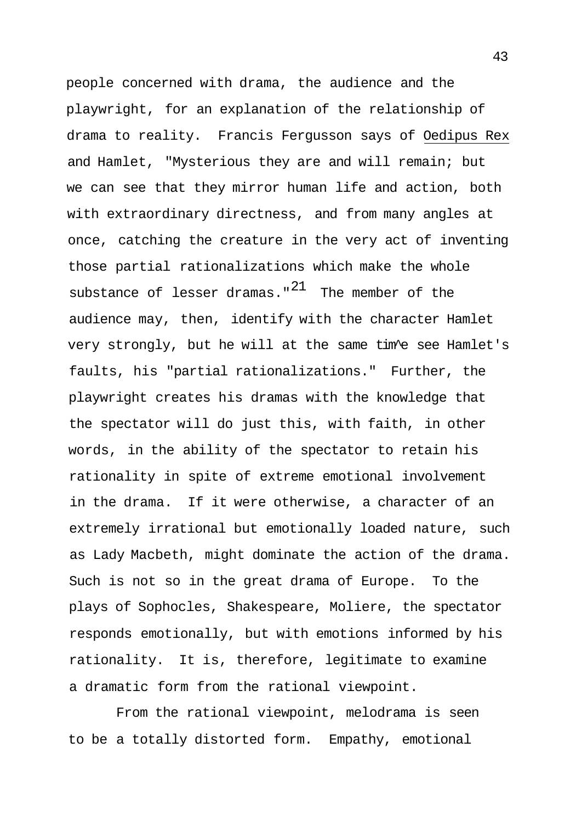people concerned with drama, the audience and the playwright, for an explanation of the relationship of drama to reality. Francis Fergusson says of Oedipus Rex and Hamlet, "Mysterious they are and will remain; but we can see that they mirror human life and action, both with extraordinary directness, and from many angles at once, catching the creature in the very act of inventing those partial rationalizations which make the whole substance of lesser dramas." $21$  The member of the audience may, then, identify with the character Hamlet very strongly, but he will at the same tim^e see Hamlet's faults, his "partial rationalizations." Further, the playwright creates his dramas with the knowledge that the spectator will do just this, with faith, in other words, in the ability of the spectator to retain his rationality in spite of extreme emotional involvement in the drama. If it were otherwise, a character of an extremely irrational but emotionally loaded nature, such as Lady Macbeth, might dominate the action of the drama. Such is not so in the great drama of Europe. To the plays of Sophocles, Shakespeare, Moliere, the spectator responds emotionally, but with emotions informed by his rationality. It is, therefore, legitimate to examine a dramatic form from the rational viewpoint.

From the rational viewpoint, melodrama is seen to be a totally distorted form. Empathy, emotional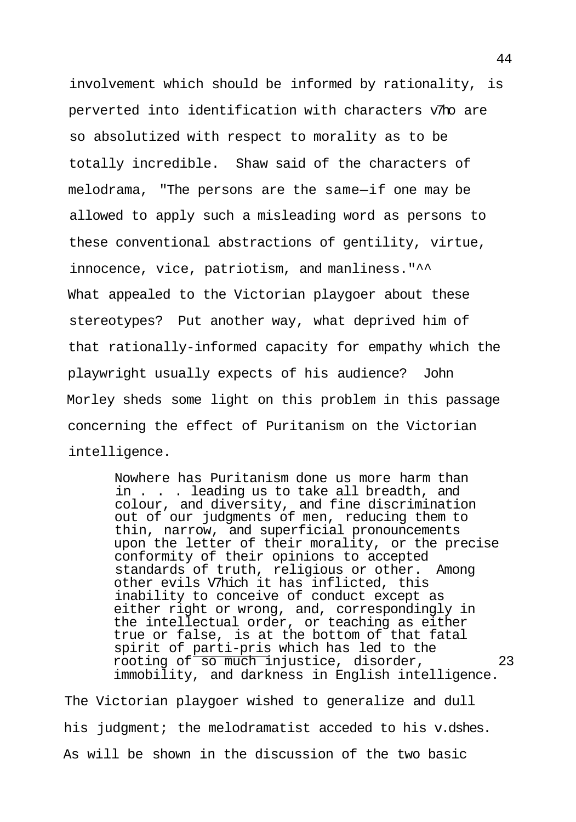involvement which should be informed by rationality, is perverted into identification with characters v7ho are so absolutized with respect to morality as to be totally incredible. Shaw said of the characters of melodrama, "The persons are the same—if one may be allowed to apply such a misleading word as persons to these conventional abstractions of gentility, virtue, innocence, vice, patriotism, and manliness."^^ What appealed to the Victorian playgoer about these stereotypes? Put another way, what deprived him of that rationally-informed capacity for empathy which the playwright usually expects of his audience? John Morley sheds some light on this problem in this passage concerning the effect of Puritanism on the Victorian intelligence.

> Nowhere has Puritanism done us more harm than in . . . leading us to take all breadth, and colour, and diversity, and fine discrimination out of our judgments of men, reducing them to thin, narrow, and superficial pronouncements upon the letter of their morality, or the precise conformity of their opinions to accepted standards of truth, religious or other. Among other evils V7hich it has inflicted, this inability to conceive of conduct except as either right or wrong, and, correspondingly in the intellectual order, or teaching as either true or false, is at the bottom of that fatal spirit of parti-pris which has led to the rooting of so much injustice, disorder, 23 immobility, and darkness in English intelligence.

The Victorian playgoer wished to generalize and dull his judgment; the melodramatist acceded to his v.dshes. As will be shown in the discussion of the two basic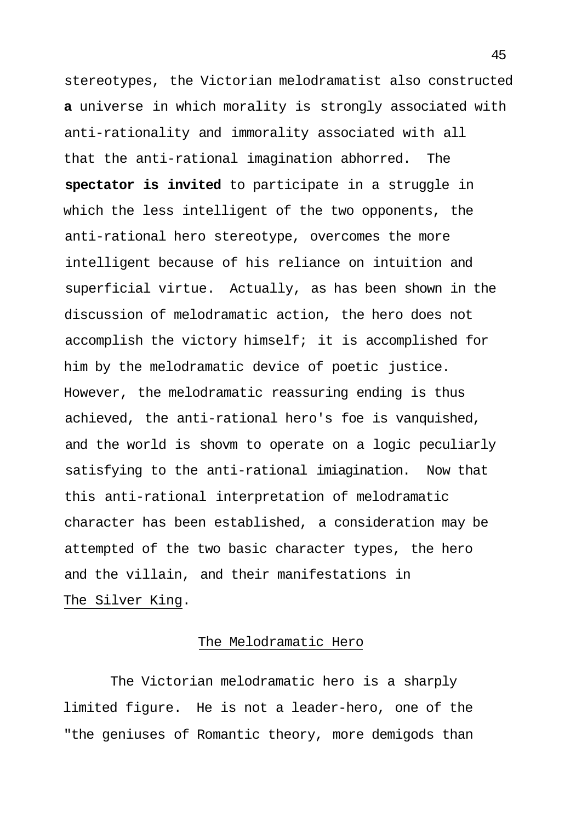stereotypes, the Victorian melodramatist also constructed **a** universe in which morality is strongly associated with anti-rationality and immorality associated with all that the anti-rational imagination abhorred. The **spectator is invited** to participate in a struggle in which the less intelligent of the two opponents, the anti-rational hero stereotype, overcomes the more intelligent because of his reliance on intuition and superficial virtue. Actually, as has been shown in the discussion of melodramatic action, the hero does not accomplish the victory himself; it is accomplished for him by the melodramatic device of poetic justice. However, the melodramatic reassuring ending is thus achieved, the anti-rational hero's foe is vanquished, and the world is shovm to operate on a logic peculiarly satisfying to the anti-rational imiagination. Now that this anti-rational interpretation of melodramatic character has been established, a consideration may be attempted of the two basic character types, the hero and the villain, and their manifestations in The Silver King.

# The Melodramatic Hero

The Victorian melodramatic hero is a sharply limited figure. He is not a leader-hero, one of the "the geniuses of Romantic theory, more demigods than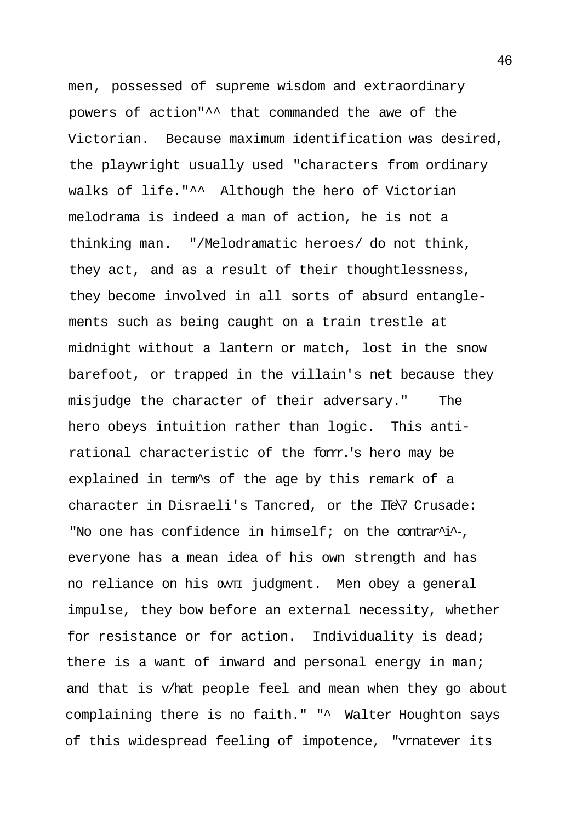men, possessed of supreme wisdom and extraordinary powers of action"^^ that commanded the awe of the Victorian. Because maximum identification was desired, the playwright usually used "characters from ordinary walks of life."<sup>^^</sup> Although the hero of Victorian melodrama is indeed a man of action, he is not a thinking man. "/Melodramatic heroes/ do not think, they act, and as a result of their thoughtlessness, they become involved in all sorts of absurd entanglements such as being caught on a train trestle at midnight without a lantern or match, lost in the snow barefoot, or trapped in the villain's net because they misjudge the character of their adversary." The hero obeys intuition rather than logic. This antirational characteristic of the forrr.'s hero may be explained in term^s of the age by this remark of a character in Disraeli's Tancred, or the ITe\7 Crusade: "No one has confidence in himself; on the contrar^i^-, everyone has a mean idea of his own strength and has no reliance on his own judgment. Men obey a general impulse, they bow before an external necessity, whether for resistance or for action. Individuality is dead; there is a want of inward and personal energy in man; and that is v/hat people feel and mean when they go about complaining there is no faith." "^ Walter Houghton says of this widespread feeling of impotence, "vrnatever its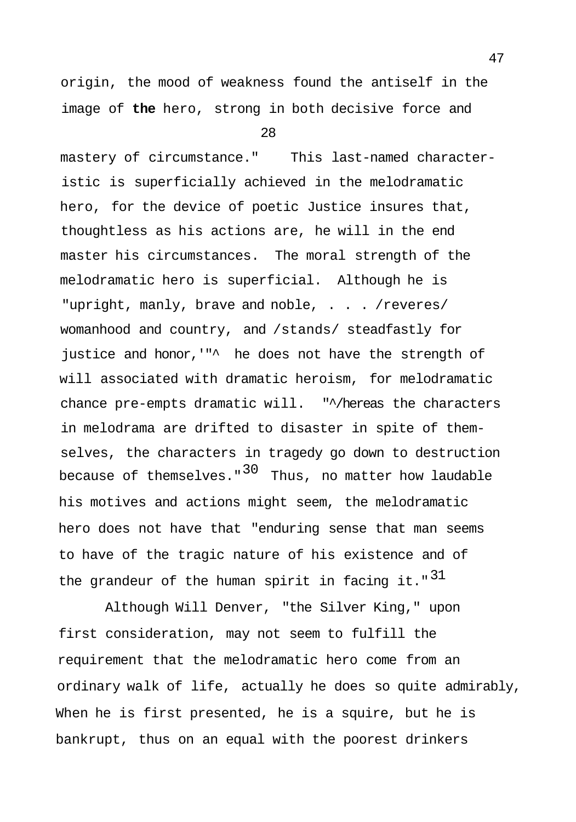origin, the mood of weakness found the antiself in the image of **the** hero, strong in both decisive force and

28

mastery of circumstance." This last-named characteristic is superficially achieved in the melodramatic hero, for the device of poetic Justice insures that, thoughtless as his actions are, he will in the end master his circumstances. The moral strength of the melodramatic hero is superficial. Although he is "upright, manly, brave and noble, . . . /reveres/ womanhood and country, and /stands/ steadfastly for justice and honor,'"<sup>^</sup> he does not have the strength of will associated with dramatic heroism, for melodramatic chance pre-empts dramatic will. "^/hereas the characters in melodrama are drifted to disaster in spite of themselves, the characters in tragedy go down to destruction because of themselves." $30$  Thus, no matter how laudable his motives and actions might seem, the melodramatic hero does not have that "enduring sense that man seems to have of the tragic nature of his existence and of the grandeur of the human spirit in facing it." $31$ 

Although Will Denver, "the Silver King," upon first consideration, may not seem to fulfill the requirement that the melodramatic hero come from an ordinary walk of life, actually he does so quite admirably, When he is first presented, he is a squire, but he is bankrupt, thus on an equal with the poorest drinkers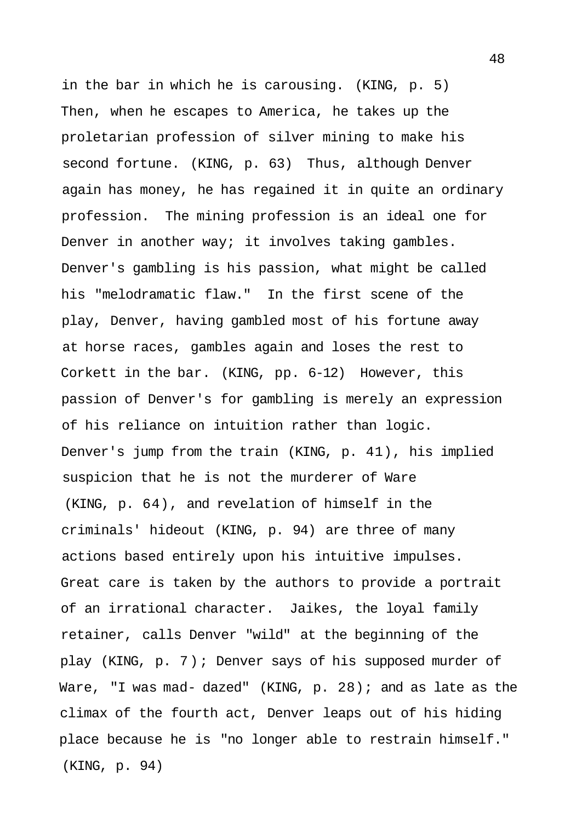in the bar in which he is carousing. (KING, p. 5) Then, when he escapes to America, he takes up the proletarian profession of silver mining to make his second fortune. (KING, p. 63) Thus, although Denver again has money, he has regained it in quite an ordinary profession. The mining profession is an ideal one for Denver in another way; it involves taking gambles. Denver's gambling is his passion, what might be called his "melodramatic flaw." In the first scene of the play, Denver, having gambled most of his fortune away at horse races, gambles again and loses the rest to Corkett in the bar. (KING, pp. 6-12) However, this passion of Denver's for gambling is merely an expression of his reliance on intuition rather than logic. Denver's jump from the train (KING, p. 41), his implied suspicion that he is not the murderer of Ware (KING, p. 64), and revelation of himself in the criminals' hideout (KING, p. 94) are three of many actions based entirely upon his intuitive impulses. Great care is taken by the authors to provide a portrait of an irrational character. Jaikes, the loyal family retainer, calls Denver "wild" at the beginning of the play (KING, p. 7); Denver says of his supposed murder of Ware, "I was mad- dazed" (KING, p. 28); and as late as the climax of the fourth act, Denver leaps out of his hiding place because he is "no longer able to restrain himself." (KING, p. 94)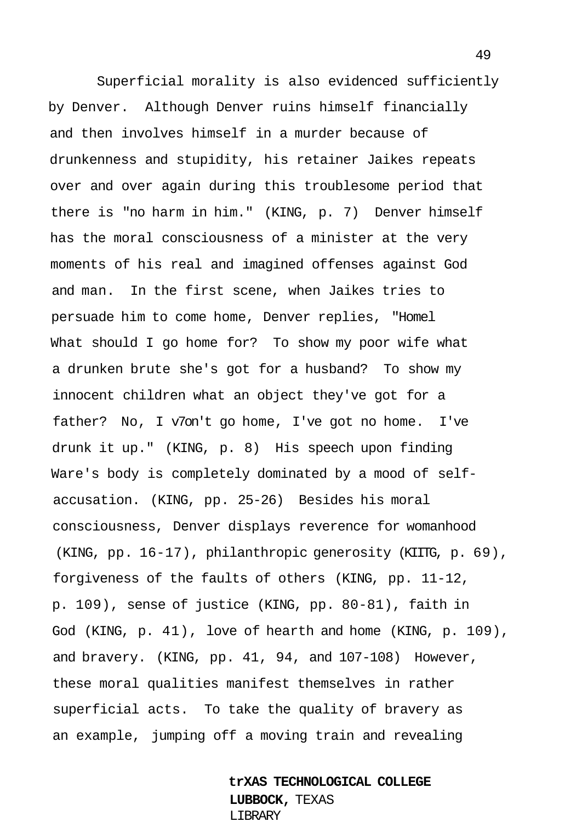Superficial morality is also evidenced sufficiently by Denver. Although Denver ruins himself financially and then involves himself in a murder because of drunkenness and stupidity, his retainer Jaikes repeats over and over again during this troublesome period that there is "no harm in him." (KING, p. 7) Denver himself has the moral consciousness of a minister at the very moments of his real and imagined offenses against God and man. In the first scene, when Jaikes tries to persuade him to come home, Denver replies, "Homel What should I go home for? To show my poor wife what a drunken brute she's got for a husband? To show my innocent children what an object they've got for a father? No, I v7on't go home, I've got no home. I've drunk it up." (KING, p. 8) His speech upon finding Ware's body is completely dominated by a mood of selfaccusation. (KING, pp. 25-26) Besides his moral consciousness, Denver displays reverence for womanhood (KING, pp. 16-17), philanthropic generosity (KIITG, p. 69), forgiveness of the faults of others (KING, pp. 11-12, p. 109), sense of justice (KING, pp. 80-81), faith in God (KING, p. 41), love of hearth and home (KING, p. 109), and bravery. (KING, pp. 41, 94, and 107-108) However, these moral qualities manifest themselves in rather superficial acts. To take the quality of bravery as an example, jumping off a moving train and revealing

> **trXAS TECHNOLOGICAL COLLEGE LUBBOCK,** TEXAS LIBRARY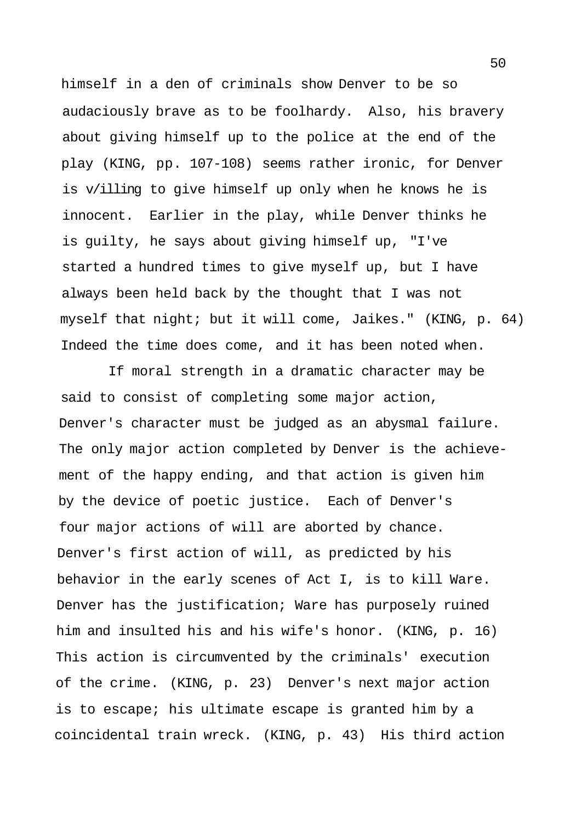himself in a den of criminals show Denver to be so audaciously brave as to be foolhardy. Also, his bravery about giving himself up to the police at the end of the play (KING, pp. 107-108) seems rather ironic, for Denver is v/illing to give himself up only when he knows he is innocent. Earlier in the play, while Denver thinks he is guilty, he says about giving himself up, "I've started a hundred times to give myself up, but I have always been held back by the thought that I was not myself that night; but it will come, Jaikes." (KING, p. 64) Indeed the time does come, and it has been noted when.

If moral strength in a dramatic character may be said to consist of completing some major action, Denver's character must be judged as an abysmal failure. The only major action completed by Denver is the achievement of the happy ending, and that action is given him by the device of poetic justice. Each of Denver's four major actions of will are aborted by chance. Denver's first action of will, as predicted by his behavior in the early scenes of Act I, is to kill Ware. Denver has the justification; Ware has purposely ruined him and insulted his and his wife's honor. (KING, p. 16) This action is circumvented by the criminals' execution of the crime. (KING, p. 23) Denver's next major action is to escape; his ultimate escape is granted him by a coincidental train wreck. (KING, p. 43) His third action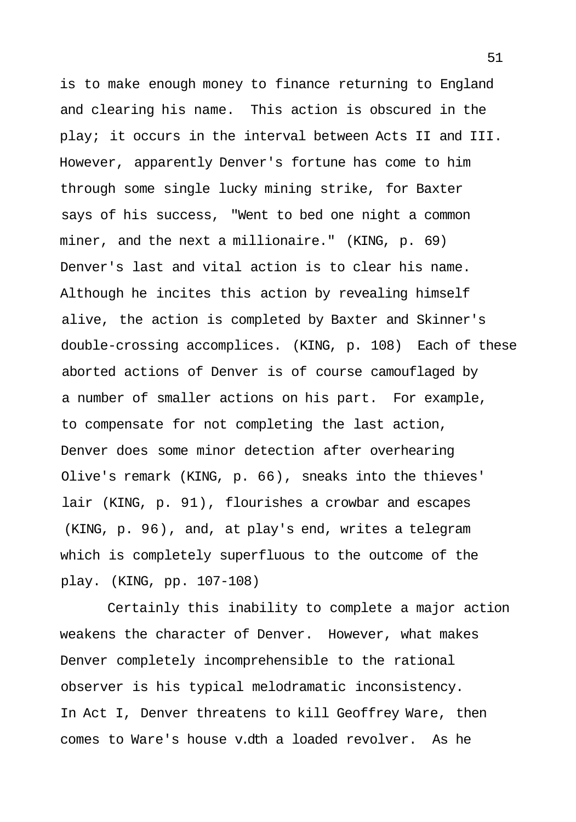is to make enough money to finance returning to England and clearing his name. This action is obscured in the play; it occurs in the interval between Acts II and III. However, apparently Denver's fortune has come to him through some single lucky mining strike, for Baxter says of his success, "Went to bed one night a common miner, and the next a millionaire." (KING, p. 69) Denver's last and vital action is to clear his name. Although he incites this action by revealing himself alive, the action is completed by Baxter and Skinner's double-crossing accomplices. (KING, p. 108) Each of these aborted actions of Denver is of course camouflaged by a number of smaller actions on his part. For example, to compensate for not completing the last action, Denver does some minor detection after overhearing Olive's remark (KING, p. 66), sneaks into the thieves' lair (KING, p. 91), flourishes a crowbar and escapes (KING, p. 96), and, at play's end, writes a telegram which is completely superfluous to the outcome of the play. (KING, pp. 107-108)

Certainly this inability to complete a major action weakens the character of Denver. However, what makes Denver completely incomprehensible to the rational observer is his typical melodramatic inconsistency. In Act I, Denver threatens to kill Geoffrey Ware, then comes to Ware's house v.dth a loaded revolver. As he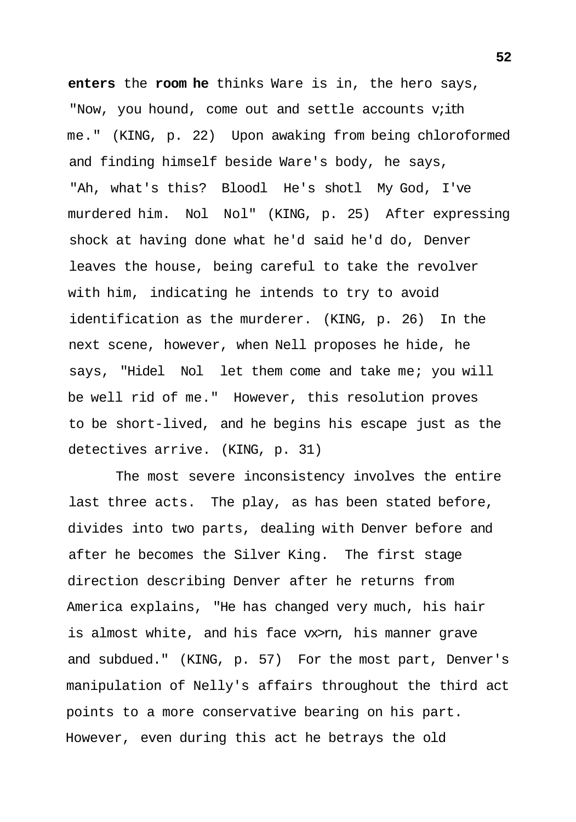**enters** the **room he** thinks Ware is in, the hero says, "Now, you hound, come out and settle accounts v;ith me." (KING, p. 22) Upon awaking from being chloroformed and finding himself beside Ware's body, he says, "Ah, what's this? Bloodl He's shotl My God, I've murdered him. Nol Nol" (KING, p. 25) After expressing shock at having done what he'd said he'd do, Denver leaves the house, being careful to take the revolver with him, indicating he intends to try to avoid identification as the murderer. (KING, p. 26) In the next scene, however, when Nell proposes he hide, he says, "Hidel Nol let them come and take me; you will be well rid of me." However, this resolution proves to be short-lived, and he begins his escape just as the detectives arrive. (KING, p. 31)

The most severe inconsistency involves the entire last three acts. The play, as has been stated before, divides into two parts, dealing with Denver before and after he becomes the Silver King. The first stage direction describing Denver after he returns from America explains, "He has changed very much, his hair is almost white, and his face vx>rn, his manner grave and subdued." (KING, p. 57) For the most part, Denver's manipulation of Nelly's affairs throughout the third act points to a more conservative bearing on his part. However, even during this act he betrays the old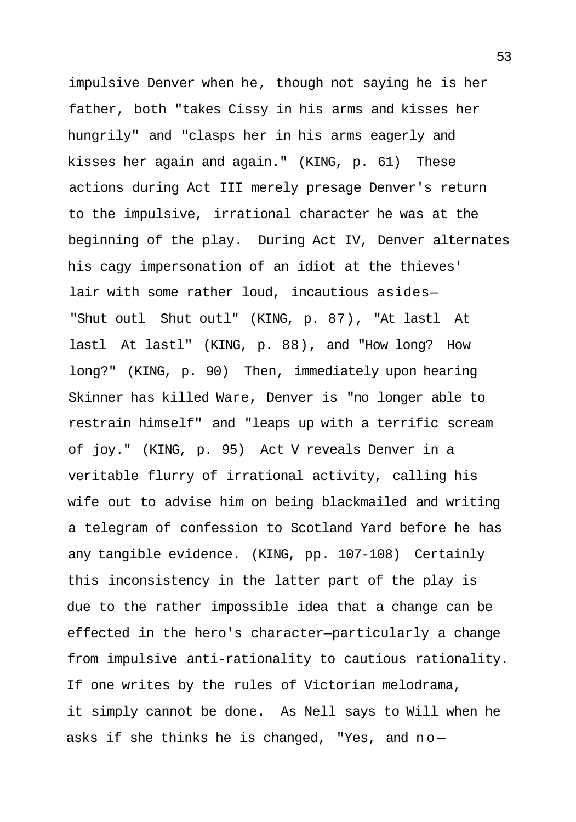impulsive Denver when he, though not saying he is her father, both "takes Cissy in his arms and kisses her hungrily" and "clasps her in his arms eagerly and kisses her again and again." (KING, p. 61) These actions during Act III merely presage Denver's return to the impulsive, irrational character he was at the beginning of the play. During Act IV, Denver alternates his cagy impersonation of an idiot at the thieves' lair with some rather loud, incautious asides— "Shut outl Shut outl" (KING, p. 87), "At lastl At lastl At lastl" (KING, p. 88), and "How long? How long?" (KING, p. 90) Then, immediately upon hearing Skinner has killed Ware, Denver is "no longer able to restrain himself" and "leaps up with a terrific scream of joy." (KING, p. 95) Act V reveals Denver in a veritable flurry of irrational activity, calling his wife out to advise him on being blackmailed and writing a telegram of confession to Scotland Yard before he has any tangible evidence. (KING, pp. 107-108) Certainly this inconsistency in the latter part of the play is due to the rather impossible idea that a change can be effected in the hero's character—particularly a change from impulsive anti-rationality to cautious rationality. If one writes by the rules of Victorian melodrama, it simply cannot be done. As Nell says to Will when he asks if she thinks he is changed, "Yes, and no-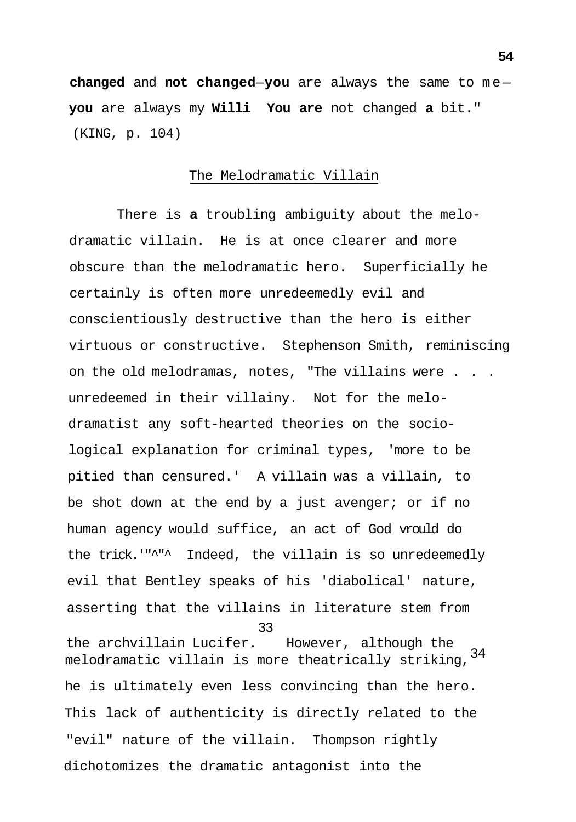**changed** and **not changed**—**you** are always the same to me **you** are always my **Willi You are** not changed **a** bit." (KING, p. 104)

## The Melodramatic Villain

There is **a** troubling ambiguity about the melodramatic villain. He is at once clearer and more obscure than the melodramatic hero. Superficially he certainly is often more unredeemedly evil and conscientiously destructive than the hero is either virtuous or constructive. Stephenson Smith, reminiscing on the old melodramas, notes, "The villains were . . . unredeemed in their villainy. Not for the melodramatist any soft-hearted theories on the sociological explanation for criminal types, 'more to be pitied than censured.' A villain was a villain, to be shot down at the end by a just avenger; or if no human agency would suffice, an act of God vrould do the trick.'"<sup>^</sup>"^ Indeed, the villain is so unredeemedly evil that Bentley speaks of his 'diabolical' nature, asserting that the villains in literature stem from 33 the archvillain Lucifer. However, although the melodramatic villain is more theatrically striking, 34 he is ultimately even less convincing than the hero. This lack of authenticity is directly related to the "evil" nature of the villain. Thompson rightly

dichotomizes the dramatic antagonist into the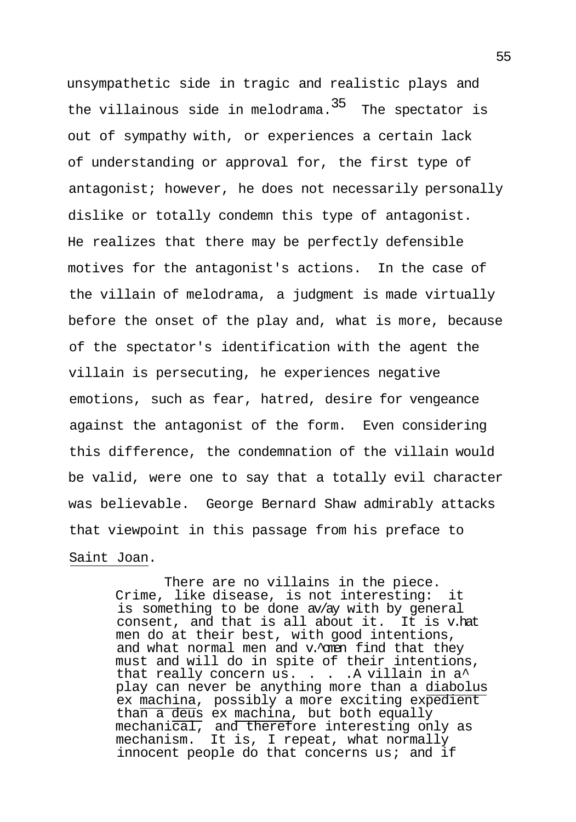unsympathetic side in tragic and realistic plays and the villainous side in melodrama.  $35$  The spectator is out of sympathy with, or experiences a certain lack of understanding or approval for, the first type of antagonist; however, he does not necessarily personally dislike or totally condemn this type of antagonist. He realizes that there may be perfectly defensible motives for the antagonist's actions. In the case of the villain of melodrama, a judgment is made virtually before the onset of the play and, what is more, because of the spectator's identification with the agent the villain is persecuting, he experiences negative emotions, such as fear, hatred, desire for vengeance against the antagonist of the form. Even considering this difference, the condemnation of the villain would be valid, were one to say that a totally evil character was believable. George Bernard Shaw admirably attacks that viewpoint in this passage from his preface to Saint Joan.

> There are no villains in the piece. Crime, like disease, is not interesting: it is something to be done av/ay with by general consent, and that is all about it. It is v.hat men do at their best, with good intentions, and what normal men and  $v$ . men find that they must and will do in spite of their intentions, that really concern us. . . . A villain in a<sup>^</sup> play can never be anything more than a diabolus ex machina, possibly a more exciting expedient than a deus ex machina, but both equally mechanical, and therefore interesting only as mechanism. It is, I repeat, what normally innocent people do that concerns us; and if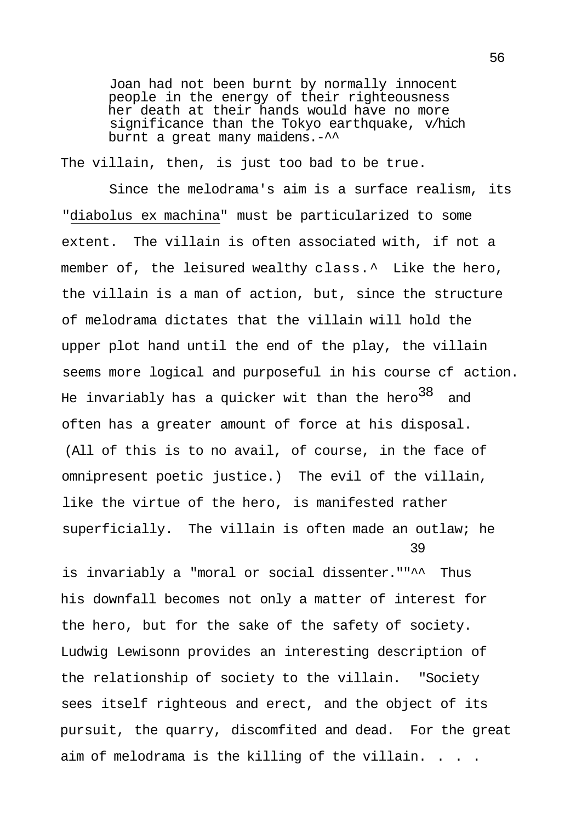Joan had not been burnt by normally innocent people in the energy of their righteousness her death at their hands would have no more significance than the Tokyo earthquake, v/hich burnt a great many maidens.-^^

The villain, then, is just too bad to be true.

Since the melodrama's aim is a surface realism, its "diabolus ex machina" must be particularized to some extent. The villain is often associated with, if not a member of, the leisured wealthy class.<sup>^</sup> Like the hero, the villain is a man of action, but, since the structure of melodrama dictates that the villain will hold the upper plot hand until the end of the play, the villain seems more logical and purposeful in his course cf action. He invariably has a quicker wit than the hero<sup>38</sup> and often has a greater amount of force at his disposal. (All of this is to no avail, of course, in the face of omnipresent poetic justice.) The evil of the villain, like the virtue of the hero, is manifested rather superficially. The villain is often made an outlaw; he 39

is invariably a "moral or social dissenter.""^^ Thus his downfall becomes not only a matter of interest for the hero, but for the sake of the safety of society. Ludwig Lewisonn provides an interesting description of the relationship of society to the villain. "Society sees itself righteous and erect, and the object of its pursuit, the quarry, discomfited and dead. For the great aim of melodrama is the killing of the villain. . . .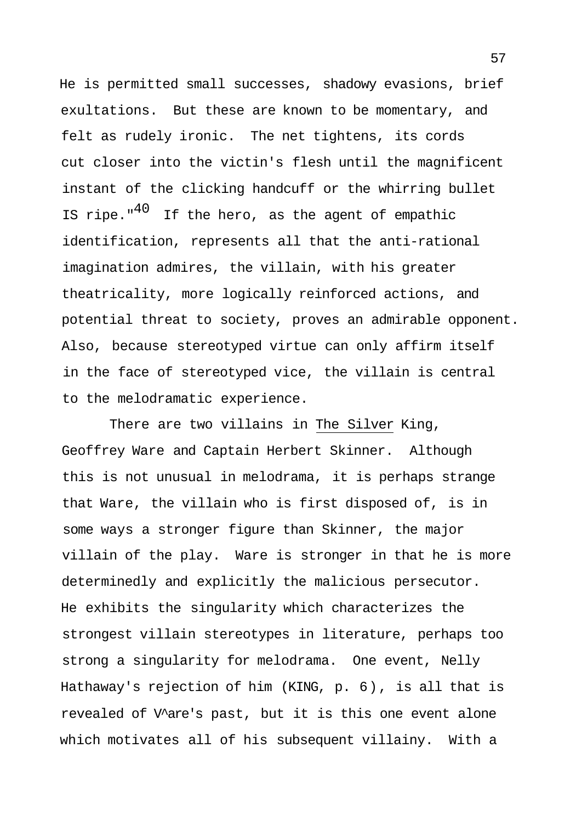He is permitted small successes, shadowy evasions, brief exultations. But these are known to be momentary, and felt as rudely ironic. The net tightens, its cords cut closer into the victin's flesh until the magnificent instant of the clicking handcuff or the whirring bullet IS ripe." $40$  If the hero, as the agent of empathic identification, represents all that the anti-rational imagination admires, the villain, with his greater theatricality, more logically reinforced actions, and potential threat to society, proves an admirable opponent. Also, because stereotyped virtue can only affirm itself in the face of stereotyped vice, the villain is central to the melodramatic experience.

There are two villains in The Silver King, Geoffrey Ware and Captain Herbert Skinner. Although this is not unusual in melodrama, it is perhaps strange that Ware, the villain who is first disposed of, is in some ways a stronger figure than Skinner, the major villain of the play. Ware is stronger in that he is more determinedly and explicitly the malicious persecutor. He exhibits the singularity which characterizes the strongest villain stereotypes in literature, perhaps too strong a singularity for melodrama. One event, Nelly Hathaway's rejection of him (KING, p. 6), is all that is revealed of V^are's past, but it is this one event alone which motivates all of his subsequent villainy. With a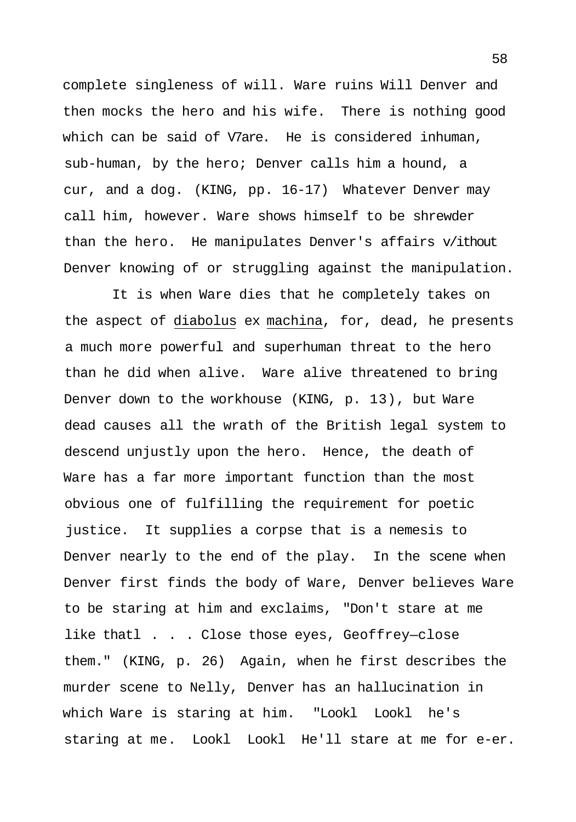complete singleness of will. Ware ruins Will Denver and then mocks the hero and his wife. There is nothing good which can be said of V7are. He is considered inhuman, sub-human, by the hero; Denver calls him a hound, a cur, and a dog. (KING, pp. 16-17) Whatever Denver may call him, however. Ware shows himself to be shrewder than the hero. He manipulates Denver's affairs v/ithout Denver knowing of or struggling against the manipulation.

It is when Ware dies that he completely takes on the aspect of diabolus ex machina, for, dead, he presents a much more powerful and superhuman threat to the hero than he did when alive. Ware alive threatened to bring Denver down to the workhouse (KING, p. 13), but Ware dead causes all the wrath of the British legal system to descend unjustly upon the hero. Hence, the death of Ware has a far more important function than the most obvious one of fulfilling the requirement for poetic justice. It supplies a corpse that is a nemesis to Denver nearly to the end of the play. In the scene when Denver first finds the body of Ware, Denver believes Ware to be staring at him and exclaims, "Don't stare at me like thatl . . . Close those eyes, Geoffrey-close them." (KING, p. 26) Again, when he first describes the murder scene to Nelly, Denver has an hallucination in which Ware is staring at him. "Lookl Lookl he's staring at me. Lookl Lookl He'll stare at me for e-er.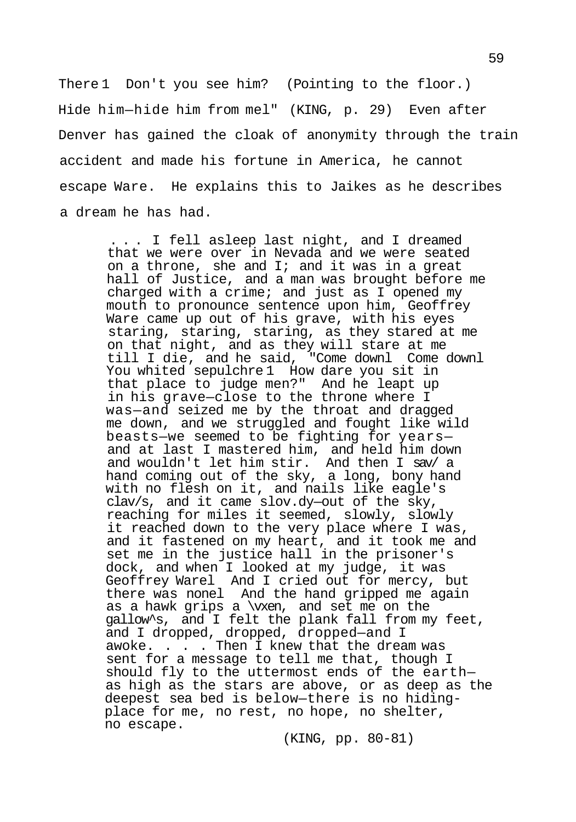There 1 Don't you see him? (Pointing to the floor.) Hide him—hide him from mel" (KING, p. 29) Even after Denver has gained the cloak of anonymity through the train accident and made his fortune in America, he cannot escape Ware. He explains this to Jaikes as he describes a dream he has had.

. . . I fell asleep last night, and I dreamed that we were over in Nevada and we were seated on a throne, she and  $I$ ; and it was in a great hall of Justice, and a man was brought before me charged with a crime; and just as I opened my mouth to pronounce sentence upon him, Geoffrey Ware came up out of his grave, with his eyes staring, staring, staring, as they stared at me on that night, and as they will stare at me till I die, and he said, "Come downl Come downl You whited sepulchre 1 How dare you sit in that place to judge men?" And he leapt up in his grave—close to the throne where I was—and seized me by the throat and dragged me down, and we struggled and fought like wild beasts—we seemed to be fighting for years and at last I mastered him, and held him down and wouldn't let him stir. And then I sav/ a hand coming out of the sky, a long, bony hand with no flesh on it, and nails like eagle's clav/s, and it came slov.dy—out of the sky, reaching for miles it seemed, slowly, slowly it reached down to the very place where I was, and it fastened on my heart, and it took me and set me in the justice hall in the prisoner's dock, and when I looked at my judge, it was Geoffrey Warel And I cried out for mercy, but there was nonel And the hand gripped me again as a hawk grips a [\vxen,](file:///vxen) and set me on the gallow^s, and I felt the plank fall from my feet, and I dropped, dropped, dropped—and I awoke. . . . Then I knew that the dream was sent for a message to tell me that, though I should fly to the uttermost ends of the earth as high as the stars are above, or as deep as the deepest sea bed is below—there is no hidingplace for me, no rest, no hope, no shelter, no escape.

(KING, pp. 80-81)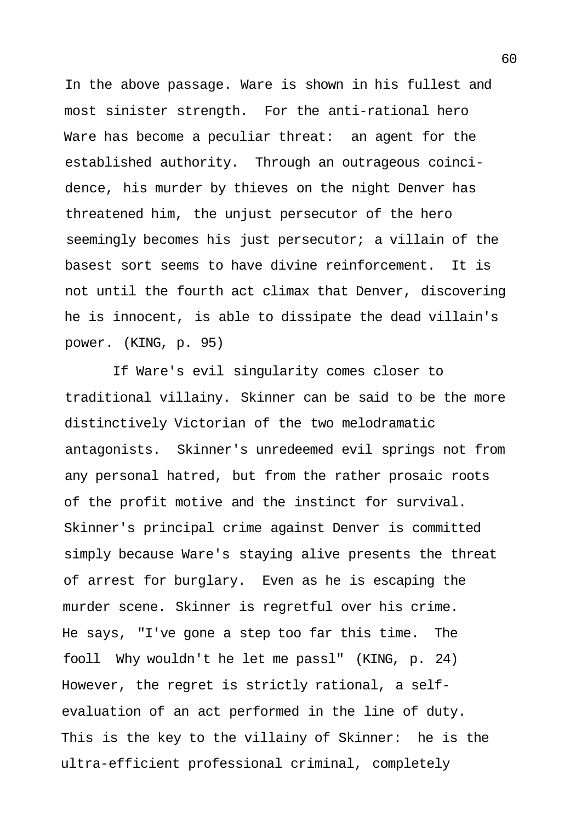In the above passage. Ware is shown in his fullest and most sinister strength. For the anti-rational hero Ware has become a peculiar threat: an agent for the established authority. Through an outrageous coincidence, his murder by thieves on the night Denver has threatened him, the unjust persecutor of the hero seemingly becomes his just persecutor; a villain of the basest sort seems to have divine reinforcement. It is not until the fourth act climax that Denver, discovering he is innocent, is able to dissipate the dead villain's power. (KING, p. 95)

If Ware's evil singularity comes closer to traditional villainy. Skinner can be said to be the more distinctively Victorian of the two melodramatic antagonists. Skinner's unredeemed evil springs not from any personal hatred, but from the rather prosaic roots of the profit motive and the instinct for survival. Skinner's principal crime against Denver is committed simply because Ware's staying alive presents the threat of arrest for burglary. Even as he is escaping the murder scene. Skinner is regretful over his crime. He says, "I've gone a step too far this time. The fooll Why wouldn't he let me passl" (KING, p. 24) However, the regret is strictly rational, a selfevaluation of an act performed in the line of duty. This is the key to the villainy of Skinner: he is the ultra-efficient professional criminal, completely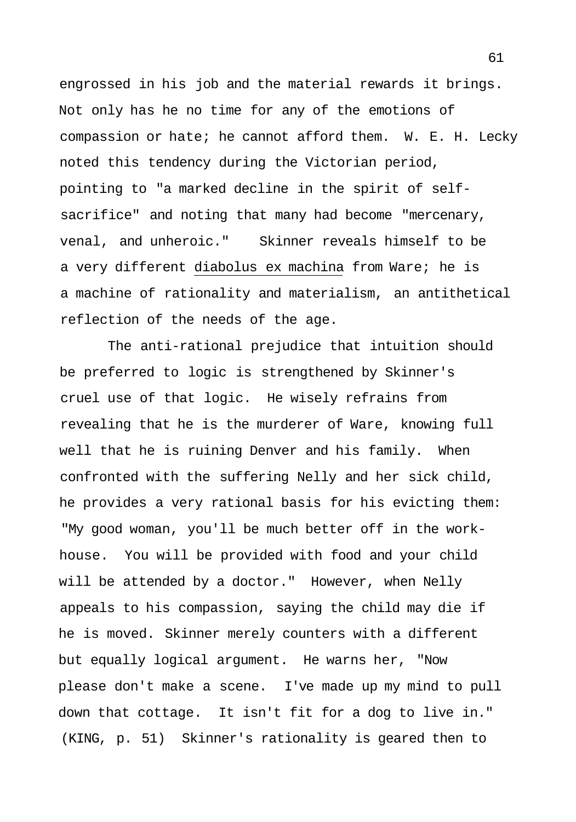engrossed in his job and the material rewards it brings. Not only has he no time for any of the emotions of compassion or hate; he cannot afford them. W. E. H. Lecky noted this tendency during the Victorian period, pointing to "a marked decline in the spirit of selfsacrifice" and noting that many had become "mercenary, venal, and unheroic." Skinner reveals himself to be a very different diabolus ex machina from Ware; he is a machine of rationality and materialism, an antithetical reflection of the needs of the age.

The anti-rational prejudice that intuition should be preferred to logic is strengthened by Skinner's cruel use of that logic. He wisely refrains from revealing that he is the murderer of Ware, knowing full well that he is ruining Denver and his family. When confronted with the suffering Nelly and her sick child, he provides a very rational basis for his evicting them: "My good woman, you'll be much better off in the workhouse. You will be provided with food and your child will be attended by a doctor." However, when Nelly appeals to his compassion, saying the child may die if he is moved. Skinner merely counters with a different but equally logical argument. He warns her, "Now please don't make a scene. I've made up my mind to pull down that cottage. It isn't fit for a dog to live in." (KING, p. 51) Skinner's rationality is geared then to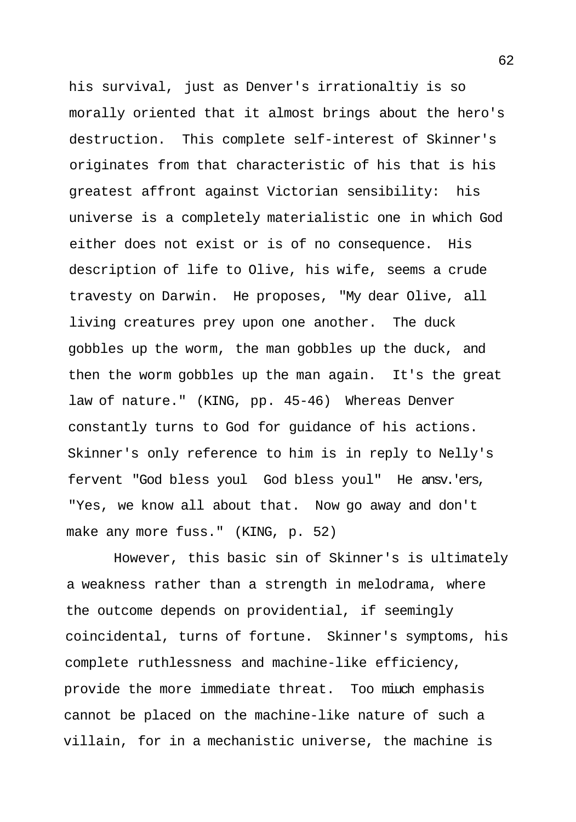his survival, just as Denver's irrationaltiy is so morally oriented that it almost brings about the hero's destruction. This complete self-interest of Skinner's originates from that characteristic of his that is his greatest affront against Victorian sensibility: his universe is a completely materialistic one in which God either does not exist or is of no consequence. His description of life to Olive, his wife, seems a crude travesty on Darwin. He proposes, "My dear Olive, all living creatures prey upon one another. The duck gobbles up the worm, the man gobbles up the duck, and then the worm gobbles up the man again. It's the great law of nature." (KING, pp. 45-46) Whereas Denver constantly turns to God for guidance of his actions. Skinner's only reference to him is in reply to Nelly's fervent "God bless youl God bless youl" He ansv.'ers, "Yes, we know all about that. Now go away and don't make any more fuss." (KING, p. 52)

However, this basic sin of Skinner's is ultimately a weakness rather than a strength in melodrama, where the outcome depends on providential, if seemingly coincidental, turns of fortune. Skinner's symptoms, his complete ruthlessness and machine-like efficiency, provide the more immediate threat. Too miuch emphasis cannot be placed on the machine-like nature of such a villain, for in a mechanistic universe, the machine is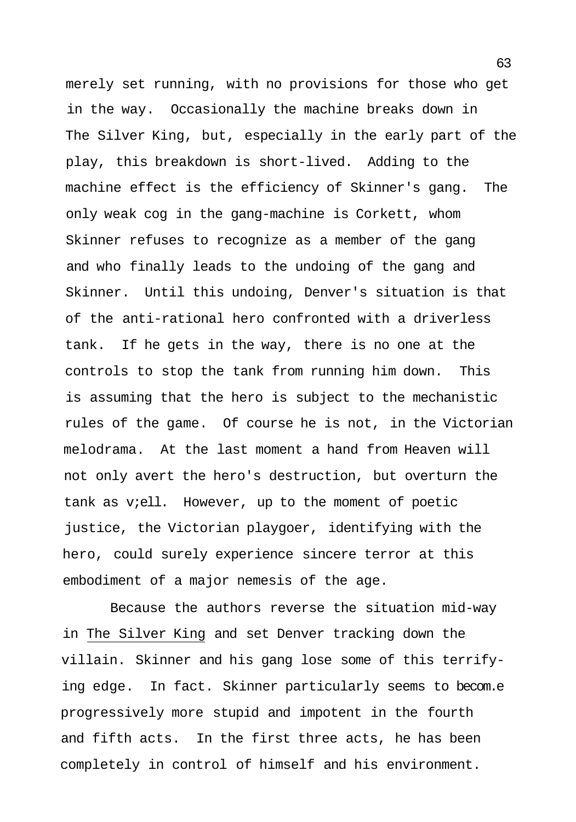merely set running, with no provisions for those who get in the way. Occasionally the machine breaks down in The Silver King, but, especially in the early part of the play, this breakdown is short-lived. Adding to the machine effect is the efficiency of Skinner's gang. The only weak cog in the gang-machine is Corkett, whom Skinner refuses to recognize as a member of the gang and who finally leads to the undoing of the gang and Skinner. Until this undoing, Denver's situation is that of the anti-rational hero confronted with a driverless tank. If he gets in the way, there is no one at the controls to stop the tank from running him down. This is assuming that the hero is subject to the mechanistic rules of the game. Of course he is not, in the Victorian melodrama. At the last moment a hand from Heaven will not only avert the hero's destruction, but overturn the tank as v;ell. However, up to the moment of poetic justice, the Victorian playgoer, identifying with the hero, could surely experience sincere terror at this embodiment of a major nemesis of the age.

Because the authors reverse the situation mid-way in The Silver King and set Denver tracking down the villain. Skinner and his gang lose some of this terrifying edge. In fact. Skinner particularly seems to becom.e progressively more stupid and impotent in the fourth and fifth acts. In the first three acts, he has been completely in control of himself and his environment.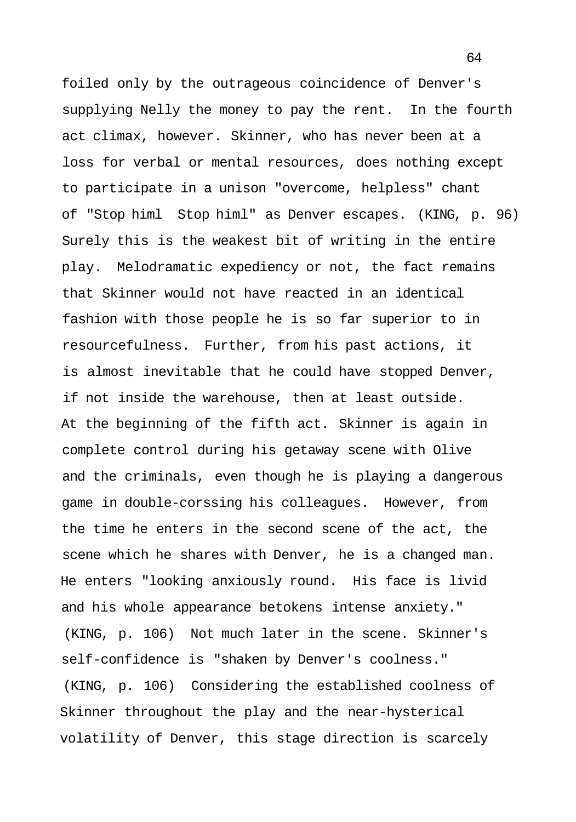foiled only by the outrageous coincidence of Denver's supplying Nelly the money to pay the rent. In the fourth act climax, however. Skinner, who has never been at a loss for verbal or mental resources, does nothing except to participate in a unison "overcome, helpless" chant of "Stop himl Stop himl" as Denver escapes. (KING, p. 96) Surely this is the weakest bit of writing in the entire play. Melodramatic expediency or not, the fact remains that Skinner would not have reacted in an identical fashion with those people he is so far superior to in resourcefulness. Further, from his past actions, it is almost inevitable that he could have stopped Denver, if not inside the warehouse, then at least outside. At the beginning of the fifth act. Skinner is again in complete control during his getaway scene with Olive and the criminals, even though he is playing a dangerous game in double-corssing his colleagues. However, from the time he enters in the second scene of the act, the scene which he shares with Denver, he is a changed man. He enters "looking anxiously round. His face is livid and his whole appearance betokens intense anxiety." (KING, p. 106) Not much later in the scene. Skinner's self-confidence is "shaken by Denver's coolness." (KING, p. 106) Considering the established coolness of Skinner throughout the play and the near-hysterical volatility of Denver, this stage direction is scarcely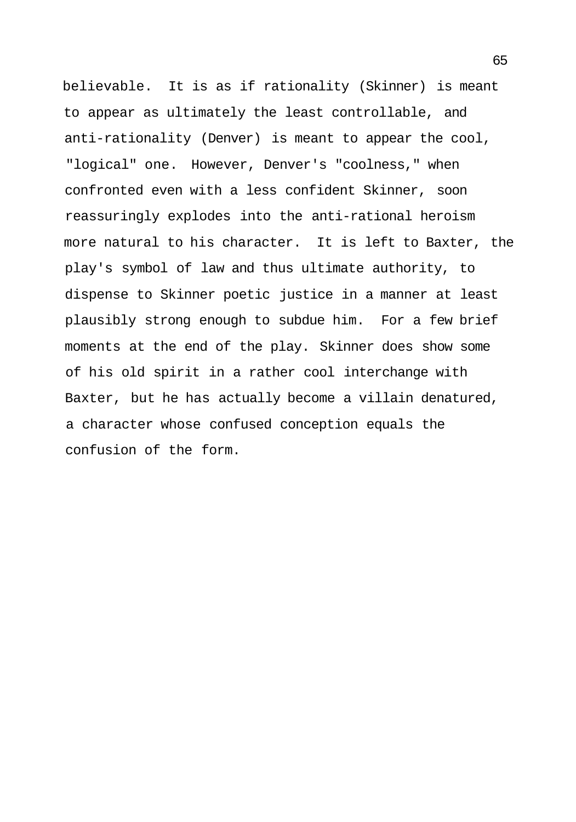believable. It is as if rationality (Skinner) is meant to appear as ultimately the least controllable, and anti-rationality (Denver) is meant to appear the cool, "logical" one. However, Denver's "coolness," when confronted even with a less confident Skinner, soon reassuringly explodes into the anti-rational heroism more natural to his character. It is left to Baxter, the play's symbol of law and thus ultimate authority, to dispense to Skinner poetic justice in a manner at least plausibly strong enough to subdue him. For a few brief moments at the end of the play. Skinner does show some of his old spirit in a rather cool interchange with Baxter, but he has actually become a villain denatured, a character whose confused conception equals the confusion of the form.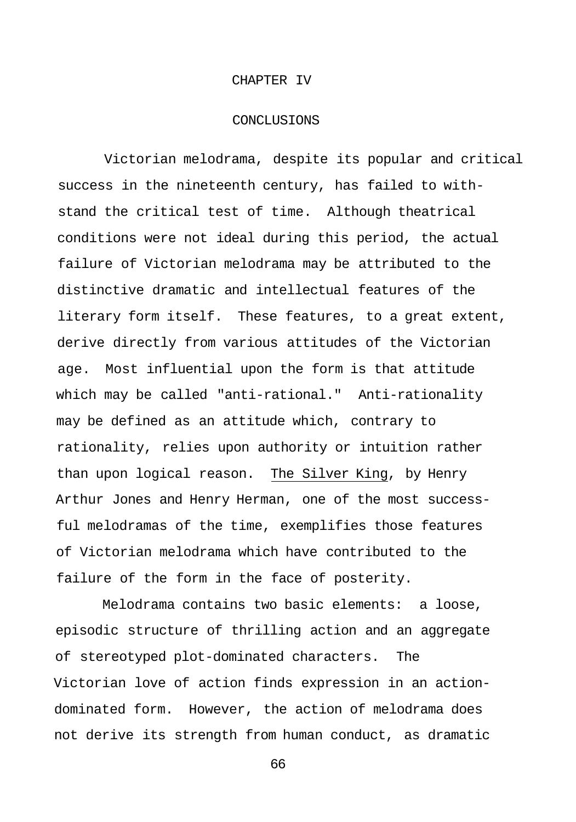### CHAPTER IV

## CONCLUSIONS

Victorian melodrama, despite its popular and critical success in the nineteenth century, has failed to withstand the critical test of time. Although theatrical conditions were not ideal during this period, the actual failure of Victorian melodrama may be attributed to the distinctive dramatic and intellectual features of the literary form itself. These features, to a great extent, derive directly from various attitudes of the Victorian age. Most influential upon the form is that attitude which may be called "anti-rational." Anti-rationality may be defined as an attitude which, contrary to rationality, relies upon authority or intuition rather than upon logical reason. The Silver King, by Henry Arthur Jones and Henry Herman, one of the most successful melodramas of the time, exemplifies those features of Victorian melodrama which have contributed to the failure of the form in the face of posterity.

Melodrama contains two basic elements: a loose, episodic structure of thrilling action and an aggregate of stereotyped plot-dominated characters. The Victorian love of action finds expression in an actiondominated form. However, the action of melodrama does not derive its strength from human conduct, as dramatic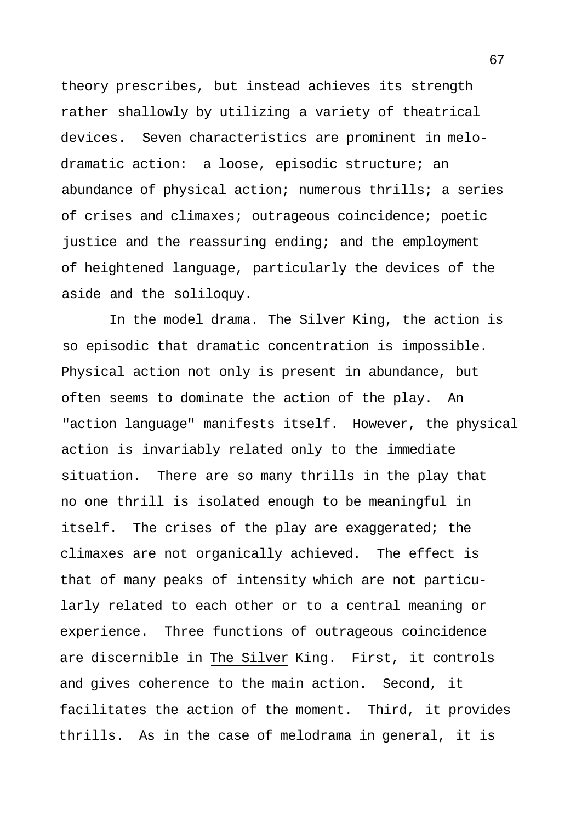theory prescribes, but instead achieves its strength rather shallowly by utilizing a variety of theatrical devices. Seven characteristics are prominent in melodramatic action: a loose, episodic structure; an abundance of physical action; numerous thrills; a series of crises and climaxes; outrageous coincidence; poetic justice and the reassuring ending; and the employment of heightened language, particularly the devices of the aside and the soliloquy.

In the model drama. The Silver King, the action is so episodic that dramatic concentration is impossible. Physical action not only is present in abundance, but often seems to dominate the action of the play. An "action language" manifests itself. However, the physical action is invariably related only to the immediate situation. There are so many thrills in the play that no one thrill is isolated enough to be meaningful in itself. The crises of the play are exaggerated; the climaxes are not organically achieved. The effect is that of many peaks of intensity which are not particularly related to each other or to a central meaning or experience. Three functions of outrageous coincidence are discernible in The Silver King. First, it controls and gives coherence to the main action. Second, it facilitates the action of the moment. Third, it provides thrills. As in the case of melodrama in general, it is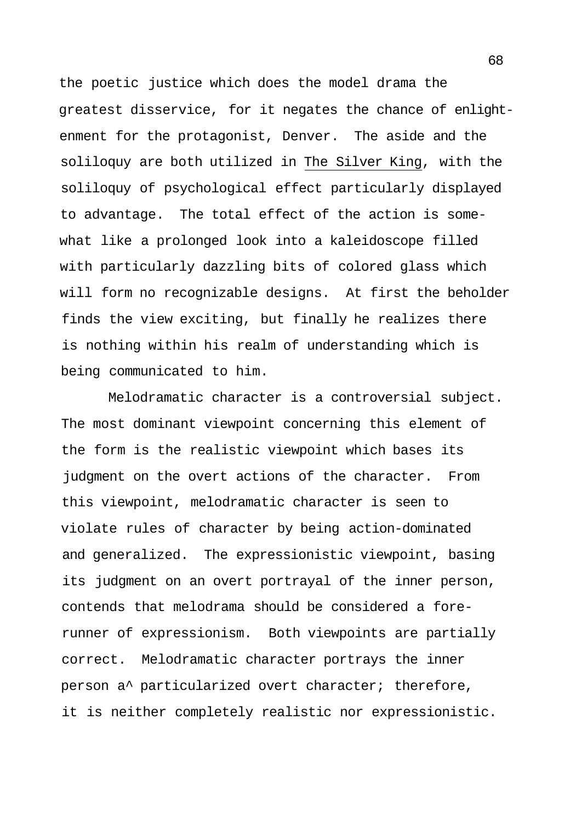the poetic justice which does the model drama the greatest disservice, for it negates the chance of enlightenment for the protagonist, Denver. The aside and the soliloquy are both utilized in The Silver King, with the soliloquy of psychological effect particularly displayed to advantage. The total effect of the action is somewhat like a prolonged look into a kaleidoscope filled with particularly dazzling bits of colored glass which will form no recognizable designs. At first the beholder finds the view exciting, but finally he realizes there is nothing within his realm of understanding which is being communicated to him.

Melodramatic character is a controversial subject. The most dominant viewpoint concerning this element of the form is the realistic viewpoint which bases its judgment on the overt actions of the character. From this viewpoint, melodramatic character is seen to violate rules of character by being action-dominated and generalized. The expressionistic viewpoint, basing its judgment on an overt portrayal of the inner person, contends that melodrama should be considered a forerunner of expressionism. Both viewpoints are partially correct. Melodramatic character portrays the inner person a^ particularized overt character; therefore, it is neither completely realistic nor expressionistic.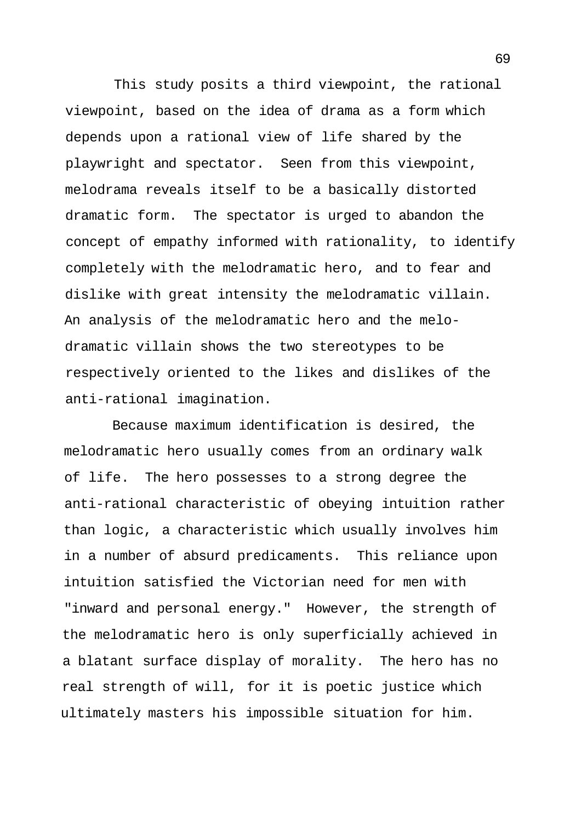This study posits a third viewpoint, the rational viewpoint, based on the idea of drama as a form which depends upon a rational view of life shared by the playwright and spectator. Seen from this viewpoint, melodrama reveals itself to be a basically distorted dramatic form. The spectator is urged to abandon the concept of empathy informed with rationality, to identify completely with the melodramatic hero, and to fear and dislike with great intensity the melodramatic villain. An analysis of the melodramatic hero and the melodramatic villain shows the two stereotypes to be respectively oriented to the likes and dislikes of the anti-rational imagination.

Because maximum identification is desired, the melodramatic hero usually comes from an ordinary walk of life. The hero possesses to a strong degree the anti-rational characteristic of obeying intuition rather than logic, a characteristic which usually involves him in a number of absurd predicaments. This reliance upon intuition satisfied the Victorian need for men with "inward and personal energy." However, the strength of the melodramatic hero is only superficially achieved in a blatant surface display of morality. The hero has no real strength of will, for it is poetic justice which ultimately masters his impossible situation for him.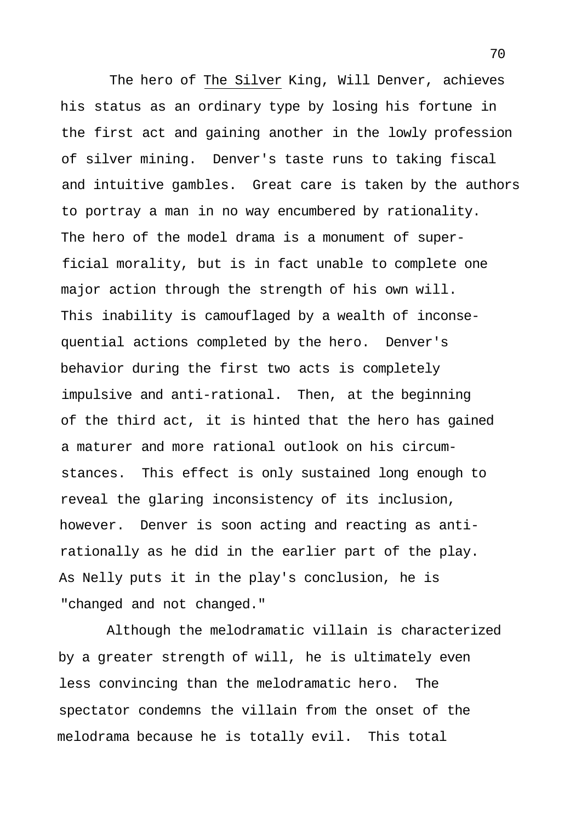The hero of The Silver King, Will Denver, achieves his status as an ordinary type by losing his fortune in the first act and gaining another in the lowly profession of silver mining. Denver's taste runs to taking fiscal and intuitive gambles. Great care is taken by the authors to portray a man in no way encumbered by rationality. The hero of the model drama is a monument of superficial morality, but is in fact unable to complete one major action through the strength of his own will. This inability is camouflaged by a wealth of inconsequential actions completed by the hero. Denver's behavior during the first two acts is completely impulsive and anti-rational. Then, at the beginning of the third act, it is hinted that the hero has gained a maturer and more rational outlook on his circumstances. This effect is only sustained long enough to reveal the glaring inconsistency of its inclusion, however. Denver is soon acting and reacting as antirationally as he did in the earlier part of the play. As Nelly puts it in the play's conclusion, he is "changed and not changed."

Although the melodramatic villain is characterized by a greater strength of will, he is ultimately even less convincing than the melodramatic hero. The spectator condemns the villain from the onset of the melodrama because he is totally evil. This total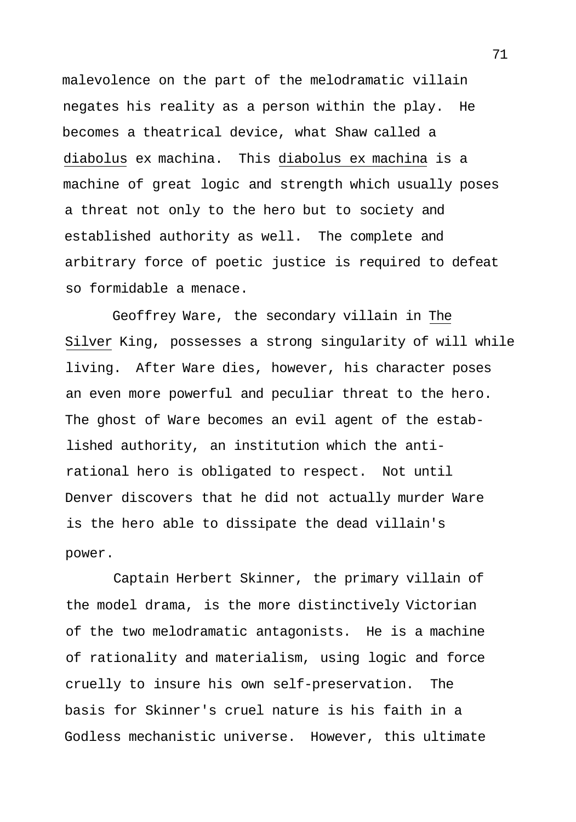malevolence on the part of the melodramatic villain negates his reality as a person within the play. He becomes a theatrical device, what Shaw called a diabolus ex machina. This diabolus ex machina is a machine of great logic and strength which usually poses a threat not only to the hero but to society and established authority as well. The complete and arbitrary force of poetic justice is required to defeat so formidable a menace.

Geoffrey Ware, the secondary villain in The Silver King, possesses a strong singularity of will while living. After Ware dies, however, his character poses an even more powerful and peculiar threat to the hero. The ghost of Ware becomes an evil agent of the established authority, an institution which the antirational hero is obligated to respect. Not until Denver discovers that he did not actually murder Ware is the hero able to dissipate the dead villain's power.

Captain Herbert Skinner, the primary villain of the model drama, is the more distinctively Victorian of the two melodramatic antagonists. He is a machine of rationality and materialism, using logic and force cruelly to insure his own self-preservation. The basis for Skinner's cruel nature is his faith in a Godless mechanistic universe. However, this ultimate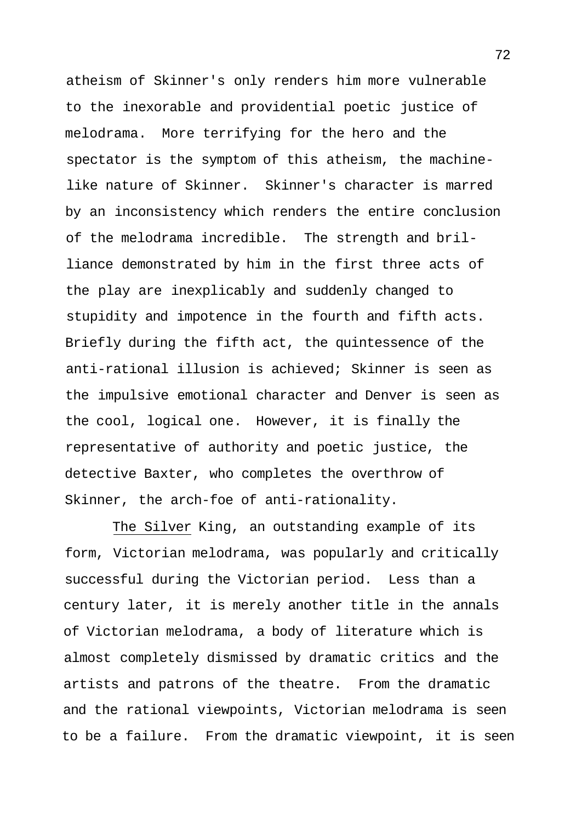atheism of Skinner's only renders him more vulnerable to the inexorable and providential poetic justice of melodrama. More terrifying for the hero and the spectator is the symptom of this atheism, the machinelike nature of Skinner. Skinner's character is marred by an inconsistency which renders the entire conclusion of the melodrama incredible. The strength and brilliance demonstrated by him in the first three acts of the play are inexplicably and suddenly changed to stupidity and impotence in the fourth and fifth acts. Briefly during the fifth act, the quintessence of the anti-rational illusion is achieved; Skinner is seen as the impulsive emotional character and Denver is seen as the cool, logical one. However, it is finally the representative of authority and poetic justice, the detective Baxter, who completes the overthrow of Skinner, the arch-foe of anti-rationality.

The Silver King, an outstanding example of its form, Victorian melodrama, was popularly and critically successful during the Victorian period. Less than a century later, it is merely another title in the annals of Victorian melodrama, a body of literature which is almost completely dismissed by dramatic critics and the artists and patrons of the theatre. From the dramatic and the rational viewpoints, Victorian melodrama is seen to be a failure. From the dramatic viewpoint, it is seen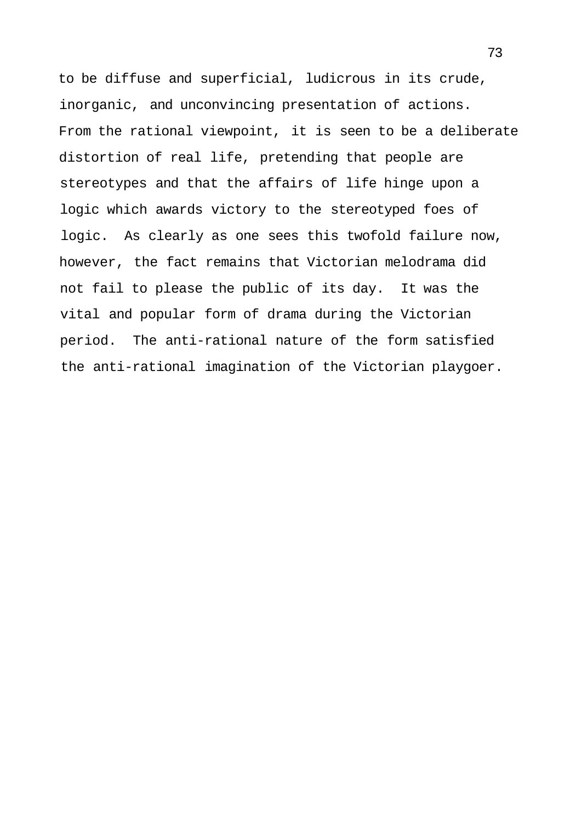to be diffuse and superficial, ludicrous in its crude, inorganic, and unconvincing presentation of actions. From the rational viewpoint, it is seen to be a deliberate distortion of real life, pretending that people are stereotypes and that the affairs of life hinge upon a logic which awards victory to the stereotyped foes of logic. As clearly as one sees this twofold failure now, however, the fact remains that Victorian melodrama did not fail to please the public of its day. It was the vital and popular form of drama during the Victorian period. The anti-rational nature of the form satisfied the anti-rational imagination of the Victorian playgoer.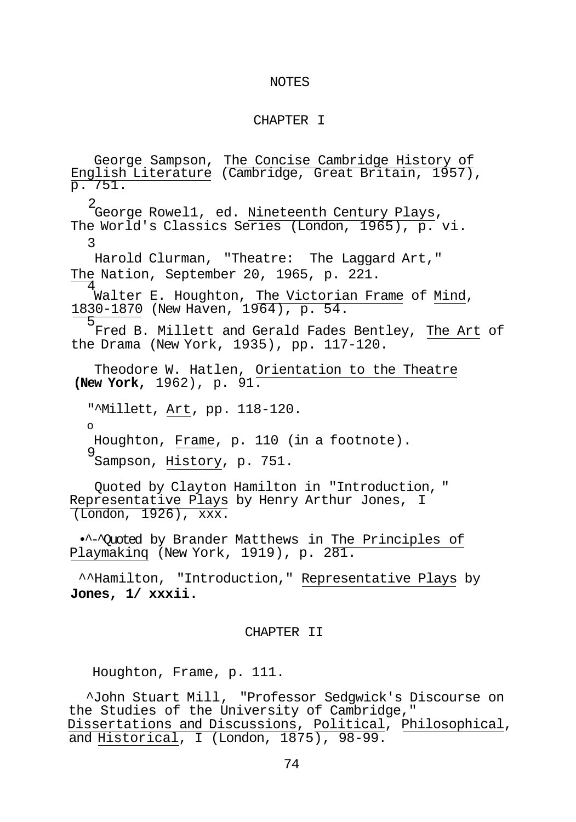## NOTES

## CHAPTER I

George Sampson, The Concise Cambridge History of English Literature (Cambridge, Great Britain, 1957), p. 751.  $2\overline{a}$ George Rowel1, ed. Nineteenth Century Plays, The World's Classics Series (London, 1965), p. vi. 3 Harold Clurman, "Theatre: The Laggard Art," The Nation, September 20, 1965, p. 221. 4., Walter E. Houghton, The Victorian Frame of Mind, 1830-1870 (New Haven, 1964), p. 54.  $5\frac{1}{2}$ Fred B. Millett and Gerald Fades Bentley, The Art of the Drama (New York, 1935), pp. 117-120. Theodore W. Hatlen, Orientation to the Theatre **(New York,** 1962), p. 91. "^Millett, Art, pp. 118-120. o Houghton, Frame, p. 110 (in a footnote). 9 Sampson, History, p. 751. Quoted by Clayton Hamilton in "Introduction, " Representative Plays by Henry Arthur Jones, I (London, 1926), xxx. •^-^Quoted by Brander Matthews in The Principles of Playmakinq (New York, 1919), p. 281.

^^Hamilton, "Introduction," Representative Plays by **Jones, 1/ xxxii.** 

## CHAPTER II

Houghton, Frame, p. 111.

^John Stuart Mill, "Professor Sedgwick's Discourse on the Studies of the University of Cambridge," Dissertations and Discussions, Political, Philosophical, and Historical, I (London, 1875), 98-99.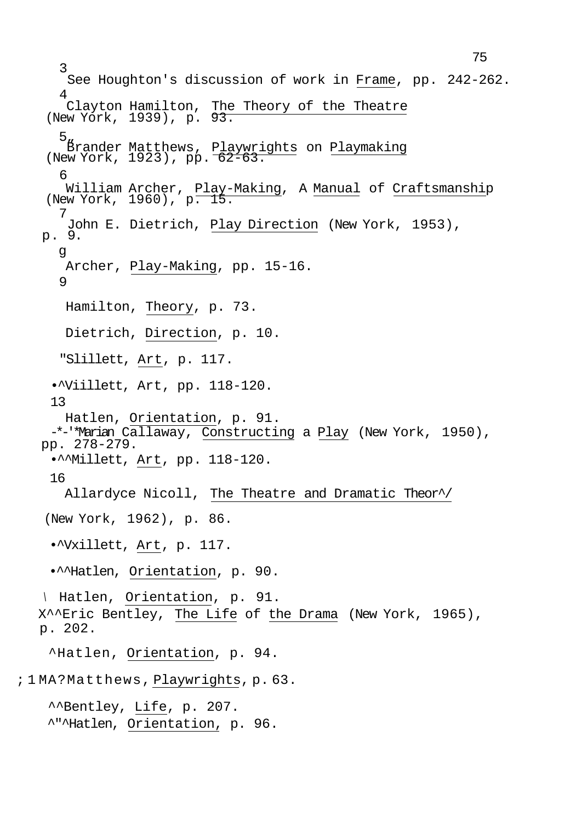3 See Houghton's discussion of work in Frame, pp. 242-262. 4 Clayton Hamilton, The Theory of the Theatre (New York, 1939), p. 93.  $5_{\underline{n}}$ Brander Matthews, Playwrights on Playmaking (New York, 1923), pp. 62-63. 6 William Archer, Play-Making, A Manual of Craftsmanship (New York, 1960), p<del>. 15.</del> 7 John E. Dietrich, Play Direction (New York, 1953), p. 9. g Archer, Play-Making, pp. 15-16. 9 Hamilton, Theory, p. 73. Dietrich, Direction, p. 10. "Slillett, Art, p. 117. •^Viillett, Art, pp. 118-120. 13 Hatlen, Orientation, p. 91. -\*-'\*Marian Callaway, Constructing a Play (New York, 1950), pp. 278-279. •^^Millett, Art, pp. 118-120. 16 Allardyce Nicoll, The Theatre and Dramatic Theor^/ (New York, 1962), p. 86. •^Vxillett, Art, p. 117. •^^Hatlen, Orientation, p. 90. *\* Hatlen, Orientation, p. 91. X^^Eric Bentley, The Life of the Drama (New York, 1965), p. 202. ^Hatlen, Orientation, p. 94. ; 1 MA?Matthews, Playwrights, p. 63. ^^Bentley, Life, p. 207. ^"^Hatlen, Orientation, p. 96.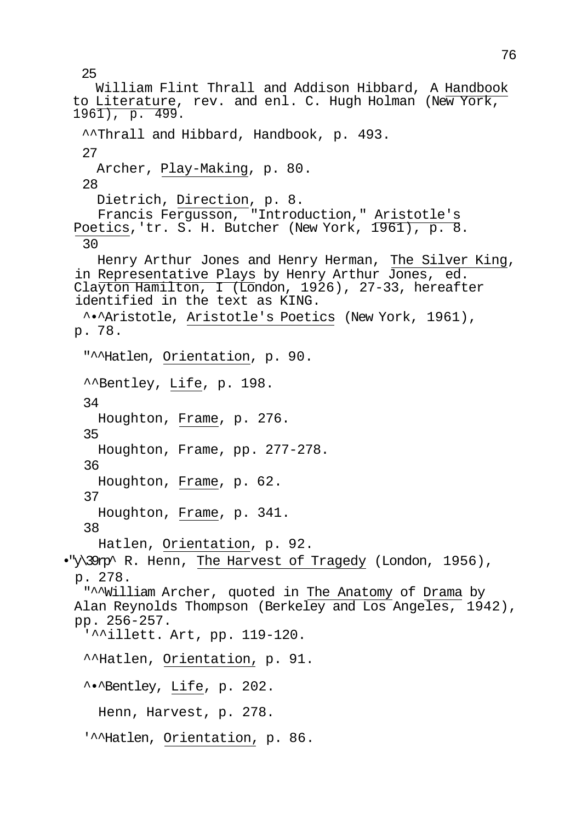25 William Flint Thrall and Addison Hibbard, A Handbook to Literature, rev. and enl. C. Hugh Holman (New York, 1961), p. 499. ^^Thrall and Hibbard, Handbook, p. 493. 27 Archer, Play-Making, p. 80. 28 Dietrich, Direction, p. 8. Francis Fergusson, "Introduction," Aristotle's Poetics,'tr. S. H. Butcher (New York, 1961), p. 8. 30 Henry Arthur Jones and Henry Herman, The Silver King, in Representative Plays by Henry Arthur Jones, ed. Clayton Hamilton, I (London, 1926), 27-33, hereafter identified in the text as KING. ^•^Aristotle, Aristotle's Poetics (New York, 1961), p. 78. "^^Hatlen, Orientation, p. 90. ^^Bentley, Life, p. 198. 34 Houghton, Frame, p. 276. 35 Houghton, Frame, pp. 277-278. 36 Houghton, Frame, p. 62. 37 Houghton, Frame, p. 341. 38 Hatlen, Orientation, p. 92. •"y\39rp^ R. Henn, The Harvest of Tragedy (London, 1956), p. 278. "^^William Archer, quoted in The Anatomy of Drama by Alan Reynolds Thompson (Berkeley and Los Angeles, 1942), pp. 256-257. '^^illett. Art, pp. 119-120. ^^Hatlen, Orientation, p. 91.  $\texttt{\textdegree-}\texttt{Bentley},$  Life, p. 202. Henn, Harvest, p. 278. '^^Hatlen, Orientation, p. 86.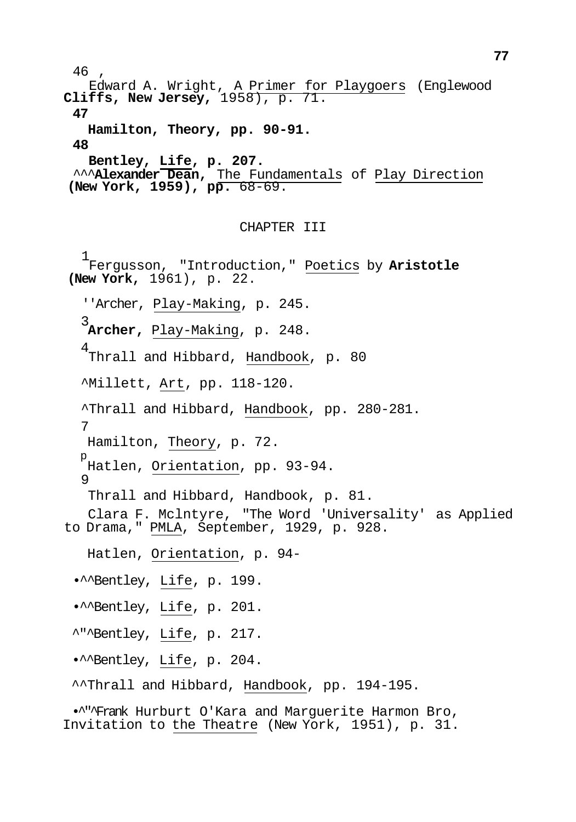46 , Edward A. Wright, A Primer for Playgoers (Englewood **Cliffs, New Jersey,** 1958), p. 71. **47 Hamilton, Theory, pp. 90-91. 48 Bentley, Life, p. 207.**  ^^^**Alexander Dean,** The Fundamentals of Play Direction **(New York, 1959), pp.** 68-69. CHAPTER III  $1_{-}$ Fergusson, "Introduction," Poetics by **Aristotle (New York,** 1961), p. 22. ''Archer, Play-Making, p. 245.  $3<sub>-</sub>$ **Archer,** Play-Making, p. 248.  $4$ Thrall and Hibbard, Handbook, p. 80 ^Millett, Art, pp. 118-120. ^Thrall and Hibbard, Handbook, pp. 280-281. 7 Hamilton, Theory, p. 72. p Hatlen, Orientation, pp. 93-94. 9 Thrall and Hibbard, Handbook, p. 81. Clara F. Mclntyre, "The Word 'Universality' as Applied to Drama," PMLA, September, 1929, p. 928. Hatlen, Orientation, p. 94- •^^Bentley, Life, p. 199. •^^Bentley, Life, p. 201. ^"^Bentley, Life, p. 217. •^^Bentley, Life, p. 204. ^^Thrall and Hibbard, Handbook, pp. 194-195.

•^"^Frank Hurburt O'Kara and Marguerite Harmon Bro, Invitation to the Theatre (New York, 1951), p. 31.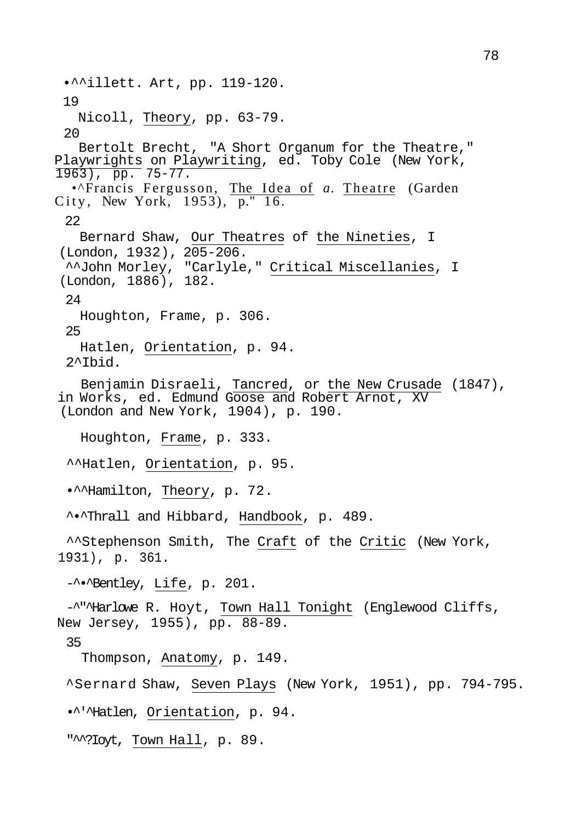•^^illett. Art, pp. 119-120. 19 Nicoll, Theory, pp. 63-79. 20 Bertolt Brecht, "A Short Organum for the Theatre," Playwrights on Playwriting, ed. Toby Cole (New York, 1963), pp. 75-77. •^Francis Fergusson, The Idea of a. Theatre (Garden City, New York, 1953), p." 16. 22 Bernard Shaw, Our Theatres of the Nineties, I (London, 1932), 205-206. ^^John Morley, "Carlyle," Critical Miscellanies, I (London, 1886), 182. 24 Houghton, Frame, p. 306. 25 Hatlen, Orientation, p. 94. 2^Ibid. Benjamin Disraeli, Tancred, or the New Crusade (1847), in Works, ed. Edmund Goose and Robert Arnot, XV (London and New York, 1904), p. 190. Houghton, Frame, p. 333. ^^Hatlen, Orientation, p. 95. •^^Hamilton, Theory, p. 72. ^•^Thrall and Hibbard, Handbook, p. 489. ^^Stephenson Smith, The Craft of the Critic (New York, 1931), p. 361. -^•^Bentley, Life, p. 201. -^"^Harlowe R. Hoyt, Town Hall Tonight (Englewood Cliffs, New Jersey, 1955), pp. 88-89. 35 Thompson, Anatomy, p. 149. ^Sernard Shaw, Seven Plays (New York, 1951), pp. 794-795. •^'^Hatlen, Orientation, p. 94. "^^?Ioyt, Town Hall, p. 89.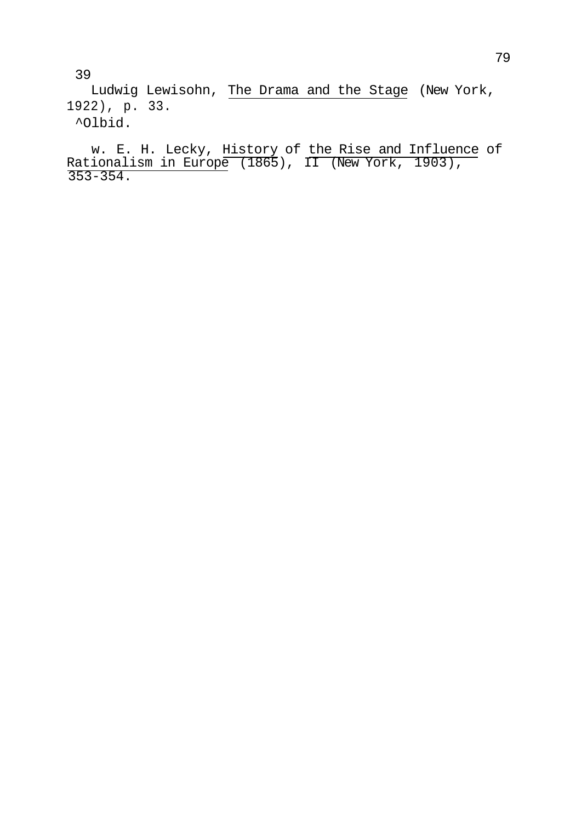Ludwig Lewisohn, The Drama and the Stage (New York, 1922), p. 33. ^Olbid.

39

w. E. H. Lecky, <u>History</u> of the Rise and Influence of Rationalism in Europe (1865), II (New York, 1903), 353-354.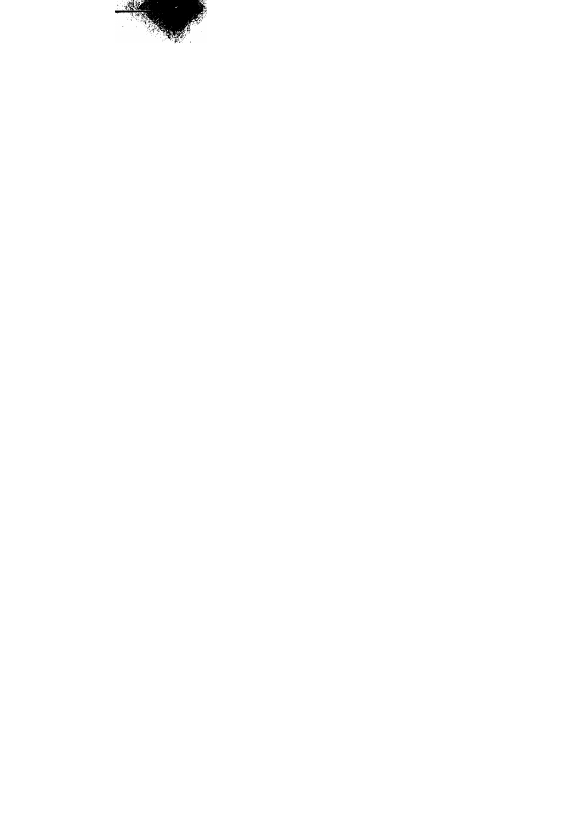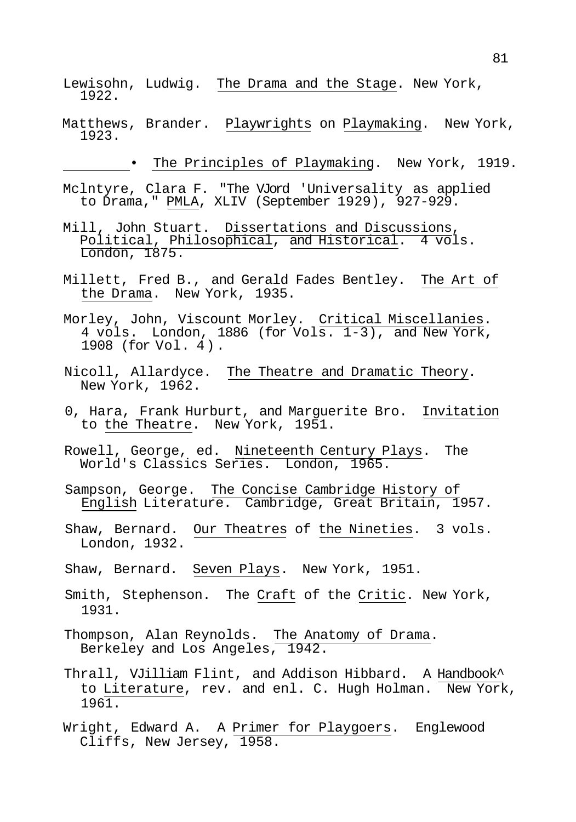- Lewisohn, Ludwig. The Drama and the Stage. New York, 1922.
- Matthews, Brander. Playwrights on Playmaking. New York, 1923.
	- The Principles of Playmaking. New York, 1919.
- Mclntyre, Clara F. "The VJord 'Universality as applied to Drama," PMLA, XLIV (September 1929), 927-929.
- Mill, John Stuart. Dissertations and Discussions, Political, Philosophical, and Historical. 4 vols. London, 1875.
- Millett, Fred B., and Gerald Fades Bentley. The Art of the Drama. New York, 1935.
- Morley, John, Viscount Morley. Critical Miscellanies. 4 vols. London, 1886 (for  $Vols. 1-3$ ), and New York, 1908 (for Vol. 4).
- Nicoll, Allardyce. The Theatre and Dramatic Theory. New York, 1962.
- 0, Hara, Frank Hurburt, and Marguerite Bro. Invitation to the Theatre. New York, 1951.
- Rowell, George, ed. Nineteenth Century Plays. The World's Classics Series. London, 1965.
- Sampson, George. The Concise Cambridge History of English Literature. Cambridge, Great Britain, 1957.
- Shaw, Bernard. Our Theatres of the Nineties. 3 vols. London, 1932.
- Shaw, Bernard. Seven Plays. New York, 1951.
- Smith, Stephenson. The Craft of the Critic. New York, 1931.
- Thompson, Alan Reynolds. The Anatomy of Drama. Berkeley and Los Angeles, 1942.
- Thrall, VJilliam Flint, and Addison Hibbard. A Handbook<sup>^</sup> to Literature, rev. and enl. C. Hugh Holman. New York, 1961.
- Wright, Edward A. A Primer for Playgoers. Englewood Cliffs, New Jersey, 1958.